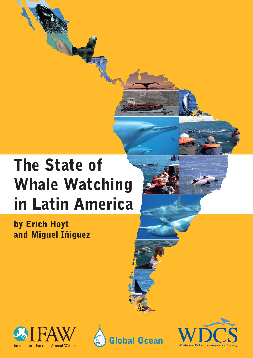# The State of Whale Watching in Latin America

by Erich Hoyt and Miguel Iñíguez





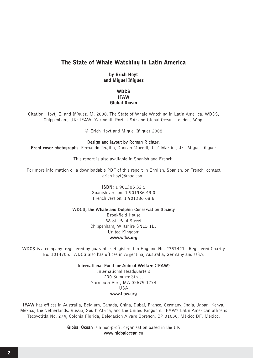# The State of Whale Watching in Latin America

#### by Erich Hoyt and Miguel Iñíguez

#### **WDCS** IFAW Global Ocean

Citation: Hoyt, E. and Iñíguez, M. 2008. The State of Whale Watching in Latin America. WDCS, Chippenham, UK; IFAW, Yarmouth Port, USA; and Global Ocean, London, 60pp.

© Erich Hoyt and Miguel Iñíguez 2008

#### Design and layout by Roman Richter.

Front cover photographs: Fernando Trujillo, Duncan Murrell, José Martins, Jr., Miguel Iñíguez

This report is also available in Spanish and French.

For more information or a downloadable PDF of this report in English, Spanish, or French, contact erich.hoyt@mac.com.

> ISBN: 1 901386 32 5 Spanish version: 1 901386 43 0 French version: 1 901386 68 6

#### WDCS, the Whale and Dolphin Conservation Society

Brookfield House 38 St. Paul Street Chippenham, Wiltshire SN15 1LJ United Kingdom www.wdcs.org

WDCS is a company registered by guarantee. Registered in England No. 2737421. Registered Charity No. 1014705. WDCS also has offices in Argentina, Australia, Germany and USA.

#### International Fund for Animal Welfare (IFAW)

International Headquarters 290 Summer Street Yarmouth Port, MA 02675-1734 USA www.ifaw.org

IFAW has offices in Australia, Belgium, Canada, China, Dubai, France, Germany, India, Japan, Kenya, México, the Netherlands, Russia, South Africa, and the United Kingdom. IFAW's Latin American office is Tecoyotitla No. 274, Colonia Florida, Delegacion Alvaro Obregon, CP 01030, México DF, México.

> Global Ocean is a non-profit organisation based in the UK www.globalocean.eu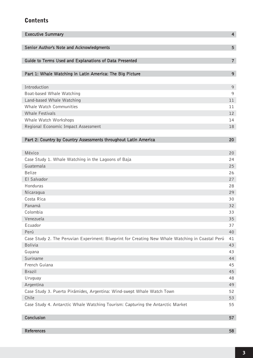# **Contents**

| <b>Executive Summary</b>                                                                         | $\overline{4}$ |
|--------------------------------------------------------------------------------------------------|----------------|
| Senior Author's Note and Acknowledgments                                                         | 5              |
| Guide to Terms Used and Explanations of Data Presented                                           | $\overline{7}$ |
| Part 1: Whale Watching in Latin America: The Big Picture                                         | 9              |
| Introduction                                                                                     | $\circ$        |
| Boat-based Whale Watching                                                                        | 9              |
| Land-based Whale Watching                                                                        | 11             |
| Whale Watch Communities                                                                          | 11             |
| <b>Whale Festivals</b>                                                                           | 12             |
| Whale Watch Workshops                                                                            | 14             |
| Regional Economic Impact Assessment                                                              | 18             |
|                                                                                                  |                |
| Part 2: Country by Country Assessments throughout Latin America                                  | 20             |
|                                                                                                  |                |
| México                                                                                           | 20             |
| Case Study 1. Whale Watching in the Lagoons of Baja                                              | 24             |
| Guatemala                                                                                        | 25             |
| <b>Belize</b>                                                                                    | 26             |
| El Salvador                                                                                      | 27             |
| Honduras                                                                                         | 28             |
| Nicaragua                                                                                        | 29             |
| Costa Rica                                                                                       | 30             |
| Panamá                                                                                           | 32             |
| Colombia                                                                                         | 33             |
| Venezuela                                                                                        | 35             |
| Ecuador                                                                                          | 37             |
| Perú                                                                                             | 40             |
| Case Study 2. The Peruvian Experiment: Blueprint for Creating New Whale Watching in Coastal Perú | 41             |
| <b>Bolivia</b>                                                                                   | 43             |
| Guyana                                                                                           | 43             |
| Suriname                                                                                         | 44             |
| French Guiana                                                                                    | 45             |
| Brazil                                                                                           | 45             |
| Uruguay                                                                                          | 48             |
| Argentina                                                                                        | 49             |
| Case Study 3. Puerto Pirámides, Argentina: Wind-swept Whale Watch Town                           | 52             |
| Chile                                                                                            | 53             |
| Case Study 4. Antarctic Whale Watching Tourism: Capturing the Antarctic Market                   | 55             |
| Conclusion                                                                                       | 57             |
|                                                                                                  |                |
| <b>References</b>                                                                                | 58             |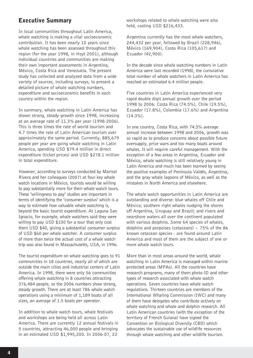# Executive Summary

In local communities throughout Latin America, whale watching is making a vital socioeconomic contribution. It has been nearly 10 years since whale watching has been assessed throughout this region (for the year 1998, in Hoyt 2001), although individual countries and communities are making their own important assessments in Argentina, México, Costa Rica and Venezuela. The present study has collected and analyzed data from a wide variety of sources, including surveys, to present a detailed picture of whale watching numbers, expenditure and socioeconomic benefits in each country within the region.

In summary, whale watching in Latin America has shown strong, steady growth since 1998, increasing at an average rate of 11.3% per year (1998-2006). This is three times the rate of world tourism and 4.7 times the rate of Latin American tourism over approximately the same period. Currently, 885,679 people per year are going whale watching in Latin America, spending USD \$79.4 million in direct expenditure (ticket prices) and USD \$278.1 million in total expenditure.

However, according to surveys conducted by Marisol Rivera and her colleagues (2007) at four key whale watch locations in México, tourists would be willing to pay substantially more for their whale watch tours. These "willingness to pay" studies are important in terms of identifying the "consumer surplus" which is a way to estimate how valuable whale watching is, beyond the basic tourist expenditure. At Laguna San Ignacio, for example, whale watchers said they were willing to pay USD \$100 for a tour that only cost them USD \$40, giving a substantial consumer surplus of USD \$60 per whale watcher. A consumer surplus of more than twice the actual cost of a whale watch trip was also found in Massachusetts, USA, in 1996.

The tourist expenditure on whale watching goes to 91 communities in 18 countries, nearly all of which are outside the main cities and industrial centers of Latin America. In 1998, there were only 56 communities offering whale watching in 8 countries attracting 376,484 people, so the 2006 numbers show strong, steady growth. There are at least 786 whale watch operations using a minimum of 1,189 boats of all sizes, an average of 1.5 boats per operator.

In addition to whale watch tours, whale festivals and workshops are being held all across Latin America. There are currently 12 annual festivals in 5 countries, attracting 46,000 people and bringing in an estimated USD \$1,995,200. In 2006-07, 22

workshops related to whale watching were also held, costing USD \$216,433.

Argentina currently has the most whale watchers, 244,432 per year, followed by Brazil (228,946), México (169,904), Costa Rica (105,617) and Ecuador (42,900).

In the decade since whale watching numbers in Latin America were last recorded (1998), the cumulative total number of whale watchers in Latin America has reached an estimated 6.4 million people.

Five countries in Latin America experienced very rapid double digit annual growth over the period 1998 to 2006: Costa Rica (74.5%), Chile (19.5%), Ecuador (17.8%), Colombia (17.6%) and Argentina (14.3%).

In one country, Costa Rica, with 74.5% average annual increase between 1998 and 2006, growth was so rapid as to produce concerns about possible future oversupply, price wars and too many boats around whales. It will require careful management. With the exception of a few areas in Argentina, Ecuador and México, whale watching is still relatively young in Latin America and much has been learned by seeing the positive examples of Península Valdés, Argentina, and the gray whale lagoons of México, as well as the mistakes in North America and elsewhere.

The whale watch opportunities in Latin America are outstanding and diverse: blue whales off Chile and México; southern right whales nudging the shores off Argentina, Uruguay and Brazil; and rivers and nearshore waters all over the continent populated with various dolphins. Some 64 species of whales, dolphins and porpoises (cetaceans)  $-75%$  of the 86 known cetacean species - are found around Latin America and most of them are the subject of one or more whale watch tours.

More than in most areas around the world, whale watching in Latin America is managed within marine protected areas (MPAs). All the countries have research programs, many of them photo-ID and other types of research associated with whale watch operations. Seven countries have whale watch regulations. Thirteen countries are members of the International Whaling Commission (IWC) and many of them have delegates who contribute actively on whale watching and whale and dolphin research. All Latin American countries (with the exception of the territory of French Guiana) have signed the Convention on Biological Diversity (CBD) which advocates the sustainable use of wildlife resources through whale watching and other wildlife tourism.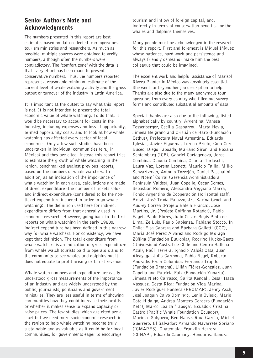# Senior Author's Note and Acknowledgments

The numbers presented in this report are best estimates based on data collected from operators, tourism ministries and researchers. As much as possible, multiple sources were obtained to verify numbers, although often the numbers were contradictory. The "comfort zone" with the data is that every effort has been made to present conservative numbers. Thus, the numbers reported represent a reasonable minimum estimate of the current level of whale watching activity and the gross output or turnover of the industry in Latin America.

It is important at the outset to say what this report is not. It is not intended to present the total economic value of whale watching. To do that, it would be necessary to account for costs in the industry, including expenses and loss of opportunity, termed opportunity costs, and to look at how whale watching has affected every sector of local economies. Only a few such studies have been undertaken in individual communities (e.g., in México) and they are cited. Instead this report tries to estimate the growth of whale watching in the region, benchmarked against previous reports, based on the numbers of whale watchers. In addition, as an indication of the importance of whale watching in each area, calculations are made of direct expenditure (the number of tickets sold) and indirect expenditure (considered to be the nonticket expenditure incurred in order to go whale watching). The definition used here for indirect expenditure differs from that generally used in economic research. However, going back to the first reports on whale watching in the early 1980s, indirect expenditure has been defined in this narrow way for whale watchers. For consistency, we have kept that definition. The total expenditure from whale watchers is an indication of gross expenditure from whale watch tourists paid to operators and to the community to see whales and dolphins but it does not equate to profit arising or to net revenue.

Whale watch numbers and expenditure are easily understood gross measurements of the importance of an industry and are widely understood by the public, journalists, politicians and government ministries. They are less useful in terms of showing communities how they could increase their profits or whether it makes sense to expand capacity or raise prices. The few studies which are cited are a start but we need more socioeconomic research in the region to help whale watching become truly sustainable and as valuable as it could be for local communities, for governments eager to encourage

tourism and inflow of foreign capital, and, indirectly in terms of conservation benefits, for the whales and dolphins themselves.

Many people must be acknowledged in the research for this report. First and foremost is Miguel Iñíguez whose patience, hard work and persistence and always friendly demeanor make him the best colleague that could be imagined.

The excellent work and helpful assistance of Marisol Rivera Planter in México was absolutely essential. She went far beyond her job description to help. Thanks are also due to the many anonymous tour operators from every country who filled out survey forms and contributed substantial amounts of data.

Special thanks are also due to the following, listed alphabetically by country. Argentina: Vanesa Tossenberger, Cecilia Gasparrou, Marta Hevia, Jimena Belgrano and Cristián de Haro (Fundación Cethus), Prefectura Naval Argentina, Eduardo Iglesias, Javier Figueroa, Lorena Prieto, Cota Cero Buceo, Diego Taboada, Mariano Sironi and Roxana Schteinbarg (ICB), Gabriel Cartagenova, Jorge Combina, Claudia Combina, Chantal Torlaschi, Laura Vaz, Lorena Leonett, Mauricio Failla, Milko Schvartzman, Antonio Torrejón, Daniel Pascualini and Noemí Corral (Gerencia Administradora Península Valdés), Juan Copello, Oscar Comes, Sebastián Romero, Alessandra Viggiano Marra, Fondo Argentino de Cooperación Horizontal staff. Brazil: José Truda Palazzo, Jr., Karina Groch and Audrey Correa (Projeto Baleia Franca), Jose Martins, Jr. (Projeto Golfinho Rotador), Pablo Faget, Paulo Flores, Julio Cesar, Regis Pinto de Lima, Ze Luis, Paulo Sapienza, Fabiano Stocco. In Chile: Elsa Cabrera and Bárbara Galletti (CCC), María José Pérez Alvarez and Rodrigo Moraga Zúñiga (Fundación Eutropia), Rodrigo Hucke-Gaete (Universidad Austral de Chile and Centro Ballena Azul), Raúl Herrera, Ignacio Valdés Ossa, Juan Alcayaga, Julio Carmona, Pablo Negri, Roberto Andrade. From Colombia: Fernando Trujillo (Fundación Omacha), Lilián Flórez-González, Juan Capella and Patricia Falk (Fundación Yubarta), Jimena Nieto Carrasco, Sarita Kendall, Cesar Isaza Vásquez. Costa Rica: Fundación Vida Marina, Javier Rodríguez Fonseca (PROMAR), Jenny Asch, José Joaquín Calvo Domingo, Lenin Oviedo, Mario Coto Hidalgo, Andrea Montero Cordero (Fundación Keto), Marco Loaiza "Taboga". Ecuador: Cristina Castro (Pacific Whale Foundation Ecuador), Mariela Salguero, Ben Haase, Raúl García, Michel Guerrero. El Salvador: Armando Navarrete Soriano (ICMARES). Guatemala: Franklin Herrera (CONAP), Eduardo Capmany. Honduras: Sandra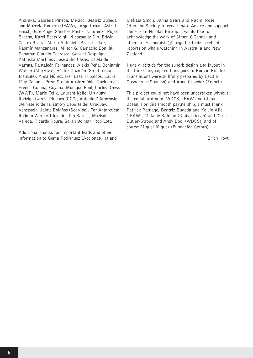Andraka, Gabriela Pineda. México: Beatriz Bugeda and Marcela Romero (IFAW), Jorge Urbán, Astrid Frisch, José Angel Sánchez Pacheco, Lorenzo Rojas Bracho, Karel Beets Vigil. Nicaragua: Dip. Edwin Castro Rivera, María Antonieta Rivas Leclair, Raomír Manzanarez, Milton G. Camacho Bonilla. Panamá: Claudio Carrasco, Gabriel Despaigne, Katiuska Martínez, José Julio Casas, Estela de Vargas, Pantaleón Fernández, Alexis Peña, Benjamín Walker (MarViva), Héctor Guzmán (Smithsonian Institute), Anna Núñez, Iker Lasa Tribaldos, Laura May Collado. Perú: Stefan Austermühle. Suriname, French Guiana, Guyana: Monique Pool, Carlos Drews (WWF), Marie Felix, Laurent Kelle. Uruguay: Rodrigo García Píngaro (OCC), Antonio D'Ambrosio (Ministerio de Turismo y Deporte del Uruguay). Venezuela: Jaime Bolaños (SeaVida). For Antarctica: Rodolfo Werner Kinkelin, Jim Barnes, Marisol Vereda, Ricardo Roura, Sarah Dolman, Rob Lott.

Additional thanks for important leads and other information to Gema Rodríguez (Acciónatura) and

Melissa Singh, Janna Sears and Naomi Rose (Humane Society International). Advice and support came from Nicolas Entrup. I would like to acknowledge the work of Simon O'Connor and others at Economists@Large for their excellent reports on whale watching in Australia and New Zealand.

Huge gratitude for the superb design and layout in the three language editions goes to Roman Richter. Translations were skillfully prepared by Cecilia Gasparrou (Spanish) and Anne Crowder (French).

This project could not have been undertaken without the collaboration of WDCS, IFAW and Global Ocean. For this smooth partnership, I must thank Patrick Ramage, Beatriz Bugeda and Kelvin Alie (IFAW), Melanie Salmon (Global Ocean) and Chris Butler-Stroud and Andy Bool (WDCS), and of course Miguel Iñíguez (Fundación Cethus).

Erich Hoyt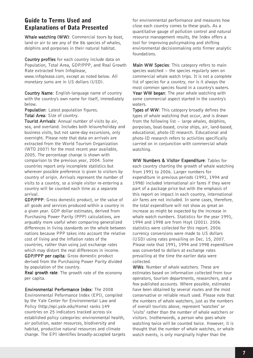# Guide to Terms Used and Explanations of Data Presented

Whale watching (WW): Commercial tours by boat, land or air to see any of the 86 species of whales, dolphins and porpoises in their natural habitat.

Country profiles for each country include data on Population, Total Area, GDP/PPP, and Real Growth Rate extracted from Infoplease, www.infoplease.com, except as noted below. All monetary sums are in US dollars (USD).

Country Name: English-language name of country with the country's own name for itself, immediately below.

Population: Latest population figures.

Total Area: Size of country.

Tourist Arrivals: Annual number of visits by air, sea, and overland. Includes both leisure/holiday and business visits, but not same-day excursions, only overnight. Please note that data on arrivals are extracted from the World Tourism Organization (WTO 2007) for the most recent year available, 2005. The percentage change is shown with comparison to the previous year, 2004. Some countries report only incomplete statistics but wherever possible preference is given to visitors by country of origin. Arrivals represent the number of visits to a country, so a single visitor re-entering a country will be counted each time as a separate arrival.

GDP/PPP: Gross domestic product, or the value of all goods and services produced within a country in a given year. GDP dollar estimates, derived from Purchasing Power Parity (PPP) calculations, are arguably more useful when comparing generalized differences in living standards on the whole between nations because PPP takes into account the relative cost of living and the inflation rates of the countries, rather than using just exchange rates which may distort the real differences in income. GDP/PPP per capita: Gross domestic product

derived from the Purchasing Power Parity divided by population of the country.

Real growth rate: The growth rate of the economy per capita.

Environmental Performance Index: The 2008 Environmental Peformance Index (EPI), compiled by the Yale Center for Environmental Law and Policy (http://epi.yale.edu/Home) ranks 149 countries on 25 indicators tracked across six established policy categories: environmental health, air pollution, water resources, biodiversity and habitat, productive natural resources and climate change. The EPI identifies broadly-accepted targets for environmental performance and measures how close each country comes to these goals. As a quantitative gauge of pollution control and natural resource management results, the Index offers a tool for improving policymaking and shifting environmental decisionmaking onto firmer analytic foundations.

Main WW Species: This category refers to main species watched  $-$  the species regularly seen on commercial whale watch trips. It is not a complete list of species for a country, nor is it always the most common species found in a country's waters. Year WW began: The year whale watching with some commercial aspect started in the country's waters.

Types of WW: This category broadly defines the types of whale watching that occur, and is drawn from the following list  $-$  large whales, dolphins, porpoises, boat-based, cruise ships, air, land-based, educational, photo-ID research. Educational and photo-ID research refers to activities specifically carried on in conjunction with commercial whale watching.

WW Numbers & Visitor Expenditure: Tables for each country charting the growth of whale watching from 1991 to 2006. Larger numbers for expenditure in previous periods (1991, 1994 and 1998) included international air fares if they were part of a package price but with the emphasis of this report on impact in each country, international air fares are not included. In some cases, therefore, the total expenditure will not show as great an increase as might be expected by the increase in whale watch numbers. Statistics for the year 1991, 1994 and 1998 are from Hoyt (2001). 2006 statistics were collected for this report. 2006 currency conversions were made to US dollars (USD) using rates prevailing on Dec. 15, 2007. Please note that 1991, 1994 and 1998 expenditure was converted to dollars at exchange rates prevailing at the time the earlier data were collected.

WWs: Number of whale watchers. These are estimates based on information collected from tour operators, tourism departments, researchers, and a few published accounts. Where possible, estimates have been obtained by several routes and the most conservative or reliable result used. Please note that the numbers of whale watchers, just as the numbers of overall tourists above, represent "watches" or "visits" rather than the number of whale watchers or visitors. Inotherwords, a person who goes whale watching twice will be counted twice. However, it is thought that the number of whale watches, or whale watch events, is only marginally higher than the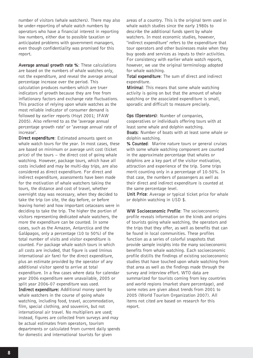number of visitors (whale watchers). There may also be under-reporting of whale watch numbers by operators who have a financial interest in reporting low numbers, either due to possible taxation or anticipated problems with government managers, even though confidentiality was promised for this report.

Average annual growth rate %: These calculations are based on the numbers of whale watches only, not the expenditure, and reveal the average annual percentage increase over the period. This calculation produces numbers which are truer indicators of growth because they are free from inflationary factors and exchange rate fluctuations. This practice of relying upon whale watches as the most reliable indicator of consumer demand is followed by earlier reports (Hoyt 2001; IFAW 2005). Also referred to as the "average annual percentage growth rate" or "average annual rate of increase".

Direct expenditure: Estimated amounts spent on whale watch tours for the year. In most cases, these are based on minimum or average unit cost (ticket price) of the tours  $-$  the direct cost of going whale watching. However, package tours, which have all costs included and may be multi-day trips, are also considered as direct expenditure. For direct and indirect expenditure, assessments have been made for the motivation of whale watchers taking the tours, the distance and cost of travel, whether overnight stay was necessary, when they decided to take the trip (on site, the day before, or before leaving home) and how important cetaceans were in deciding to take the trip. The higher the portion of visitors representing dedicated whale watchers, the more the expenditure can be counted. In some cases, such as the Amazon, Antarctica and the Galápagos, only a percentage (10 to 50%) of the total number of visits and visitor expenditure is counted. For package whale watch tours in which all costs are included, that figure is used (minus international air fare) for the direct expenditure, plus an estimate provided by the operator of any additional visitor spend to arrive at total expenditure. In a few cases where data for calendar year 2006 expenditure were unavailable, 2005 or split year 2006-07 expenditure was used. Indirect expenditure: Additional money spent by whale watchers in the course of going whale watching, including food, travel, accommodation, film, special clothing, and souvenirs, but not international air travel. No multipliers are used; instead, figures are collected from surveys and may be actual estimates from operators, tourism departments or calculated from current daily spends for domestic and international tourists for given

areas of a country. This is the original term used in whale watch studies since the early 1980s to describe the additional funds spent by whale watchers. In most economic studies, however, "indirect expenditure" refers to the expenditure that tour operators and other businesses make when they buy goods and services as inputs to their activities. For consistency with earlier whale watch reports, however, we use the original terminology adopted for whale watching.

Total expenditure: The sum of direct and indirect expenditure.

Minimal: This means that some whale watching activity is going on but that the amount of whale watching or the associated expenditure is small, sporadic and difficult to measure precisely.

Ops (Operators): Number of companies, cooperatives or individuals offering tours with at least some whale and dolphin watching. Boats: Number of boats with at least some whale or dolphin watching.

% Counted: Marine nature tours or general cruises with some whale watching component are counted in the approximate percentage that whales or dolphins are a key part of the visitor motivation, attraction and experience of the trip. Some trips merit counting only in a percentage of 10-50%. In that case, the numbers of passengers as well as their direct and indirect expenditure is counted at the same percentage level.

Unit Price: Average or typical ticket price for whale or dolphin watching in USD \$.

WW Socioeconomic Profile: The socioeconomic profile reveals information on the kinds and origins of tourists going whale watching, the operators and the trips that they offer, as well as benefits that can be found in local communities. These profiles function as a series of colorful snapshots that provide sample insights into the many socioeconomic benefits from whale watching. Each socioeconomic profile distills the findings of existing socioeconomic studies that have touched upon whale watching from that area as well as the findings made through the survey and interview effort. WTO data are summarized for tourists coming from key countries and world regions (market share percentage), and some notes are given about trends from 2001 to 2005 (World Tourism Organization 2007). All items not cited are based on research for this report.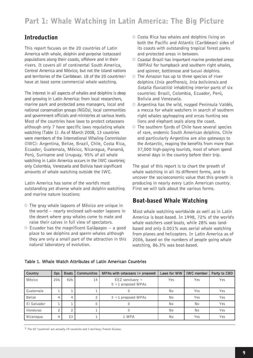# Introduction

This report focuses on the 20 countries of Latin America with whale, dolphin and porpoise (cetacean) populations along their coasts, offshore and in their rivers. It covers all of continental South America, Central America and México, but not the island nations and territories of the Caribbean. 18 of the 20 countries<sup>1</sup> have at least some commercial whale watching.

The interest in all aspects of whales and dolphins is deep and growing in Latin America: from local researchers, marine park and protected area managers, local and national conservation groups (NGOs), local communities and government officials and ministries at various levels. Most of the countries have laws to protect cetaceans although only 7 have specific laws regulating whale watching (Table 1). As of March 2008, 13 countries were members of the International Whaling Commission (IWC): Argentina, Belize, Brazil, Chile, Costa Rica, Ecuador, Guatemala, México, Nicaragua, Panamá, Perú, Suriname and Uruguay. 95% of all whale watching in Latin America occurs in the IWC countries; only Colombia, Venezuela and Bolivia have significant amounts of whale watching outside the IWC.

Latin America has some of the world's most outstanding yet diverse whale and dolphin watching and marine nature locations:

- $\circ$  The gray whale lagoons of México are unique in the world - nearly enclosed salt-water lagoons in the desert where gray whales come to mate and raise their calves in full view of spectators.
- $\circ$  Ecuador has the magnificent Galápagos a good place to see dolphins and sperm whales although they are only a small part of the attraction in this natural laboratory of evolution.
- $\circ$  Costa Rica has whales and dolphins living on both the Pacific and Atlantic (Caribbean) sides of its coasts with outstanding tropical forest parks and protected areas in between.
- $\circ$  Coastal Brazil has important marine protected areas (MPAs) for humpback and southern right whales, and spinner, bottlenose and tucuxi dolphins.
- $\circ$  The Amazon has up to three species of river dolphins (Inia geoffrensis, Inia boliviensis and Sotalia fluviatilis) inhabiting interior parts of six countries: Brazil, Colombia, Ecuador, Perú, Bolivia and Venezuela.
- $\circ$  Argentina has the wild, rugged Peninsula Valdés, a mecca for whale watchers in search of southern right whales spyhopping and orcas hunting sea lions and elephant seals along the coast.
- $\circ$  The southern fjords of Chile have several species of rare, endemic South American dolphins. Chile and particularly Argentina are also gateways to the Antarctic, reaping the benefits from more than 37,000 high-paying tourists, most of whom spend several days in the country before their trip.

The goal of this report is to chart the growth of whale watching in all its different forms, and to uncover the socioeconomic value that this growth is producing in nearly every Latin American country. First we will talk about the various forms.

# Boat-based Whale Watching

Most whale watching worldwide as well as in Latin America is boat-based. In 1998, 72% of the world's whale watchers used boats, while 28% was landbased and only 0.001% was aerial whale watching from planes and helicopters. In Latin America as of 2006, based on the numbers of people going whale watching, 86.3% was boat-based.

| Country       | Ops       | <b>Boats</b> | <b>Communities</b> | MPAs with cetaceans $(+)$ proposed)          | Laws for WW | <b>IWC</b> member | Party to CBD |
|---------------|-----------|--------------|--------------------|----------------------------------------------|-------------|-------------------|--------------|
| México        | 206       | 426          | 14                 | $EEZ$ sanctuary $+$<br>$5 + 1$ proposed MPAs | Yes         | Yes               | Yes          |
| Guatemala     |           |              |                    |                                              | No          | Yes               | Yes          |
| <b>Belize</b> | 4         |              |                    | $3 + 1$ proposed MPAs                        | No          | Yes               | Yes          |
| El Salvador   |           |              |                    |                                              | No          | No                | Yes          |
| Honduras      | $\bigcap$ |              |                    |                                              | No          | No                | Yes          |
| Nicaragua     | 4         | 23           |                    | 1 MPA                                        | No          | Yes               | Yes          |

#### Table 1. Whale Watch Attributes of Latin American Countries

 $1$  The 20 "countries" are actually 19 countries and 1 territory: French Guiana.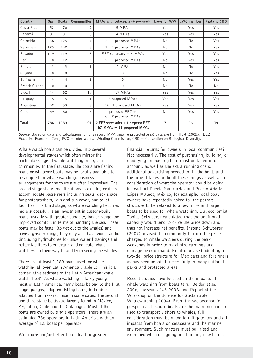| Country        | Ops      | <b>Boats</b> | <b>Communities</b> | MPAs with cetaceans (+ proposed)                                 | Laws for WW    | <b>IWC</b> member | Party to CBD |
|----------------|----------|--------------|--------------------|------------------------------------------------------------------|----------------|-------------------|--------------|
| Costa Rica     | 52       | 76           | 9                  | 5 MPAs                                                           | Yes            | Yes               | Yes          |
| Panamá         | 81       | 81           | 6                  | 4 MPAs                                                           | Yes            | Yes               | Yes          |
| Colombia       | 36       | 125          | 7                  | $2 + 1$ proposed MPAs                                            | No             | No                | Yes          |
| Venezuela      | 123      | 132          | 9                  | $1 + 1$ proposed MPAs                                            | No             | No                | Yes          |
| Ecuador        | 119      | 119          | 6                  | EEZ sanctuary $+$ 4 MPAs                                         | Yes            | Yes               | Yes          |
| Perú           | 10       | 12           | 3                  | $2 + 1$ proposed MPAs                                            | No             | Yes               | Yes          |
| <b>Bolivia</b> | 3        | 3            | 1                  | 1 MPA                                                            | No             | No                | Yes          |
| Guyana         | $\Omega$ | $\Omega$     | $\Omega$           | $\Omega$                                                         | No             | No                | Yes          |
| Suriname       | 4        | 4            |                    | $\mathbf 0$                                                      | No             | Yes               | Yes          |
| French Guiana  | $\Omega$ | $\Omega$     | $\Omega$           | 0                                                                | No             | No                | No           |
| Brazil         | 44       | 62           | 13                 | 17 MPAs                                                          | Yes            | Yes               | Yes          |
| Uruguay        | 5        | 5            | 1                  | 3 proposed MPAs                                                  | Yes            | Yes               | Yes          |
| Argentina      | 32       | 53           | 9                  | $16+1$ proposed MPAs                                             | Yes            | Yes               | Yes          |
| Chile          | 59       | 60           | $\overline{7}$     | proposed $EEZ +$<br>$6 + 2$ proposed MPAs                        | No             | Yes               | Yes          |
| Total          | 786      | 1189         | 91                 | 2 EEZ sanctuaries + 1 proposed EEZ<br>67 MPAs + 11 proposed MPAs | $\overline{7}$ | 13                | 19           |

Source: Based on data and calculations for this report; MPA (marine protected area) data are from Hoyt (2005a). EEZ = Exclusive Economic Zone; IWC = International Whaling Commission; CBD = Convention on Biological Diversity.

Whale watch boats can be divided into several developmental stages which often mirror the particular stage of whale watching in a given community. In the first stage, the boats are fishing boats or whatever boats may be locally available to be adapted for whale watching; business arrangements for the tours are often improvised. The second stage shows modifications to existing craft to accommodate passengers including seats, deck space for photographers, rain and sun cover, and toilet facilities. The third stage, as whale watching becomes more successful, is an investment in custom-built boats, usually with greater capacity, longer range and improved comfort in terms of handling the sea. These boats may be faster (to get out to the whales) and have a greater range; they may also have video, audio (including hydrophones for underwater listening) and better facilities to entertain and educate whale watchers on their way to and from seeing the whales.

There are at least 1,189 boats used for whale watching all over Latin America (Table 1). This is a conservative estimate of the Latin American whale watch "fleet". As whale watching is fairly young in most of Latin America, many boats belong to the first stage: pangas, adapted fishing boats, inflatables adapted from research use in some cases. The second and third stage boats are largely found in México, Argentina, Chile and the Galápagos. Most of the boats are owned by single operators. There are an estimated 786 operators in Latin America, with an average of 1.5 boats per operator.

Will more and/or better boats lead to greater

financial returns for owners in local communities? Not necessarily. The cost of purchasing, building, or modifying an existing boat must be taken into account, as well as the extra running costs, additional advertising needed to fill the boat, and the time it takes to do all these things as well as a consideration of what the operator could be doing instead. At Puerto San Carlos and Puerto Adolfo López Mateos, México, for example, local boat owners have repeatedly asked for the permit structure to be relaxed to allow more and larger boats to be used for whale watching. But economist Tobias Schwoerer calculated that the additional capacity would tend to drive the price down and thus not increase net benefits. Instead Schwoerer (2007) advised the community to raise the price charged to whale watchers during the peak weekends in order to maximize earnings and manage peak demand. He also advised adopting a two-tier price structure for Mexicans and foreigners as has been adopted successfully in many national parks and protected areas.

Recent studies have focused on the impacts of whale watching from boats (e.g., Bejder et al. 2006, Lusseau et al. 2006, and Report of the Workshop on the Science for Sustainable Whalewatching 2004). From the socioeconomic perspective, because boats are the main mechanism used to transport visitors to whales, full consideration must be made to mitigate any and all impacts from boats on cetaceans and the marine environment. Such matters must be raised and examined when designing and building new boats,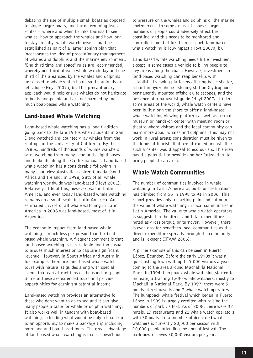debating the use of multiple small boats as opposed to single larger boats, and for determining track routes - where and when to take tourists to see whales, how to approach the whales and how long to stay. Ideally, whale watch areas should be established as part of a larger zoning plan that incorporates the idea of precautionary management of whales and dolphins and the marine environment. "One third time and space" rules are recommended, whereby one third of each whale watch day and one third of the area used by the whales and dolphins are closed to whale watch boats so the animals are left alone (Hoyt 2007a, b). This precautionary approach would help ensure whales do not habituate to boats and people and are not harmed by too much boat-based whale watching.

# Land-based Whale Watching

Land-based whale watching has a long tradition going back to the late 1940s when students in San Diego watched and counted gray whales from the rooftops of the University of California. By the 1980s, hundreds of thousands of whale watchers were watching from many headlands, lighthouses and lookouts along the California coast. Land-based whale watching has a considerable following in many countries: Australia, eastern Canada, South Africa and Ireland. In 1998, 28% of all whale watching worldwide was land-based (Hoyt 2001). Relatively little of this, however, was in Latin America, and even today land-based whale watching remains on a small scale in Latin America. An estimated 13.7% of all whale watching in Latin America in 2006 was land-based, most of it in Argentina.

The economic impact from land-based whale watching is much less per person than for boatbased whale watching. A frequent comment is that land-based watching is less reliable and too casual to arouse much interest or to capture significant revenue. However, in South Africa and Australia, for example, there are land-based whale watch tours with naturalist guides along with special events that can attract tens of thousands of people. Some of these are extended tours and provide opportunities for earning substantial income.

Land-based watching provides an alternative for those who don't want to go to sea and it can give many people a taste for whale or dolphin watching. It also works well in tandem with boat-based watching, extending what would be only a boat trip to an opportunity to make a package trip including both land and boat-based tours. The great advantage of land-based whale watching is that it doesn't add

to pressure on the whales and dolphins or the marine environment. In some areas, of course, large numbers of people could adversely affect the coastline, and this needs to be monitored and controlled, too, but for the most part, land-based whale watching is low-impact (Hoyt 2007a, b).

Land-based whale watching needs little investment except in some cases a vehicle to bring people to key areas along the coast. However, investment in land-based watching can reap benefits with established viewing platforms offering basic shelter, a built in hydrophone listening station (hydrophone permanently mounted offshore), telescopes, and the presence of a naturalist guide (Hoyt 2007a, b). In some areas of the world, whale watch centers have been built along the shore to offer a land-based whale watching viewing platform as well as a small museum or hands-on center with meeting room or theatre where visitors and the local community can learn more about whales and dolphins. This may not work in rural areas; consideration must be given to the kinds of tourists that are attracted and whether such a center would appeal to ecotourists. This idea has the potential to provide another "attraction" to bring people to an area.

# Whale Watch Communities

The number of communities involved in whale watching in Latin America as ports or destinations has climbed from 56 in 1998 to 91 in 2006. This report provides only a starting point indication of the value of whale watching in local communities in Latin America. The value to whale watch operators is suggested in the direct and total expenditure noted as gross output, or turnover. However, there is even greater benefit to local communities as this direct expenditure spreads through the community and is re-spent (IFAW 2005).

A prime example of this can be seen in Puerto López, Ecuador. Before the early 1990s it was a quiet fishing town with up to 3,000 visitors a year coming to the area around Machalilla National Park. In 1994, humpback whale watching started to increase, attracting 1,630 whale watchers, mostly to Machalilla National Park. By 1997, there were 5 hotels, 4 restaurants and 7 whale watch operators. The humpback whale festival which began in Puerto López in 1999 is largely credited with raising the numbers of park visitors. As of 2008, there were 32 hotels, 13 restaurants and 22 whale watch operators with 30 boats. Total number of dedicated whale watchers is currently 20,000 per season with 10,000 people attending the annual festival. The park now receives 30,000 visitors per year.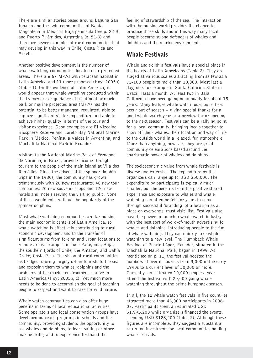There are similar stories based around Laguna San Ignacio and the twin communities of Bahía Magdalena in México's Baja peninsula (see p. 22-3) and Puerto Pirámides, Argentina (p. 51-3) and there are newer examples of rural communities that may develop in this way in Chile, Costa Rica and Brazil.

Another positive development is the number of whale watching communities located near protected areas. There are 67 MPAs with cetacean habitat in Latin America and 11 more proposed (Hoyt 2005a) (Table 1). On the evidence of Latin America, it would appear that whale watching conducted within the framework or guidance of a national or marine park or marine protected area (MPA) has the potential to be better managed, regulated, able to capture significant visitor expenditure and able to achieve higher quality in terms of the tour and visitor experience. Good examples are El Vizcaíno Biosphere Reserve and Loreto Bay National Marine Park in México, Península Valdés in Argentina, and Machalilla National Park in Ecuador.

Visitors to the National Marine Park of Fernando de Noronha, in Brazil, provide income through tourism to the people of the main island at Vila dos Remédios. Since the advent of the spinner dolphin trips in the 1980s, the community has grown tremendously with 20 new restaurants, 40 new tour companies, 20 new souvenir shops and 120 new hotels and motels serving the visiting public. None of these would exist without the popularity of the spinner dolphins.

Most whale watching communities are far outside the main economic centers of Latin America, so whale watching is effectively contributing to rural economic development and to the transfer of significant sums from foreign and urban locations to remote areas; examples include Patagonia, Baja, the southern fjords of Chile, the Amazon, and Bahía Drake, Costa Rica. The vision of rural communities as bridges to bring largely urban tourists to the sea and exposing them to whales, dolphins and the problems of the marine environment is alive in Latin America (Hoyt 2005b, c). Yet much more needs to be done to accomplish the goal of teaching people to respect and want to care for wild nature.

Whale watch communities can also offer huge benefits in terms of local educational activities. Some operators and local conservation groups have developed outreach programs in schools and the community, providing students the opportunity to see whales and dolphins, to learn sailing or other marine skills, and to experience firsthand the

feeling of stewardship of the sea. The interaction with the outside world provides the chance to practice those skills and in this way many local people become strong defenders of whales and dolphins and the marine environment.

# Whale Festivals

Whale and dolphin festivals have a special place in the hearts of Latin Americans (Table 2). They are staged at various scales attracting from as few as a 75-100 people to more than 10,000. Most last a day; one, for example in Santa Catarina State in Brazil, lasts a month. At least two in Baja California have been going on annually for about 15 years. Many feature whale watch tours but others occur out of season – giving special thanks for a good whale watch year or a preview for or opening to the next season. Festivals can be a rallying point for a local community, bringing locals together to show off their whales, their location and way of life to the outside world in a relaxed, fun atmosphere. More than anything, however, they are great community celebrations based around the charismatic power of whales and dolphins.

The socioeconomic value from whale festivals is diverse and extensive. The expenditure by the organizers can range up to USD \$50,000. The expenditure by participants is typically much smaller, but the benefits from the positive shared experience and exposure to whales and whale watching can often be felt for years to come through successful "branding" of a location as a place on everyone's "must visit" list. Festivals also have the power to launch a whale watch industry, with the best sort of word-of-mouth advertising for whales and dolphins, introducing people to the fun of whale watching. They can quickly take whale watching to a new level. The Humpback Whale Festival of Puerto López, Ecuador, situated in the Machalilla National Park, began in 1999. As mentioned on p. 11, the festival boosted the numbers of overall tourists from 3,000 in the early 1990s to a current level of 30,000 or more. Currently, an estimated 10,000 people a year attend the festival with 20,000 going whale watching throughout the prime humpback season.

In all, the 12 whale watch festivals in five countries attracted more than 46,000 participants in 2006- 07. Participants spent an estimated USD \$1,995,200 while organizers financed the events, spending USD \$128,200 (Table 2). Although these figures are incomplete, they suggest a substantial return on investment for local communities holding whale festivals.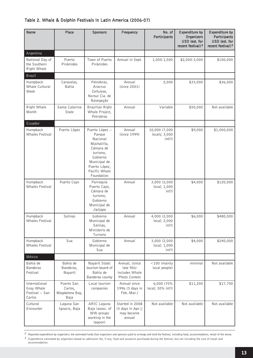### Table 2. Whale & Dolphin Festivals in Latin America (2006-07)

| Name                                                        | Place                                           | <b>Sponsors</b>                                                                                                                                          | Frequency                                                      | No. of<br>Participants                    | <b>Expenditure by</b><br><b>Organizers</b><br>USD (est. for<br>recent festival) <sup>2</sup> | Expenditure by<br>Participants<br>USD (est. for<br>recent festival) <sup>3</sup> |
|-------------------------------------------------------------|-------------------------------------------------|----------------------------------------------------------------------------------------------------------------------------------------------------------|----------------------------------------------------------------|-------------------------------------------|----------------------------------------------------------------------------------------------|----------------------------------------------------------------------------------|
| Argentina<br>National Day of<br>the Southern<br>Right Whale | Puerto<br>Pirámides                             | Town of Puerto<br>Pirámides                                                                                                                              | Annual in Sept.                                                | 1,000-1,500                               | \$2,000-3,000                                                                                | \$100,000                                                                        |
| Brazil<br>Humpback<br>Whale Cultural<br>Week                | Caravelas,<br>Bahía                             | Petrobras,<br>Aracruz<br>Cellulose,<br>Norsul Cia. de<br>Navegação                                                                                       | Annual<br>(since 2001)                                         | 5,000                                     | \$33,000                                                                                     | \$36,000                                                                         |
| Right Whale<br>Month                                        | Santa Catarina<br>State                         | Brazilian Right<br>Whale Project,<br>Petrobras                                                                                                           | Annual                                                         | Variable                                  | \$50,000                                                                                     | Not available                                                                    |
| Ecuador                                                     |                                                 |                                                                                                                                                          |                                                                |                                           |                                                                                              |                                                                                  |
| Humpback<br><b>Whales Festival</b>                          | Puerto López                                    | Puerto López -<br>Parque<br>Nacional<br>Machalilla,<br>Cámara de<br>turismo,<br>Gobierno<br>Municipal de<br>Puerto López,<br>Pacific Whale<br>Foundation | Annual<br>(since 1999)                                         | 10,000 (7,000<br>locals; 3,000<br>intl'l) | \$9,000                                                                                      | \$1,000,000                                                                      |
| Humpback<br><b>Whales Festival</b>                          | Puerto Cayo                                     | Parroquía<br>Puerto Cayo,<br>Cámara de<br>turismo,<br>Gobierno<br>Municipal de<br>Jipijapa                                                               | Annual                                                         | 3,000 (2,000<br>local; 1,000<br>int'l)    | \$4,000                                                                                      | \$120,000                                                                        |
| Humpback<br><b>Whales Festival</b>                          | Salinas                                         | Gobierno<br>Municipal de<br>Salinas,<br>Ministerio de<br>Turismo                                                                                         | Annual                                                         | 4,000 (2,000<br>local; 2,000<br>$int'$ )  | \$6,000                                                                                      | \$480,000                                                                        |
| Humpback<br><b>Whales Festival</b>                          | Sua                                             | Gobierno<br>Municipal de<br>Sua                                                                                                                          | Annual                                                         | 3,000 (2,000<br>local; 1,000<br>$int'$ )  | \$4,000                                                                                      | \$240,000                                                                        |
| México                                                      |                                                 |                                                                                                                                                          |                                                                |                                           |                                                                                              |                                                                                  |
| Bahía de<br><b>Banderas</b><br>Festival                     | Bahía de<br>Banderas,<br>Nayarít                | Nayarít State:<br>tourism board of<br>Bahía de<br>Banderas county                                                                                        | Annual, (since<br>late 90s)<br>includes Whale<br>Photo Contest | $<$ 100 (mainly<br>local people)          | minimal                                                                                      | Not available                                                                    |
| International<br>Gray Whale<br>Festival - San<br>Carlos     | Puerto San<br>Carlos,<br>Magdalena Bay,<br>Baja | Local tourism<br>companies                                                                                                                               | Annual since<br>1996 (3 days in<br>Feb.-Mar.)                  | 6,000 (70%<br>local; 30% int'l)           | \$11,200                                                                                     | \$17,700                                                                         |
| Cultural<br>Encounter                                       | Laguna San<br>Ignacio, Baja                     | ARIC Laguna<br>Baja (assoc. of<br>WW groups<br>working in the<br>lagoon)                                                                                 | Started in 2008<br>(3 days in Apr.);<br>may become<br>annual   | Not available                             | Not available                                                                                | Not available                                                                    |

 $^2$  Reported expenditure by organizers: the estimated funds that organizers and sponsors paid to arrange and hold the festival, including food, accommodation, rental of the venue.

 $^3$  Expenditure estimated by organizers based on admission fee, if any, food and souvenirs purchased during the festival, but not including the cost of travel and accommodation.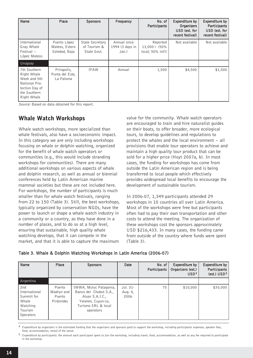| Name                                                                                                          | Place                                           | <b>Sponsors</b>                                       | Frequency                                | No. of<br>Participants                            | <b>Expenditure by</b><br><b>Organizers</b><br>USD (est. for<br>recent festival) | Expenditure by<br>Participants<br>USD (est. for<br>recent festival) |
|---------------------------------------------------------------------------------------------------------------|-------------------------------------------------|-------------------------------------------------------|------------------------------------------|---------------------------------------------------|---------------------------------------------------------------------------------|---------------------------------------------------------------------|
| International<br>Gray Whale<br>$Festival -$<br>López Mateos                                                   | Puerto López<br>Mateos, Estero<br>Soledad, Baja | <b>State Secretary</b><br>of Tourism &<br>State Govt. | Annual since<br>1994 (3 days in<br>Jan.) | Reported<br>$13,000 + (50\%$<br>local; 50% int'l) | Not available                                                                   | Not available                                                       |
| Uruguay                                                                                                       |                                                 |                                                       |                                          |                                                   |                                                                                 |                                                                     |
| 7th Southern<br>Right Whale<br>Week and 5th<br>National Pro-<br>tection Day of<br>the Southern<br>Right Whale | Piriapolis,<br>Punta del Este,<br>La Paloma     | <b>IFAW</b>                                           | Annual                                   | 1,500                                             | \$4,500                                                                         | \$1,500                                                             |

Source: Based on data obtained for this report.

# Whale Watch Workshops

Whale watch workshops, more specialized than whale festivals, also have a socioeconomic impact. In this category we are only including workshops focusing on whale or dolphin watching, organized for the benefit of whale watch operators or communities (e.g., this would include stranding workshops for communities). There are many additional workshops on various aspects of whale and dolphin research, as well as annual or biennial conferences held by Latin American marine mammal societies but these are not included here. For workshops, the number of participants is much smaller than for whale watch festivals, ranging from 22 to 150 (Table 3). Still, the best workshops, typically organized by conservation NGOs, have the power to launch or shape a whale watch industry in a community or a country, as they have done in a number of places, and to do so at a high level, ensuring that sustainable, high quality whale watching develops, that it can compete in the market, and that it is able to capture the maximum

value for the community. Whale watch operators are encouraged to train and hire naturalist guides on their boats, to offer broader, more ecological tours, to develop guidelines and regulations to protect the whales and the local environment - all provisions that enable tour operators to achieve and maintain a high quality tour product that can be sold for a higher price (Hoyt 2007a, b). In most cases, the funding for workshops has come from outside the Latin American region and is being transferred to local people which effectively provides widespread local benefits to encourage the development of sustainable tourism.

In 2006-07, 1,349 participants attended 29 workshops in 10 countries all over Latin America. Most of the workshops were free but participants often had to pay their own transportation and other costs to attend the meeting. The organization of these workshops cost the sponsors approximately USD \$216,433. In many cases, the funding came from outside of the country where funds were spent (Table 3).

| Name                                                                                        | Place                                       | <b>Sponsors</b>                                                                                                               | Date                        | No. of<br>Participants | Expenditure by<br>Organizers (est.)<br>USD <sup>4</sup> | Expenditure by<br><b>Participants</b><br>$(est.)$ USD <sup>5</sup> |
|---------------------------------------------------------------------------------------------|---------------------------------------------|-------------------------------------------------------------------------------------------------------------------------------|-----------------------------|------------------------|---------------------------------------------------------|--------------------------------------------------------------------|
| Argentina                                                                                   |                                             |                                                                                                                               |                             |                        |                                                         |                                                                    |
| 2 <sub>nd</sub><br>International<br>Summit for<br>Whale<br>Watching<br>Tourism<br>Operators | Puerto<br>Madryn and<br>Puerto<br>Pirámides | IWWA, Muluc Patagonia,<br>Banco del Chubut S.A.,<br>Aluar S.A.I.C.,<br>Yenelen, Cuyun-co,<br>Turismo SRL & local<br>operators | Jul. 31-<br>Aug. 4,<br>2006 | 75                     | \$10,000                                                | \$35,000                                                           |

Expenditure by organizers is the estimated funding that the organizers and sponsors paid to support the workshop, including participants' expenses, speaker fees, food, accommodation, rental of the venue.

<sup>5</sup> Expenditure by participants: the amount each participant spent to join the workshop, including travel, food, accommodation, as well as any fee required to participate in the workshop.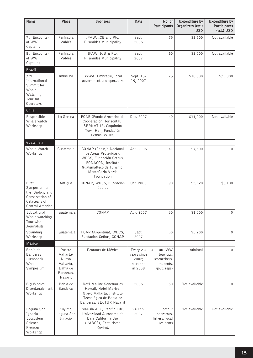| Name                                                                                           | Place                                                                         | <b>Sponsors</b>                                                                                                                                                 | Date                                                     | No. of<br>Participants                                              | Expenditure by<br>Organizers (est.)<br><b>USD</b> | Expenditure by<br>Participants<br>(est.) USD |
|------------------------------------------------------------------------------------------------|-------------------------------------------------------------------------------|-----------------------------------------------------------------------------------------------------------------------------------------------------------------|----------------------------------------------------------|---------------------------------------------------------------------|---------------------------------------------------|----------------------------------------------|
| 7th Encounter<br>of WW<br>Captains                                                             | Península<br>Valdés                                                           | IFAW, ICB and Pto.<br>Piramides Municipality                                                                                                                    | Sept.<br>2006                                            | 75                                                                  | \$2,500                                           | Not available                                |
| 8th Encounter<br>of WW<br>Captains                                                             | Península<br>Valdés                                                           | IFAW, ICB & Pto.<br>Pirámides Municipality                                                                                                                      | Sept.<br>2007                                            | 60                                                                  | \$2,000                                           | Not available                                |
| Brazil                                                                                         |                                                                               |                                                                                                                                                                 |                                                          |                                                                     |                                                   |                                              |
| 3rd<br>International<br>Summit for<br>Whale<br>Watching<br>Tourism<br>Operators                | Imbituba                                                                      | IWWA, Embratur, local<br>government and operators                                                                                                               | Sept. 15-<br>19, 2007                                    | 75                                                                  | \$10,000                                          | \$35,000                                     |
| Chile                                                                                          |                                                                               |                                                                                                                                                                 |                                                          |                                                                     |                                                   |                                              |
| Responsible<br>Whale watch<br>Workshop                                                         | La Serena                                                                     | FOAR (Fondo Argentino de<br>Cooperación Horizontal),<br>SERNATUR, Coquimbo<br>Town Hall, Fundación<br>Cethus, WDCS                                              | Dec. 2007                                                | 40                                                                  | \$11,000                                          | Not available                                |
| Guatemala                                                                                      |                                                                               |                                                                                                                                                                 |                                                          |                                                                     |                                                   |                                              |
| Whale Watch<br>Workshop                                                                        | Guatemala                                                                     | CONAP (Consejo Nacional<br>de Areas Protegidas),<br>WDCS, Fundación Cethus,<br>FONACON, Instituto<br>Guatemalteco de Turismo,<br>MonteCarlo Verde<br>Foundation | Apr. 2006                                                | 41                                                                  | \$7,300                                           | $\Omega$                                     |
| First<br>Symposium on<br>the Biology and<br>Conservation of<br>Cetaceans of<br>Central America | Antigua                                                                       | CONAP, WDCS, Fundación<br>Cethus                                                                                                                                | Oct. 2006                                                | 90                                                                  | \$5,320                                           | \$8,100                                      |
| Educational<br>Whale watching<br>Tour with<br>Journalists                                      | Guatemala                                                                     | CONAP                                                                                                                                                           | Apr. 2007                                                | 30                                                                  | \$1,000                                           | $\Omega$                                     |
| Stranding<br>Workshop                                                                          | Guatemala                                                                     | FOAR (Argentina), WDCS,<br>Fundación Cethus, CONAP                                                                                                              | Sept.<br>2007                                            | 30                                                                  | \$5,200                                           | $\Omega$                                     |
|                                                                                                |                                                                               |                                                                                                                                                                 |                                                          |                                                                     |                                                   |                                              |
| México<br>Bahía de<br><b>Banderas</b><br>Humpback<br>Whale<br>Symposium                        | Puerto<br>Vallarta/<br>Nuevo<br>Vallarta,<br>Bahía de<br>Banderas,<br>Nayarít | Ecotours de México                                                                                                                                              | Every 2-4<br>years since<br>2002;<br>next one<br>in 2008 | 40-100 (WW<br>tour ops,<br>researchers,<br>students,<br>govt. reps) | minimal                                           | $\Omega$                                     |
| <b>Big Whales</b><br>Disentanglement<br>Workshop                                               | Bahía de<br><b>Banderas</b>                                                   | Nat'l Marine Sanctuaries<br>Hawaii, Hotel Marival<br>Nuevo Vallarta, Instituto<br>Tecnológico de Bahía de<br>Banderas, SECTUR Nayarít                           | 2006                                                     | 50                                                                  | Not available                                     | $\Omega$                                     |
| Laguna San<br>Ignacio<br>Ecosystem<br>Science<br>Program<br>Workshop                           | Kuyima,<br>Laguna San<br>Ignacio                                              | Marisla A.C., Pacific Life,<br>Universidad Autónoma de<br>Baja California Sur<br>(UABCS), Ecoturismo<br>Kuyimá                                                  | 24 Feb.<br>2007                                          | Ecotour<br>operators,<br>fishers, local<br>residents                | Not available                                     | Not available                                |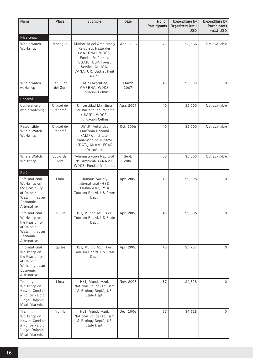| Name                                                                                                       | Place               | <b>Sponsors</b>                                                                                                                                                   | Date          | No. of<br>Participants | Expenditure by<br>Organizers (est.)<br><b>USD</b> | <b>Expenditure by</b><br>Participants<br>(est.) USD |
|------------------------------------------------------------------------------------------------------------|---------------------|-------------------------------------------------------------------------------------------------------------------------------------------------------------------|---------------|------------------------|---------------------------------------------------|-----------------------------------------------------|
| Nicaragua                                                                                                  |                     |                                                                                                                                                                   |               |                        |                                                   |                                                     |
| Whale watch<br>Workshop                                                                                    | Managua             | Ministerio del Ambiente y<br>Re-cursos Naturales<br>(MARENA), WDCS,<br>Fundación Cethus,<br>USAID, USA Forest<br>Service, CLUSA,<br>CANATUR, Budget Rent<br>a Car | Apr. 2006     | 70                     | \$8,366                                           | Not available                                       |
| Whale watch<br>workshop                                                                                    | San Juan<br>del Sur | FOAR (Argentina),<br>MARENA, WDCS,<br>Fundación Cethus                                                                                                            | March<br>2007 | 40                     | \$5,000                                           | $\Omega$                                            |
| Panamá                                                                                                     |                     |                                                                                                                                                                   |               |                        |                                                   |                                                     |
| Conference on<br>whale watching                                                                            | Ciudad de<br>Panamá | Universidad Marítima<br>Internacional de Panamá<br>(UMIP), WDCS,<br>Fundación Cethus                                                                              | Aug. 2007     | 40                     | \$5,000                                           | Not available                                       |
| Responsible<br>Whale Watch<br>Workshop                                                                     | Ciudad de<br>Panamá | UMIP, Autoridad<br>Marítima Panamá<br>(AMP), Instituto<br>Panameño de Turismo<br>(IPAT), ANAM, FOAR<br>(Argentina)                                                | Oct. 2006     | 40                     | \$5,000                                           | Not available                                       |
| Whale Watch<br>Workshop                                                                                    | Bocas del<br>Toro   | Administración Nacional<br>del Ambiente (ANAM),<br>WDCS, Fundación Cethus                                                                                         | Sept.<br>2006 | 30                     | \$5,000                                           | Not available                                       |
| Perú                                                                                                       |                     |                                                                                                                                                                   |               |                        |                                                   |                                                     |
| Informational<br>Workshop on<br>the Feasibility<br>of Dolphin<br>Watching as an<br>Economic<br>Alternative | Lima                | Humane Society<br>International (HSI),<br>Mundo Azul, Perú<br>Tourism Board, US State<br>Dept.                                                                    | Apr. 2006     | 40                     | \$9,396                                           | $\overline{0}$                                      |
| Informational<br>Workshop on<br>the Feasibility<br>of Dolphin<br>Watching as an<br>Economic<br>Alternative | Trujillo            | HSI, Mundo Azul, Perú<br>Tourism Board, US State<br>Dept.                                                                                                         | Apr. 2006     | 40                     | \$9,396                                           | $\Omega$                                            |
| Informational<br>Workshop on<br>the Feasibility<br>of Dolphin<br>Watching as an<br>Economic<br>Alternative | Iquitos             | HSI, Mundo Azul, Perú<br>Tourism Board, US State<br>Dept.                                                                                                         | Apr. 2006     | 40                     | \$3,707                                           | $\Omega$                                            |
| Training<br>Workshop on<br>How to Conduct<br>a Police Raid of<br><b>Illegal Dolphin</b><br>Meat Markets    | Lima                | HSI, Mundo Azul,<br>National Police (Tourism<br>& Ecology Dept.), US<br>State Dept.                                                                               | Nov. 2006     | 37                     | \$4,628                                           | $\Omega$                                            |
| Training<br>Workshop on<br>How to Conduct<br>a Police Raid of<br><b>Illegal Dolphin</b><br>Meat Markets    | Trujillo            | HSI, Mundo Azul,<br>National Police (Tourism<br>& Ecology Dept.), US<br>State Dept.                                                                               | Dec. 2006     | 37                     | \$4,628                                           | $\Omega$                                            |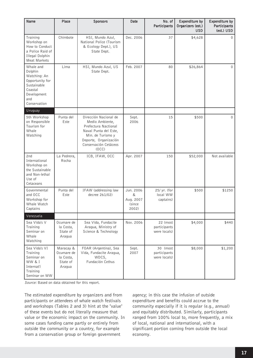| Name                                                                                                                    | Place                                                      | <b>Sponsors</b>                                                                                                                                                           | Date                                           | No. of<br>Participants                   | <b>Expenditure by</b><br>Organizers (est.)<br><b>USD</b> | Expenditure by<br>Participants<br>(est.) USD |
|-------------------------------------------------------------------------------------------------------------------------|------------------------------------------------------------|---------------------------------------------------------------------------------------------------------------------------------------------------------------------------|------------------------------------------------|------------------------------------------|----------------------------------------------------------|----------------------------------------------|
| Training<br>Workshop on<br>How to Conduct<br>a Police Raid of<br><b>Illegal Dolphin</b><br>Meat Markets                 | Chimbote                                                   | HSI, Mundo Azul,<br>National Police (Tourism<br>& Ecology Dept.), US<br>State Dept.                                                                                       | Dec. 2006                                      | 37                                       | \$4,628                                                  | $\Omega$                                     |
| Whale and<br>Dolphin<br>Watching: An<br>Opportunity for<br>Sustainable<br>Coastal<br>Development<br>and<br>Conservation | Lima                                                       | HSI, Mundo Azul, US<br>State Dept.                                                                                                                                        | Feb. 2007                                      | 80                                       | \$26,864                                                 | $\Omega$                                     |
| Uruguay                                                                                                                 |                                                            |                                                                                                                                                                           |                                                |                                          |                                                          |                                              |
| 5th Workshop<br>on Responsible<br>Tourism for<br>Whale<br>Watching                                                      | Punta del<br>Este                                          | Dirección Nacional de<br>Medio Ambiente,<br>Prefectura Nactional<br>Naval Punta del Este,<br>Min. de Turismo y<br>Deporte, Organización<br>Conservación Cetáceos<br>(OCC) | Sept.<br>2006                                  | 15                                       | \$500                                                    | $\Omega$                                     |
| 2nd<br>International<br>Workshop on<br>the Sustainable<br>and Non-lethal<br>Use of<br>Cetaceans                         | La Pedrera,<br>Rocha                                       | ICB, IFAW, OCC                                                                                                                                                            | Apr. 2007                                      | 150                                      | \$52,000                                                 | Not available                                |
| Governmental<br>and OCC<br>Workshop for<br>Whale Watch<br>Captains                                                      | Punta del<br>Este                                          | IFAW (addressing law<br>decree 261/02)                                                                                                                                    | Jun. 2006<br>&<br>Aug. 2007<br>(since<br>2002) | 25/ yr. (for<br>local WW<br>captains)    | \$500                                                    | \$1250                                       |
| Venezuela                                                                                                               |                                                            |                                                                                                                                                                           |                                                |                                          |                                                          |                                              |
| Sea Vida's V<br>Training<br>Seminar on<br>Whale<br>Watching                                                             | Ocumare de<br>la Costa,<br>State of<br>Aragua              | Sea Vida, Fundacite<br>Aragua, Ministry of<br>Science & Technology                                                                                                        | Nov. 2006                                      | 22 (most<br>participants<br>were locals) | \$4,000                                                  | \$440                                        |
| Sea Vida's VI<br>Training<br>Seminar on<br>WW & I<br>Internat <sup>'</sup> l<br>Training<br>Seminar on WW               | Maracay &<br>Ocumare de<br>la Costa,<br>State of<br>Aragua | FOAR (Argentina), Sea<br>Vida, Fundacite Aragua,<br>WDCS,<br>Fundación Cethus                                                                                             | Sept.<br>2007                                  | 30 (most<br>participants<br>were locals) | \$8,000                                                  | \$1,200                                      |

Source: Based on data obtained for this report.

The estimated expenditure by organizers and from participants or attendees of whale watch festivals and workshops (Tables 2 and 3) hint at the "value" of these events but do not literally measure that value or the economic impact on the community. In some cases funding came partly or entirely from outside the community or a country, for example from a conservation group or foreign government

agency; in this case the infusion of outside expenditure and benefits could accrue to the community especially if it is regular (e.g., annual) and equitably distributed. Similarly, participants ranged from 100% local to, more frequently, a mix of local, national and international, with a significant portion coming from outside the local economy.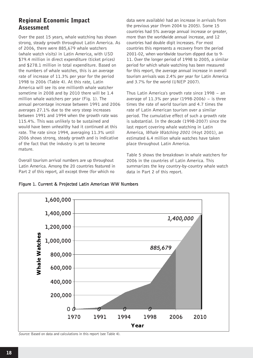# Regional Economic Impact Assessment

Over the past 15 years, whale watching has shown strong, steady growth throughout Latin America. As of 2006, there were 885,679 whale watchers (whale watch visits) in Latin America, with USD \$79.4 million in direct expenditure (ticket prices) and \$278.1 million in total expenditure. Based on the numbers of whale watches, this is an average rate of increase of 11.3% per year for the period 1998 to 2006 (Table 4). At this rate, Latin America will see its one millionth whale watcher sometime in 2008 and by 2010 there will be 1.4 million whale watchers per year (Fig. 1). The annual percentage increase between 1991 and 2006 averages 27.1% due to the very steep increases between 1991 and 1994 when the growth rate was 115.4%. This was unlikely to be sustained and would have been unhealthy had it continued at this rate. The rate since 1994, averaging 11.3% until 2006 shows strong, steady growth and is indicative of the fact that the industry is yet to become mature.

Overall tourism arrival numbers are up throughout Latin America. Among the 20 countries featured in Part 2 of this report, all except three (for which no

data were available) had an increase in arrivals from the previous year (from 2004 to 2005). Some 15 countries had 5% average annual increase or greater, more than the worldwide annual increase, and 12 countries had double digit increases. For most countries this represents a recovery from the period 2001-02, when worldwide tourism dipped due to 9- 11. Over the longer period of 1998 to 2005, a similar period for which whale watching has been measured for this report, the average annual increase in overall tourism arrivals was 2.4% per year for Latin America and 3.7% for the world (UNEP 2007).

Thus Latin America's growth rate since 1998 - an average of  $11.3\%$  per year (1998-2006) – is three times the rate of world tourism and 4.7 times the rate of Latin American tourism over a similar period. The cumulative effect of such a growth rate is substantial. In the decade (1998-2007) since the last report covering whale watching in Latin America, Whale Watching 2001 (Hoyt 2001), an estimated 6.4 million whale watches have taken place throughout Latin America.

Table 5 shows the breakdown in whale watchers for 2006 in the countries of Latin America. This summarizes the key country-by-country whale watch data in Part 2 of this report.



Figure 1. Current & Projected Latin American WW Numbers

Source: Based on data and calculations in this report (see Table 4).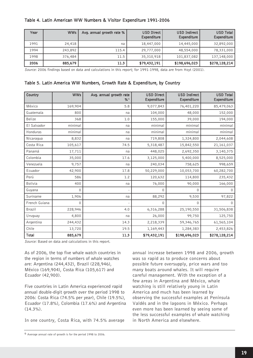| Table 4. Latin American WW Numbers & Visitor Expenditure 1991-2006 |  |
|--------------------------------------------------------------------|--|
|--------------------------------------------------------------------|--|

| Year | <b>WWs</b> | Avg. annual growth rate % | <b>USD Direct</b><br>Expenditure | USD Indirect<br>Expenditure | <b>USD Total</b><br>Expenditure |
|------|------------|---------------------------|----------------------------------|-----------------------------|---------------------------------|
| 1991 | 24,418     | na                        | 18,447,000                       | 14,445,000                  | 32,892,000                      |
| 1994 | 243,892    | 115.4                     | 29,777,000                       | 48,554,000                  | 78,331,000                      |
| 1998 | 376,484    | 11.5                      | 35,310,918                       | 101,837,082                 | 137,148,000                     |
| 2006 | 885,679    | 11.3                      | \$79,432,191                     | \$198,696,023               | \$278,128,214                   |

Source: 2006 findings based on data and calculations in this report: for 1991-1998, data are from Hovt (2001).

|  |  |  |  |  |  |  |  | Table 5. Latin America WW Numbers, Growth Rate & Expenditure, by Country |  |  |
|--|--|--|--|--|--|--|--|--------------------------------------------------------------------------|--|--|
|--|--|--|--|--|--|--|--|--------------------------------------------------------------------------|--|--|

| Country       | <b>WWs</b> | Avg. annual growth rate<br>%6 | <b>USD Direct</b><br>Expenditure | <b>USD Indirect</b><br>Expenditure | <b>USD Total</b><br>Expenditure |
|---------------|------------|-------------------------------|----------------------------------|------------------------------------|---------------------------------|
| México        | 169,904    | 5.8                           | 9,077,843                        | 76,401,220                         | 85,479,063                      |
| Guatemala     | 800        | na                            | 104,000                          | 48,000                             | 152,000                         |
| <b>Belize</b> | 368        | 1.0                           | 155,000                          | 39,000                             | 194,000                         |
| El Salvador   | minimal    | na                            | minimal                          | minimal                            | minimal                         |
| Honduras      | minimal    | na                            | minimal                          | minimal                            | minimal                         |
| Nicaragua     | 8,832      | na                            | 719,808                          | 1,324,800                          | 2,044,608                       |
| Costa Rica    | 105,617    | 74.5                          | 5,318,487                        | 15,842,550                         | 21,161,037                      |
| Panamá        | 17,711     | na                            | 448,025                          | 2,692,350                          | 3,140,375                       |
| Colombia      | 35,000     | 17.6                          | 3,125,000                        | 5,400,000                          | 8,525,000                       |
| Venezuela     | 9,757      | na                            | 240,034                          | 758,625                            | 998,659                         |
| Ecuador       | 42,900     | 17.8                          | 50,229,000                       | 10,053,700                         | 60,282,700                      |
| Perú          | 586        | 1.2                           | 120,632                          | 114,800                            | 235,432                         |
| Bolivia       | 400        | na                            | 76,000                           | 90,000                             | 166,000                         |
| Guyana        | 0          |                               | 0                                | $\Omega$                           | 0                               |
| Suriname      | 1,906      | na                            | 88,292                           | 9,530                              | 97,822                          |
| French Guiana | $\Omega$   |                               | 0                                | $\Omega$                           | 0                               |
| <b>Brazil</b> | 228,946    | 4.0                           | 6,316,288                        | 25,190,550                         | 31,506,838                      |
| Uruguay       | 4,800      | na                            | 26,000                           | 99,750                             | 125,750                         |
| Argentina     | 244,432    | 14.3                          | 2,218,339                        | 59,346,765                         | 61,565,104                      |
| Chile         | 13,720     | 19.5                          | 1,169,443                        | 1,284,383                          | 2,453,826                       |
| Total         | 885,679    | 11.3                          | \$79,432,191                     | \$198,696,023                      | \$278,128,214                   |

Source: Based on data and calculations in this report.

As of 2006, the top five whale watch countries in the region in terms of numbers of whale watches are: Argentina (244,432), Brazil (228,946), México (169,904), Costa Rica (105,617) and Ecuador (42,900).

Five countries in Latin America experienced rapid annual double-digit growth over the period 1998 to 2006: Costa Rica (74.5% per year), Chile (19.5%), Ecuador (17.8%), Colombia (17.6%) and Argentina (14.3%).

In one country, Costa Rica, with 74.5% average

annual increase between 1998 and 2006, growth was so rapid as to produce concerns about possible future oversupply, price wars and too many boats around whales. It will require careful management. With the exception of a few areas in Argentina and México, whale watching is still relatively young in Latin America and much has been learned by observing the successful examples at Península Valdés and in the lagoons in México. Perhaps even more has been learned by seeing some of the less successful examples of whale watching in North America and elsewhere.

<sup>6</sup> Average annual rate of growth is for the period 1998 to 2006.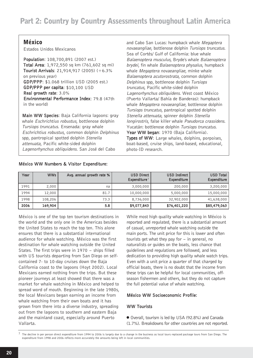# México

Estados Unidos Mexicanos

Population: 108,700,891 (2007 est.) Total Area: 1,972,550 sq km (761,602 sq mi) Tourist Arrivals: 21,914,917 (2005) (+6.3% on previous year) GDP/PPP: \$1.068 trillion USD (2005 est.) GDP/PPP per capita: \$10,100 USD Real growth rate: 3.0% Environmental Performance Index: 79.8 (47th in the world)

Main WW Species: Baja California lagoons: gray whale Eschrichtius robustus, bottlenose dolphin Tursiops truncatus. Ensenada: gray whale Eschrichtius robustus, common dolphin Delphinus spp, pantropical spotted dolphin Stenella attenuata, Pacific white-sided dolphin Lagenorhynchus obliquidens. San José del Cabo

and Cabo San Lucas: humpback whale Megaptera novaeangliae, bottlenose dolphin Tursiops truncatus. Sea of Cortés/ Gulf of California: blue whale Balaenoptera musculus, Bryde's whale Balaenoptera brydei, fin whale Balaenoptera physalus, humpback whale Megaptera novaeangliae, minke whale Balaenoptera acutorostrata, common dolphin Delphinus spp, bottlenose dolphin Tursiops truncatus, Pacific white-sided dolphin Lagenorhynchus obliquidens. West coast México (Puerto Vallarta/ Bahía de Banderas): humpback whale Megaptera novaeangliae, bottlenose dolphin Tursiops truncatus, pantropical spotted dolphin Stenella attenuata, spinner dolphin Stenella longirostris, false killer whale Pseudorca crassidens. Yucatán: bottlenose dolphin Tursiops truncatus. Year WW began: 1970 (Baja California). Types of WW: Large whales, dolphins, porpoises, boat-based, cruise ships, land-based, educational, photo-ID research.

#### México WW Numbers & Visitor Expenditure:

| Year | <b>WWs</b> | Avg. annual growth rate % | USD Direct<br>Expenditure <sup>7</sup> | USD Indirect<br>Expenditure | <b>USD Total</b><br>Expenditure |
|------|------------|---------------------------|----------------------------------------|-----------------------------|---------------------------------|
| 1991 | 2,000      | na                        | 3,000,000                              | 200,000                     | 3,200,000                       |
| 1994 | 12,000     | 81.7                      | 10,000,000                             | 5,000,000                   | 15,000,000                      |
| 1998 | 108,206    | 73.3                      | 8,736,000                              | 32,902,000                  | 41,638,000                      |
| 2006 | 169,904    | 5.8                       | \$9,077,843                            | \$76,401,220                | \$85,479,063                    |

México is one of the top ten tourism destinations in the world and the only one in the Americas besides the United States to reach the top ten. This alone ensures that there is a substantial international audience for whale watching. México was the first destination for whale watching outside the United States. The first trips were in 1970 – ships filled with US tourists departing from San Diego on selfcontained 7- to 10-day cruises down the Baja California coast to the lagoons (Hoyt 2002). Local Mexicans earned nothing from the trips. But these pioneer journeys at least showed that there was a market for whale watching in México and helped to spread word of mouth. Beginning in the late 1980s, the local Mexicans began earning an income from whale watching from their own boats and it has grown from there into a diverse industry, spreading out from the lagoons to southern and eastern Baja and the mainland coast, especially around Puerto Vallarta.

While most high quality whale watching in México is reported and regulated, there is a substantial amount of casual, unreported whale watching outside the main ports. The unit price for this is lower and often tourists get what they pay for  $-$  in general, no naturalists or guides on the boats, less chance that guidelines and regulations are followed, and less dedication to providing high quality whale watch trips. Even with a unit price a quarter of that charged by official boats, there is no doubt that the income from these trips can be helpful for local communities, offseason fishermen and others, but they do not capture the full potential value of whale watching.

#### México WW Socioeconomic Profile:

#### WW Tourists

● Overall, tourism is led by USA (92.8%) and Canada (1.7%). Breakdowns for other countries are not reported.

<sup>7</sup> The decline in per person direct expenditure from 1994 to 2006 is largely due to a change in the business as local tours replaced package tours from San Diego. The expenditure from 1998 and 2006 reflects more accurately the amounts being left in local communities.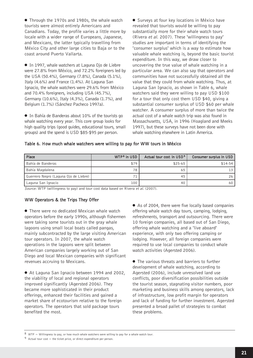● Through the 1970s and 1980s, the whale watch tourists were almost entirely Americans and Canadians. Today, the profile varies a little more by locale with a wider range of Europeans, Japanese, and Mexicans, the latter typically travelling from México City and other large cities to Baja or to the coast around Puerto Vallarta.

● In 1997, whale watchers at Laguna Ojo de Liebre were 27.8% from México, and 72.2% foreigners led by the USA (50.4%), Germany (7.8%), Canada (5.1%), Italy (4.6%) and France (1.4%). At Laguna San Ignacio, the whale watchers were 29.6% from México and 70.4% foreigners, including USA (45.7%), Germany (10.6%), Italy (4.3%), Canada (1.7%), and Belgium (1.7%) (Sánchez Pacheco 1997a).

● In Bahía de Banderas about 10% of the tourists go whale watching every year. This core group looks for high quality trips (good guides, educational tours, small groups) and the spend is USD \$85-\$95 per person.

● Surveys at four key locations in México have revealed that tourists would be willing to pay substantially more for their whale watch tours (Rivera et al. 2007). These "willingness to pay" studies are important in terms of identifying the "consumer surplus" which is a way to estimate how valuable whale watching is, beyond the basic tourist expenditure. In this way, we draw closer to uncovering the true value of whale watching in a particular area. We can also say that operators and communities have not successfully obtained all the value that they could from whale watching. Thus, at Laguna San Ignacio, as shown in Table 6, whale watchers said they were willing to pay USD \$100 for a tour that only cost them USD \$40, giving a substantial consumer surplus of USD \$60 per whale watcher. A consumer surplus of more than twice the actual cost of a whale watch trip was also found in Massachusetts, USA, in 1996 (Hoagland and Meeks 1997), but these surveys have not been done with whale watching elsewhere in Latin America.

| Table 6. How much whale watchers were willing to pay for WW tours in México |  |  |  |  |  |  |  |  |  |
|-----------------------------------------------------------------------------|--|--|--|--|--|--|--|--|--|
|-----------------------------------------------------------------------------|--|--|--|--|--|--|--|--|--|

| Place                                 | WTP <sup>8</sup> in USD | Actual tour cost in USD <sup>9</sup> | Consumer surplus in USD |
|---------------------------------------|-------------------------|--------------------------------------|-------------------------|
| Bahía de Banderas                     | \$79                    | $$25-65$                             | $$14-54$                |
| Bahía Magdalena                       | 78                      | 65                                   |                         |
| Guerrero Negro (Laguna Ojo de Liebre) |                         | 45                                   | 26 <sup>1</sup>         |
| Laguna San Ignacio                    | 100                     | 40                                   | 60                      |

Source: WTP (willingness to pay) and tour cost data based on Rivera et al. (2007).

#### WW Operators & the Trips They Offer

● There were no dedicated Mexican whale watch operators before the early 1990s, although fishermen were taking some tourists out in the gray whale lagoons using small local boats called pangas, mainly subcontracted by the large visiting American tour operators. In 2007, the whale watch operations in the lagoons were split between American companies largely working out of San Diego and local Mexican companies with significant revenues accruing to Mexicans.

● At Laguna San Ignacio between 1994 and 2002, the viability of local and regional operators improved significantly (Agersted 2006). They became more sophisticated in their product offerings, enhanced their facilities and gained a market share of ecotourism relative to the foreign operators. The operators that sold package tours benefited the most.

● As of 2004, there were five locally based companies offering whale watch day tours, camping, lodging, refreshments, transport and outsourcing. There were 10 foreign companies, all based out of San Diego, offering whale watching and a "live aboard" experience, with only two offering camping or lodging. However, all foreign companies were required to use local companies to conduct whale watch activities (Agersted 2006).

● The various threats and barriers to further development of whale watching, according to Agersted (2006), include unresolved land use conflicts, poor diversification possibilities outside the tourist season, stagnating visitor numbers, poor marketing and business skills among operators, lack of infrastructure, low profit margin for operators and lack of funding for further investment. Agersted presented a broad pallet of strategies to combat these problems.

 $8$  WTP = Willingness to pay, or how much whale watchers were willing to pay for a whale watch tour.

 $9$  Actual tour cost = the ticket price, or direct expenditure per person.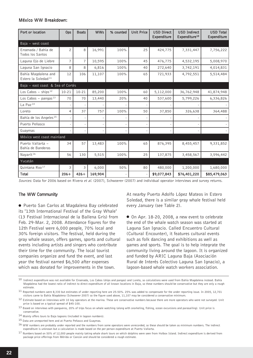#### México WW Breakdown:

| Port or location                                       | Ops                      | <b>Boats</b>   | <b>WWs</b> | % counted | <b>Unit Price</b> | <b>USD Direct</b><br>Expenditure | <b>USD Indirect</b><br>Expenditure <sup>10</sup> | <b>USD Total</b><br>Expenditure |
|--------------------------------------------------------|--------------------------|----------------|------------|-----------|-------------------|----------------------------------|--------------------------------------------------|---------------------------------|
| Baja - west coast                                      |                          |                |            |           |                   |                                  |                                                  |                                 |
| Ensenada / Bahía de<br>Todos los Santos                | $\overline{c}$           | 8              | 16,991     | 100%      | 25                | 424,775                          | 7,331,447                                        | 7,756,222                       |
| Laguna Ojo de Liebre                                   | $\overline{7}$           | $\overline{7}$ | 10,595     | 100%      | 45                | 476,775                          | 4,532,195                                        | 5,008,970                       |
| Laguna San Ignacio                                     | 8                        | 8              | 6,816      | 100%      | 40                | 272,640                          | 3,742,191                                        | 4,014,831                       |
| Bahía Magdalena and<br>Estero la Soledad <sup>11</sup> | 12                       | 106            | 11,107     | 100%      | 65                | 721,933                          | 4,792,551                                        | 5,514,484                       |
| Baja - east coast & Sea of Cortés                      |                          |                |            |           |                   |                                  |                                                  |                                 |
| Los Cabos - ships <sup>12</sup>                        | $10 - 21$                | $10 - 21$      | 85,200     | 100%      | 60                | 5,112,000                        | 36,762,948                                       | 41,874,948                      |
| Los Cabos – pangas <sup>13</sup>                       | 70                       | 70             | 13,440     | 20%       | 40                | 537,600                          | 5,799,226                                        | 6,336,826                       |
| La Paz <sup>14</sup>                                   |                          |                |            |           |                   |                                  |                                                  |                                 |
| Loreto                                                 | 4                        | 37             | 757        | 100%      | 50                | 37,850                           | 326,638                                          | 364,488                         |
| Bahía de los Angeles <sup>15</sup>                     | $\overline{\phantom{a}}$ |                |            |           |                   |                                  |                                                  |                                 |
| Puerto Peñasco                                         | $\overline{a}$           |                |            |           |                   |                                  |                                                  |                                 |
| Guaymas                                                |                          |                |            |           |                   |                                  |                                                  |                                 |
| México west coast mainland                             |                          |                |            |           |                   |                                  |                                                  |                                 |
| Puerto Vallarta -<br>Bahía de Banderas                 | 34                       | 57             | 13,483     | 100%      | 65                | 876,395                          | 8,455,457                                        | 9,331,852                       |
| Nayarít <sup>16</sup>                                  | 56                       | 130            | 5,515      | 100%      | 25                | 137,875                          | 3,458,567                                        | 3,596,442                       |
| Yucatán                                                |                          |                |            |           |                   |                                  |                                                  |                                 |
| Quintana Roo <sup>17</sup>                             | 3                        | 3              | 6,000      | 50%       | 80                | 480,000                          | 1,200,000                                        | 1,680,000                       |
| Total                                                  | $206+$                   | $426+$         | 169,904    |           |                   | \$9,077,843                      | \$76,401,220                                     | \$85,479,063                    |

Sources: Data for 2006 based on Rivera et al. (2007), Schwoerer (2007) and individual operator interviews and survey returns.

#### The WW Community

● Puerto San Carlos at Magdalena Bay celebrated its "13th International Festival of the Gray Whale" (13 Festival Internacional de la Ballena Gris) from Feb. 29-Mar. 2, 2008. Attendance figures for the 12th Festival were 6,000 people, 70% local and 30% foreign visitors. The festival, held during the gray whale season, offers games, sports and cultural events including artists and singers who contribute their time for the community. The local tourist companies organize and fund the event, and last year the festival earned \$6,500 after expenses which was donated for improvements in the town.

At nearby Puerto Adolfo López Mateos in Estero Soledad, there is a similar gray whale festival held every January (see Table 2).

● On Apr. 18-20, 2008, a new event to celebrate the end of the whale watch season was started at Laguna San Ignacio. Called Encuentro Cultural (Cultural Encounter), it features cultural events such as folk dancing and exhibitions as well as games and sports. The goal is to help integrate the community living around the lagoon. It is organized and funded by ARIC Laguna Baja (Asociación Rural de Interés Colectivo Laguna San Ignacio), a lagoon-based whale watch workers association.

15 Data are unreported here and at Puerto Peñasco and Guaymas.

<sup>10</sup> Indirect expenditure was not available for Ensenada, Los Cabos (ships and pangas) and Loreto, so calculations were used from Bahía Magdalena instead. Bahía Magdalena had the lowest ratio of indirect to direct expenditure of all known locations in Baja, so these numbers should be conservative but they are only a rough estimate.

<sup>11</sup> Reported numbers were 8,330 but estimates of under reporting here are 25-50%. 25% was added to compensate for the under reporting issue. In 2005, 12,701 visitors came to Bahía Magdalena (Schwoerer 2007) so the figure used above, 11,107 may be considered a conservative minimum.

<sup>12</sup> Estimate based on interviews with 10 key operators at the marina. These are conservative numbers because there are more operators who were not surveyed. Unit price is based on a typical spread of \$45-100.

<sup>13</sup> Based on interviews with pangueros, 20% of trips focus on whale watching (along with snorkeling, fishing, ocean excursions and parasailing). Unit price is conservative.

<sup>14</sup> Mainly offers tours to Baja lagoons (included in lagoon numbers).

<sup>16</sup> WW numbers are probably under reported and the numbers from some operators were unrecorded, so these should be taken as minimum numbers. The indirect expenditure is unknown but a calculation is made based on the per person expenditure at Puerto Vallarta.

<sup>17</sup> Numbers based on 50% of 12,000 people mainly taking whale shark tours on which dolphins were seen from Holbox Island. Indirect expenditure is derived from package price offerings from Mérida or Cancún and should be considered a rough estimate.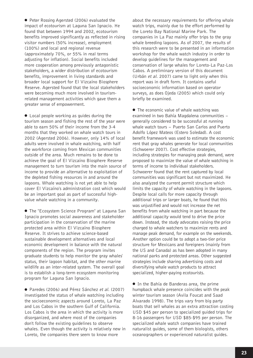● Peter Rossing Agersted (2006) evaluated the impact of ecotourism at Laguna San Ignacio. He found that between 1994 and 2002, ecotourism benefits improved significantly as reflected in rising visitor numbers (50% increase), employment (100%) and local and regional revenue (approximately 70%, or 55% in real terms adjusting for inflation). Social benefits included more cooperation among previously antagonistic stakeholders, a wider distribution of ecotourism benefits, improvement in living standards and broader local support for El Vizcaíno Biosphere Reserve. Agersted found that the local stakeholders were becoming much more involved in tourismrelated management activities which gave them a greater sense of empowerment.

● Local people working as guides during the tourism season and fishing the rest of the year were able to earn 50% of their income from the 3-4 months that they worked on whale watch tours in 2002 (Agersted 2006). However, only 14% of local adults were involved in whale watching, with half the workforce coming from Mexican communities outside of the area. Much remains to be done to achieve the goal of El Vizcaíno Biosphere Reserve management to turn tourism into the main source of income to provide an alternative to exploitation of the depleted fishing resources in and around the lagoons. Whale watching is not yet able to help cover El Vizcaíno's administration cost which would be an important goal as part of successful highvalue whale watching in a community.

● The "Ecosystem Science Program" at Laguna San Ignacio promotes social awareness and stakeholder participation in the conservation of the marine protected area within El Vizcaíno Biosphere Reserve. It strives to achieve science-based sustainable development alternatives and local economic development in balance with the natural components of the region. The program invites graduate students to help monitor the gray whales' status, their lagoon habitat, and the other marine wildlife as an inter-related system. The overall goal is to establish a long-term ecosystem monitoring program for Laguna San Ignacio.

● Paredes (2006) and Pérez Sánchez et al. (2007) investigated the status of whale watching including the socioeconomic aspects around Loreto, La Paz and Los Cabos in the southern Gulf of California. Los Cabos is the area in which the activity is more disorganized, and where most of the companies don't follow the existing guidelines to observe whales. Even though the activity is relatively new in Loreto, the companies there seem to know more

about the necessary requirements for offering whale watch trips, mainly due to the effort performed by the Loreto Bay National Marine Park. The companies in La Paz mainly offer trips to the gray whale breeding lagoons. As of 2007, the results of this research were to be presented in an information workshop for the whale watch industry in order to develop guidelines for the management and conservation of large whales for Loreto-La Paz-Los Cabos. A preliminary version of this document (Urbán et al. 2007) came to light only when this report was in draft form. It contains useful socioeconomic information based on operator surveys, as does Ojeda (2005) which could only briefly be examined.

● The economic value of whale watching was examined in two Bahía Magdalena communities generally considered to be successful at running whale watch tours - Puerto San Carlos and Puerto Adolfo López Mateos (Estero Soledad). A cost benefit framework was used to estimate the economic rent that gray whales generate for local communities (Schwoerer 2007). Cost effective strategies, including strategies for managing peak demand, were proposed to maximize the value of whale watching in terms of income to individual stakeholders. Schwoerer found that the rent captured by local communities was significant but not maximized. He also analyzed the current permit structure which limits the capacity of whale watching in the lagoons. Despite local calls for more capacity through additional trips or larger boats, he found that this was unjustified and would not increase the net benefits from whale watching in part because the additional capacity would tend to drive the price down. Instead, the study advocates raising the price charged to whale watchers to maximize rents and manage peak demand, for example on the weekends. Another option could be to adopt a two-tier price structure for Mexicans and foreigners (mainly from the US and Canada) as has been adopted in many national parks and protected areas. Other suggested strategies include sharing advertising costs and diversifying whale watch products to attract specialized, higher-paying ecotourists.

● In the Bahía de Banderas area, the prime humpback whale presence coincides with the peak winter tourism season (Avila Foucat and Saad Alvarado 1998). The trips vary from big party boats that sell whales as an extra attraction costing USD \$45 per person to specialized guided trips for 8-16 passengers for USD \$85-\$95 per person. The specialized whale watch companies have trained naturalist guides, some of them biologists, others oceanographers or experienced naturalist guides.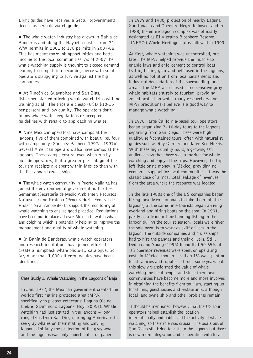Eight guides have received a Sectur (government) license as a whale watch guide.

● The whale watch industry has grown in Bahía de Banderas and along the Nayarít coast  $-$  from 71 WW permits in 2001 to 178 permits in 2007-08. This has meant more job opportunities and better income to the local communities. As of 2007 the whale watching supply is thought to exceed demand leading to competition becoming fierce with small operators struggling to survive against the big companies.

● At Rincón de Guayabitos and San Blas, fishermen started offering whale watch trips with no training at all. The trips are cheap (USD \$10-15 per person) and low quality. The operators don't follow whale watch regulations or accepted guidelines with regard to approaching whales.

● Nine Mexican operators have camps at the lagoons, five of them combined with boat trips, four with camps only (Sánchez Pacheco 1997a, 1997b). Several American operators also have camps at the lagoons. These camps ensure, even when run by outside operators, that a greater percentage of the tourism receipts are spent within México than with the live-aboard cruise ships.

● The whale watch community in Puerto Vallarta has joined the environmental government authorities Semarnat (Secretaría de Medio Ambiente y Recursos Naturales) and Profepa (Procuraduría Federal de Protección al Ambiente) to support the monitoring of whale watching to ensure good practice. Regulations have been put in place all over México to watch whales and dolphins which is potentially helping to improve the management and quality of whale watching.

● In Bahía de Banderas, whale watch operators and research institutions have joined efforts to create a humpback whale photo-ID catalogue. So far, more than 1,000 different whales have been identified.

#### Case Study 1. Whale Watching in the Lagoons of Baja

In Jan. 1972, the Mexican government created the world's first marine protected area (MPA) specifically to protect cetaceans: Laguna Ojo de Liebre (Scammon's Lagoon) (Hoyt 2005a). Whale watching had just started in the lagoons  $-$  long range trips from San Diego, bringing Americans to see gray whales on their mating and calving lagoons. Initially the protection of the gray whales and the lagoons was only superficial  $-$  on paper.

In 1979 and 1980, protection of nearby Laguna San Ignacio and Guerrero Negro followed, and in 1988, the entire lagoon complex was officially designated as El Vizcaíno Biosphere Reserve. UNESCO World Heritage status followed in 1993.

At first, whale watching was uncontrolled, but later the MPA helped provide the muscle to enable laws and enforcement to control boat traffic, fishing gear and nets used in the lagoons, as well as pollution from local settlements and industrial degradation of the surrounding land areas. The MPA also closed some sensitive gray whale habitats entirely to tourism, providing zoned protection which many researchers and MPA practitioners believe is a good way to manage whale watching.

In 1970, large California-based tour operators began organizing 7- 10-day tours to the lagoons, departing from San Diego. These were highquality, self-contained tours, often with naturalist guides such as Ray Gilmore and later Ken Norris. With these high quality tours, a growing US audience saw that there was a market for whale watching and enjoyed the trips. However, the trips left little or no money in México, providing no economic support for local communities. It was the classic case of almost total leakage of revenues from the area where the resource was located.

In the late 1980s one of the US companies began hiring local Mexican boats to take them into the lagoons; at the same time tourists began arriving overland and hiring boats on the spot. In 1991, partly as a trade-off for banning fishing in the lagoon during the tourist season, locals were given the sole permits to work as skiff drivers in the lagoon. The outside companies and cruise ships had to hire the pangas and their drivers. Still, Dedina and Young (1995) found that 50-65% of US operator revenues were spent on operating costs in México, though less than 1% was spent on local salaries and supplies. It took some years but this slowly transformed the value of whale watching for local people and since then local communities have become more and more involved in obtaining the benefits from tourism, starting up local inns, guesthouses and restaurants, although local land ownership and other problems remain.

It should be mentioned, however, that the US tour operators helped establish the location internationally and publicized the activity of whale watching, so their role was crucial. The boats out of San Diego still bring tourists to the lagoons but there is now more integration and cooperation with local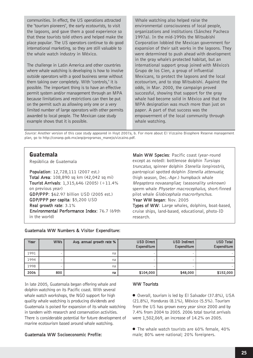communities. In effect, the US operations attracted the "tourism pioneers", the early ecotourists, to visit the lagoons, and gave them a good experience so that these tourists told others and helped make the place popular. The US operators continue to do good international marketing, so they are still valuable to the whale watch industry in México.

The challenge in Latin America and other countries where whale watching is developing is how to involve outside operators with a good business sense without them taking over completely. With "controls," it is possible. The important thing is to have an effective permit system and/or management through an MPA because limitations and restrictions can then be put on the permit such as allowing only one or a very limited number of large operators with other permits awarded to local people. The Mexican case study example shows that it is possible.

Whale watching also helped raise the environmental consciousness of local people, organizations and institutions (Sánchez Pacheco 1997a). In the mid-1990s the Mitsubishi Corporation lobbied the Mexican government for expansion of their salt works in the lagoons. They were determined to push ahead with development in the gray whale's protected habitat, but an international support group joined with México's Grupo de los Cien, a group of influential Mexicans, to protect the lagoons and the local ecotourism, and to stop Mitsubishi. Against the odds, in Mar. 2000, the campaign proved successful, showing that support for the gray whale had become solid in México and that the MPA designation was much more than just on paper. A part of that success was the empowerment of the local community through whale watching.

Source: Another version of this case study appeared in Hoyt 2007a, b. For more about El Vizcaíno Biosphere Reserve management plan, go to http://conanp.gob.mx/anp/programas\_manejo/vizcaino.pdf.

# Guatemala

República de Guatemala

Population: 12,728,111 (2007 est.) Total Area: 108,890 sq km (42,042 sq mi) Tourist Arrivals: 1,315,646 (2005) (+11.4% on previous year) GDP/PPP: \$62.97 billion USD (2005 est.) GDP/PPP per capita: \$5,200 USD Real growth rate: 3.1% Environmental Performance Index: 76.7 (69th in the world)

Main WW Species: Pacific coast (year-round except as noted): bottlenose dolphin Tursiops truncatus, spinner dolphin Stenella longirostris, pantropical spotted dolphin Stenella attenuata; (high season, Dec.-Apr.) humpback whale Megaptera novaeangliae; (seasonality unknown) sperm whale Physeter macrocephalus, short-finned pilot whale Globicephala macrorhynchus. Year WW began: Nov. 2005

Types of WW: Large whales, dolphins, boat-based, cruise ships, land-based, educational, photo-ID research.

#### Guatemala WW Numbers & Visitor Expenditure:

| Year | <b>WWs</b> | Avg. annual growth rate % | USD Direct<br>Expenditure | USD Indirect<br>Expenditure | <b>USD Total</b><br>Expenditure |
|------|------------|---------------------------|---------------------------|-----------------------------|---------------------------------|
| 1991 |            | na                        |                           |                             |                                 |
| 1994 |            | na                        |                           |                             |                                 |
| 1998 |            | na                        |                           |                             |                                 |
| 2006 | 800        | na                        | \$104,000                 | \$48,000                    | \$152,000                       |

In late 2005, Guatemala began offering whale and dolphin watching on its Pacific coast. With several whale watch workshops, the NGO support for high quality whale watching is producing dividends and Guatemala is poised for expansion of its whale watching in tandem with research and conservation activities. There is considerable potential for future development of marine ecotourism based around whale watching.

#### Guatemala WW Socioeconomic Profile:

#### WW Tourists

● Overall, tourism is led by El Salvador (37.8%), USA (21.8%), Honduras (8.1%), México (5.5%). Tourism from the US has grown every year since 2000 and by 7.4% from 2004 to 2005. 2006 total tourist arrivals were 1,502,069, an increase of 14.2% on 2005.

● The whale watch tourists are 60% female, 40% male; 80% were national; 20% foreigners.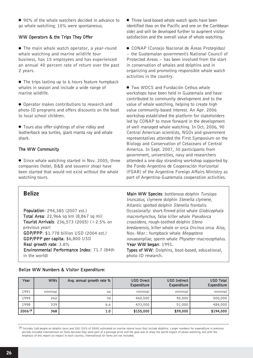● 90% of the whale watchers decided in advance to go whale watching; 10% were spontaneous.

#### WW Operators & the Trips They Offer

● The main whale watch operator, a year-round whale watching and marine wildlife tour business, has 15 employees and has experienced an annual 40 percent rate of return over the past 2 years.

● The trips lasting up to 6 hours feature humpback whales in season and include a wide range of marine wildlife.

● Operator makes contributions to research and photo-ID programs and offers discounts on the boat to local school children.

● Tours also offer sightings of olive ridley and leatherback sea turtles, giant manta ray and whale shark.

#### The WW Community

● Since whale watching started in Nov. 2005, three companies (hotel, B&B and souvenir shop) have been started that would not exist without the whale watching tours.

Belize

Population: 294,385 (2007 est.) Total Area: 22,966 sq km (8,867 sq mi) Tourist Arrivals: 236,573 (2005) (+2.5% on previous year) GDP/PPP: \$1.778 billion USD (2004 est.) GDP/PPP per capita: \$6,800 USD Real growth rate: 3.8% Environmental Performance Index: 71.7 (84th in the world)

● Three land-based whale watch spots have been identified (two on the Pacific and one on the Caribbean side) and will be developed further to augment visitor satisfaction and the overall value of whale watching.

● CONAP (Consejo Nacional de Áreas Protegidas) - the Guatemalan government's National Council of Protected Areas - has been involved from the start in conservation of whales and dolphins and in organizing and promoting responsible whale watch activities in the country.

● Two WDCS and Fundación Cethus whale workshops have been held in Guatemala and have contributed to community development and to the value of whale watching, helping to create high value community-based interest. An Apr. 2006 workshop established the platform for stakeholders led by CONAP to move forward in the development of well managed whale watching. In Oct. 2006, 90 Central American scientists, NGOs and government representatives attended the First Symposium on the Biology and Conservation of Cetaceans of Central America. In Sept. 2007, 30 participants from government, universities, navy and researchers attended a one-day stranding workshop supported by the Fondo Argentino de Cooperación Horizontal (FOAR) of the Argentine Foreign Affairs Ministry as part of Argentina-Guatemala cooperation activities.

Main WW Species: bottlenose dolphin Tursiops truncatus, clymene dolphin Stenella clymene, Atlantic spotted dolphin Stenella frontalis. Occasionally: short-finned pilot whale Globicephala macrorhynchus, false killer whale Pseudorca crassidens, rough-toothed dolphin Steno bredanensis, killer whale or orca Orcinus orca. Also, Nov.-Mar.: humpback whale Megaptera novaeangliae, sperm whale Physeter macrocephalus. Year WW began: 1991. Types of WW: Dolphins, boat-based, educational, photo-ID research.

#### Belize WW Numbers & Visitor Expenditure:

| Year   | <b>WWs</b> | Avg. annual growth rate % | <b>USD Direct</b><br>Expenditure | USD Indirect<br>Expenditure | <b>USD Total</b><br>Expenditure |
|--------|------------|---------------------------|----------------------------------|-----------------------------|---------------------------------|
| 1991   | minimal    | na                        | minimal                          | minimal                     | minimal                         |
| 1994   | 262        | na                        | 460,000                          | 40,000                      | 500,000                         |
| 1998   | 339        | 6.6                       | 433,000                          | 51,000                      | 484,000                         |
| 200618 | 368        | 1.0                       | \$155,000                        | \$39,000                    | \$194,000                       |

<sup>&</sup>lt;sup>18</sup> Includes 168 people on dolphin tours and 200 (10% of 2000) estimated on marine nature tours that include dolphins. Larger numbers for expenditure in previous periods included international air fares because they were part of a package price and the goal was to show the world impact of whale watching, but with the emphasis of this report on impact in each country, international air fares are not included.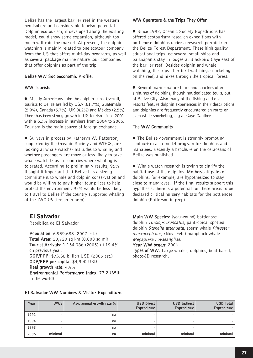Belize has the largest barrier reef in the western hemisphere and considerable tourism potential. Dolphin ecotourism, if developed along the existing model, could show some expansion, although too much will ruin the market. At present, the dolphin watching is mainly related to one ecotour company from the US that offers multi-day programs, as well as several package marine nature tour companies that offer dolphins as part of the trip.

#### Belize WW Socioeconomic Profile:

#### WW Tourists

● Mostly Americans take the dolphin trips. Overall, tourists to Belize are led by USA (61.7%), Guatemala (5.9%), Canada (5.7%), UK (4.2%) and México (2.5%). There has been strong growth in US tourism since 2001 with a 6.3% increase in numbers from 2004 to 2005. Tourism is the main source of foreign exchange.

● Surveys in process by Katheryn W. Patterson, supported by the Oceanic Society and WDCS, are looking at whale watcher attitudes to whaling and whether passengers are more or less likely to take whale watch trips in countries where whaling is tolerated. According to preliminary results, 95% thought it important that Belize has a strong commitment to whale and dolphin conservation and would be willing to pay higher tour prices to help protect the environment. 92% would be less likely to travel to Belize if the country supported whaling at the IWC (Patterson in prep).

#### El Salvador

República de El Salvador

Population: 6,939,688 (2007 est.) Total Area: 20,720 sq km (8,000 sq mi) Tourist Arrivals: 1,154,386 (2005) (+19.4% on previous year) GDP/PPP: \$33.68 billion USD (2005 est.) GDP/PPP per capita: \$4,900 USD Real growth rate: 4.9% Environmental Performance Index: 77.2 (65th in the world)

#### WW Operators & the Trips They Offer

● Since 1992, Oceanic Society Expeditions has offered ecotourism/ research expeditions with bottlenose dolphins under a research permit from the Belize Forest Department. These high quality educational trips use several small ships and participants stay in lodges at Blackbird Caye east of the barrier reef. Besides dolphin and whale watching, the trips offer bird-watching, snorkeling on the reef, and hikes through the tropical forest.

● Several marine nature tours and charters offer sightings of dolphins, though not dedicated tours, out of Belize City. Also many of the fishing and dive resorts feature dolphin experiences in their descriptions and dolphins are frequently encountered en route or even while snorkeling, e.g at Caye Caulker.

#### The WW Community

● The Belize government is strongly promoting ecotourism as a model program for dolphins and manatees. Recently a brochure on the cetaceans of Belize was published.

● Whale watch research is trying to clarify the habitat use of the dolphins. Mother/calf pairs of dolphins, for example, are hypothesized to stay close to mangroves. If the final results support this hypothesis, there is a potential for these areas to be declared critical nursery habitats for the bottlenose dolphin (Patterson in prep).

Main WW Species: (year-round) bottlenose dolphin Tursiops truncatus, pantropical spotted dolphin Stenella attenuata, sperm whale Physeter macrocephalus; (Nov.-Feb.) humpback whale Megaptera novaeangliae.

Year WW began: 2006.

Types of WW: Large whales, dolphins, boat-based, photo-ID research.

#### El Salvador WW Numbers & Visitor Expenditure:

| Year | WWs     | Avg. annual growth rate % | USD Direct<br>Expenditure | USD Indirect<br>Expenditure | <b>USD Total</b><br>Expenditure |
|------|---------|---------------------------|---------------------------|-----------------------------|---------------------------------|
| 1991 |         | na                        |                           |                             |                                 |
| 1994 | ۰       | na                        | ۰                         |                             |                                 |
| 1998 |         | na                        |                           |                             | $\overline{\phantom{0}}$        |
| 2006 | minimal | na                        | minimal                   | minimal                     | minimal                         |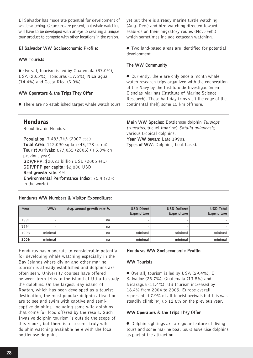El Salvador has moderate potential for development of whale watching. Cetaceans are present, but whale watching will have to be developed with an eye to creating a unique tour product to compete with other locations in the region.

#### El Salvador WW Socioeconomic Profile:

#### WW Tourists

● Overall, tourism is led by Guatemala (33.0%), USA (20.5%), Honduras (17.6%), Nicaragua (14.4%) and Costa Rica (3.0%).

#### WW Operators & the Trips They Offer

● There are no established target whale watch tours

yet but there is already marine turtle watching (Aug.-Dec.) and bird watching directed toward seabirds on their migratory routes (Nov.-Feb.) which sometimes include cetacean watching.

● Two land-based areas are identified for potential development.

#### The WW Community

● Currently, there are only once a month whale watch research trips organized with the cooperation of the Navy by the Instituto de Investigación en Ciencias Marinas (Institute of Marine Science Research). These half-day trips visit the edge of the continental shelf, some 15 km offshore.

Main WW Species: Bottlenose dolphin Tursiops truncatus, tucuxi (marine) Sotalia guianensis; various tropical dolphins. Year WW began: Late 1990s. Types of WW: Dolphins, boat-based.

# **Honduras**

República de Honduras

Population: 7,483,763 (2007 est.) Total Area: 112,090 sq km (43,278 sq mi) Tourist Arrivals: 673,035 (2005) (+5.0% on previous year) GDP/PPP: \$20.21 billion USD (2005 est.) GDP/PPP per capita: \$2,800 USD Real growth rate: 4% Environmental Performance Index: 75.4 (73rd in the world)

#### Honduras WW Numbers & Visitor Expenditure:

| Year | <b>WWs</b> | Avg. annual growth rate $%$ | USD Direct<br>Expenditure | <b>USD Indirect</b><br>Expenditure | <b>USD Total</b><br>Expenditure |
|------|------------|-----------------------------|---------------------------|------------------------------------|---------------------------------|
| 1991 |            | na                          | -                         |                                    |                                 |
| 1994 |            | na                          |                           |                                    |                                 |
| 1998 | minimal    | na                          | minimal                   | minimal                            | minimal                         |
| 2006 | minimal    | na                          | minimal                   | minimal                            | minimal                         |

Honduras has moderate to considerable potential for developing whale watching especially in the Bay Islands where diving and other marine tourism is already established and dolphins are often seen. University courses have offered between-term trips to the island of Utila to study the dolphins. On the largest Bay island of Roatan, which has been developed as a tourist destination, the most popular dolphin attractions are to see and swim with captive and semicaptive dolphins, including some wild dolphins that come for food offered by the resort. Such Invasive dolphin tourism is outside the scope of this report, but there is also some truly wild dolphin watching available here with the local bottlenose dolphins.

#### Honduras WW Socioeconomic Profile:

#### WW Tourists

● Overall, tourism is led by USA (29.4%), El Salvador (23.7%), Guatemala (13.8%) and Nicaragua (11.4%). US tourism increased by 16.4% from 2004 to 2005. Europe overall represented 7.9% of all tourist arrivals but this was steadily climbing, up 12.6% on the previous year.

#### WW Operators & the Trips They Offer

● Dolphin sightings are a regular feature of diving tours and some marine boat tours advertise dolphins as part of the attraction.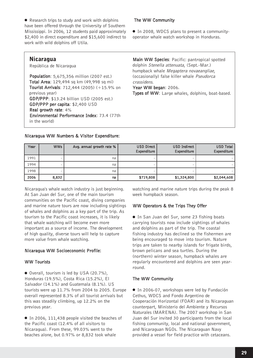● Research trips to study and work with dolphins have been offered through the University of Southern Mississippi. In 2006, 12 students paid approximately \$2,400 in direct expenditure and \$15,600 indirect to work with wild dolphins off Utila.

#### Nicaragua

República de Nicaragua

Population: 5,675,356 million (2007 est.) Total Area: 129,494 sq km (49,998 sq mi) Tourist Arrivals: 712,444 (2005) (+15.9% on previous year) GDP/PPP: \$13.24 billion USD (2005 est.) GDP/PPP per capita: \$2,400 USD Real growth rate: 4% Environmental Performance Index: 73.4 (77th in the world)

#### The WW Community

● In 2008, WDCS plans to present a communityoperator whale watch workshop in Honduras.

Main WW Species: Pacific: pantropical spotted dolphin Stenella attenuata, (Sept.-Mar.) humpback whale Megaptera novaeangliae, (occasionally) false killer whale Pseudorca crassidens.

Year WW began: 2006.

Types of WW: Large whales, dolphins, boat-based.

#### Nicaragua WW Numbers & Visitor Expenditure:

| Year | <b>WWs</b> | Avg. annual growth rate % | <b>USD Direct</b><br>Expenditure | USD Indirect<br>Expenditure | <b>USD Total</b><br>Expenditure |
|------|------------|---------------------------|----------------------------------|-----------------------------|---------------------------------|
| 1991 |            | na                        |                                  |                             |                                 |
| 1994 |            | na                        | ۰                                | $\overline{\phantom{a}}$    |                                 |
| 1998 |            | na                        | -                                |                             |                                 |
| 2006 | 8,832      | na                        | \$719,808                        | \$1,324,800                 | \$2,044,608                     |

Nicaragua's whale watch industry is just beginning. At San Juan del Sur, one of the main tourism communities on the Pacific coast, diving companies and marine nature tours are now including sightings of whales and dolphins as a key part of the trip. As tourism to the Pacific coast increases, it is likely that whale watching will become even more important as a source of income. The development of high quality, diverse tours will help to capture more value from whale watching.

#### Nicaragua WW Socioeconomic Profile:

#### WW Tourists

● Overall, tourism is led by USA (20.7%), Honduras (19.5%), Costa Rica (15.2%), El Salvador (14.1%) and Guatemala (8.1%). US tourists were up 11.7% from 2004 to 2005. Europe overall represented 8.3% of all tourist arrivals but this was steadily climbing, up 12.2% on the previous year.

● In 2006, 111,438 people visited the beaches of the Pacific coast (12.4% of all visitors to Nicaragua). From these, 99.03% went to the beaches alone, but 0.97% or 8,832 took whale

watching and marine nature trips during the peak 8 week humpback season.

#### WW Operators & the Trips They Offer

● In San Juan del Sur, some 23 fishing boats carrying tourists now include sightings of whales and dolphins as part of the trip. The coastal fishing industry has declined so the fishermen are being encouraged to move into tourism. Nature trips are taken to nearby islands for frigate birds, brown pelicans and sea turtles. During the (northern) winter season, humpback whales are regularly encountered and dolphins are seen yearround.

#### The WW Community

● In 2006-07, workshops were led by Fundación Cethus, WDCS and Fondo Argentino de Cooperación Horizontal (FOAR) and its Nicaraguan counterpart, Ministerio del Ambiente y Recursos Naturales (MARENA). The 2007 workshop in San Juan del Sur invited 30 participants from the local fishing community, local and national government, and Nicaraguan NGOs. The Nicaraguan Navy provided a vessel for field practice with cetaceans.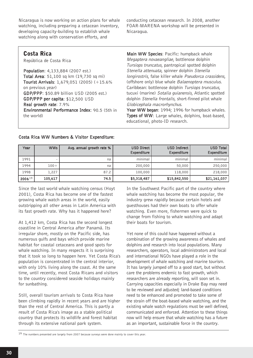Nicaragua is now working on action plans for whale watching, including preparing a cetacean inventory, developing capacity-building to establish whale watching along with conservation efforts, and

conducting cetacean research. In 2008, another FOAR-MARENA workshop will be presented in Nicaragua.

| <b>Costa Rica</b> |  |
|-------------------|--|
|-------------------|--|

República de Costa Rica

Population: 4,133,884 (2007 est.) Total Area: 51,100 sq km (19,730 sq mi) Tourist Arrivals: 1,679,051 (2005) (+15.6% on previous year) GDP/PPP: \$50.89 billion USD (2005 est.) GDP/PPP per capita: \$12,500 USD Real growth rate: 7.9% Environmental Performance Index: 90.5 (5th in the world)

Main WW Species: Pacific: humpback whale Megaptera novaeangliae, bottlenose dolphin Tursiops truncatus, pantropical spotted dolphin Stenella attenuata, spinner dolphin Stenella longirostris, false killer whale Pseudorca crassidens, (offshore only) blue whale Balaenoptera musculus. Caribbean: bottlenose dolphin Tursiops truncatus, tucuxi (marine) Sotalia guianensis, Atlantic spotted dolphin Stenella frontalis, short-finned pilot whale Globicephala macrorhynchus.

Year WW began: 1994; 1996 for humpback whales. Types of WW: Large whales, dolphins, boat-based, educational, photo-ID research.

| Year   | <b>WWs</b> | Avg. annual growth rate % | <b>USD Direct</b><br>Expenditure | <b>USD Indirect</b><br>Expenditure | <b>USD Total</b><br>Expenditure |
|--------|------------|---------------------------|----------------------------------|------------------------------------|---------------------------------|
| 1991   |            | na                        | minimal                          | minimal                            | minimal                         |
| 1994   | $100 +$    | na                        | 200,000                          | 50,000                             | 250,000                         |
| 1998   | 1,227      | 87.2                      | 100,000                          | 118,000                            | 218,000                         |
| 200619 | 105,617    | 74.5                      | \$5,318,487                      | \$15,842,550                       | \$21,161,037                    |

#### Costa Rica WW Numbers & Visitor Expenditure:

Since the last world whale watching census (Hoyt 2001), Costa Rica has become one of the fastest growing whale watch areas in the world, easily outstripping all other areas in Latin America with its fast growth rate. Why has it happened here?

At 1,412 km, Costa Rica has the second longest coastline in Central America after Panamá. Its irregular shore, mostly on the Pacific side, has numerous gulfs and bays which provide marine habitat for coastal cetaceans and good spots for whale watching. In many respects it is surprising that it took so long to happen here. Yet Costa Rica's population is concentrated in the central interior, with only 10% living along the coast. At the same time, until recently, most Costa Ricans and visitors to the country considered seaside holidays mainly for sunbathing.

Still, overall tourism arrivals to Costa Rica have been climbing rapidly in recent years and are higher than the rest of Central America. This is partly a result of Costa Rica's image as a stable political country that protects its wildlife and forest habitat through its extensive national park system.

In the Southwest Pacific part of the country where whale watching has become the most popular, the industry grew rapidly because certain hotels and guesthouses had their own boats to offer whale watching. Even more, fishermen were quick to change from fishing to whale watching and adapt their boats for tourism.

Yet none of this could have happened without a combination of the growing awareness of whales and dolphins and research into local populations. Many researchers, operators, local administrators and local and international NGOs have played a role in the development of whale watching and marine tourism. It has largely jumped off to a good start, but without care the problems endemic to fast growth, which researchers are already reporting, will soon set in. Carrying capacities especially in Drake Bay may need to be reviewed and adjusted; land-based conditions need to be enhanced and promoted to take some of the strain off the boat-based whale watching, and the existing whale watch regulations must be well defined, communicated and enforced. Attention to these things now will help ensure that whale watching has a future as an important, sustainable force in the country.

<sup>19</sup> The numbers presented are largely from 2007 because surveys were done mainly to cover this year.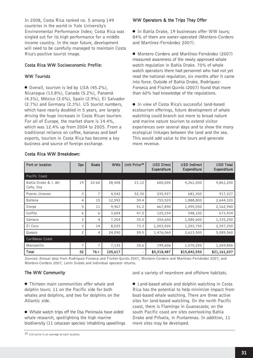In 2008, Costa Rica ranked no. 5 among 149 countries in the world in Yale University's Environmental Performance Index; Costa Rica was singled out for its high performance for a middle income country. In the near future, development will need to be carefully managed to maintain Costa Rica's positive tourist image.

#### Costa Rica WW Socioeconomic Profile:

#### WW Tourists

● Overall, tourism is led by USA (45.2%), Nicaragua (13.8%), Canada (5.2%), Panamá (4.3%), México (3.0%), Spain (2.9%), El Salvador (2.7%) and Germany (2.3%). US tourist numbers, which have nearly doubled in 5 years, are largely driving the huge increases in Costa Rican tourism. For all of Europe, the market share is 14.4%, which was 12.4% up from 2004 to 2005. From a traditional reliance on coffee, bananas and beef exports, tourism in Costa Rica has become a key business and source of foreign exchange.

#### WW Operators & the Trips They Offer

● In Bahía Drake, 19 businesses offer WW tours; 84% of them are owner-operated (Montero-Cordero and Martínez-Fernández 2007).

● Montero-Cordero and Martínez-Fernández (2007) measured awareness of the newly approved whale watch regulation in Bahía Drake. 70% of whale watch operators there had personnel who had not yet read the national regulation, six months after it came into force. Outside of Bahía Drake, Rodríguez-Fonseca and Fischel-Quirós (2007) found that more than 60% had knowledge of the regulations.

● In view of Costa Rica's successful land-based ecotourism offerings, future development of whale watching could branch out more to broad nature and marine nature tourism to extend visitor experiences over several days and to show the many ecological linkages between the land and the sea. This would add value to the tours and generate more revenue.

| Port or location                  | <b>Ops</b> | <b>Boats</b> | <b>WWs</b> | Unit Price <sup>20</sup> | <b>USD Direct</b><br>Expenditure | <b>USD Indirect</b><br>Expenditure | <b>USD Total</b><br>Expenditure |
|-----------------------------------|------------|--------------|------------|--------------------------|----------------------------------|------------------------------------|---------------------------------|
| Pacific Coast                     |            |              |            |                          |                                  |                                    |                                 |
| Bahía Drake & I. del<br>Caño, Osa | 19         | $10 - 60$    | 28,408     | 21.12                    | 600,000                          | 4,261,200                          | 4,861,200                       |
| Puerto Jimenez                    | 3          | 7            | 4,542      | 52.30                    | 235,927                          | 681,300                            | 917,227                         |
| <b>Ballena</b>                    | 4          | 15           | 12,592     | 59.4                     | 755,520                          | 1,888,800                          | 2,644,320                       |
| Sierpe                            | 5          | 11           | 9,967      | 51.2                     | 667,890                          | 1,495,050                          | 2,162,940                       |
| Golfito                           | 6          | 6            | 3,654      | 47.5                     | 125,334                          | 548,100                            | 673,434                         |
| Sámara                            | 3          | 4            | 7,204      | 35.5                     | 254,650                          | 1,080,600                          | 1,335,250                       |
| El Coco                           | 3          | 14           | 8,025      | 73.3                     | 1,003,500                        | 1,203,750                          | 2,207,250                       |
| Quepos                            | 2          | 4            | 24,090     | 59.5                     | 1,476,060                        | 3,613,500                          | 5,089,560                       |
| Caribbean Coast                   |            |              |            |                          |                                  |                                    |                                 |
| Manzanillo                        | 7          | 7            | 7,135      | 30.6                     | 199,606                          | 1,070,250                          | 1,269,856                       |
| Total                             | 52         | $76+$        | 105,617    | $\overline{\phantom{a}}$ | \$5,318,487                      | \$15,842,550                       | \$21,161,037                    |

#### Costa Rica WW Breakdown:

Sources: Annual data from Rodríguez-Fonseca and Fischel-Quirós 2007, Montero-Cordero and Martínez-Fernández 2007, and Montero-Cordero 2007, Lenin Oviedo and individual operator returns.

#### The WW Community

● Thirteen main communities offer whale and dolphin tours: 11 on the Pacific side for both whales and dolphins, and two for dolphins on the Atlantic side.

● Whale watch trips off the Osa Peninsula have aided whale research, spotlighting the high marine biodiversity (11 cetacean species) inhabiting upwellings and a variety of nearshore and offshore habitats.

● Land-based whale and dolphin watching in Costa Rica has the potential to help minimize impact from boat-based whale watching. There are three active sites for land-based watching. On the north Pacific coast, there is Flamingo in Guanacaste; on the south Pacific coast are sites overlooking Bahía Drake and Piñuela, in Puntarenas. In addition, 11 more sites may be developed.

20 Unit price is an average at each location.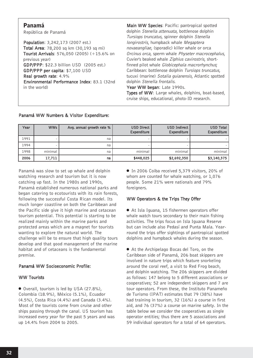# Panamá

República de Panamá

Population: 3,242,173 (2007 est.) Total Area: 78,200 sq km (30,193 sq mi) Tourist Arrivals: 576,050 (2005) (+15.6% on previous year) GDP/PPP: \$22.3 billion USD (2005 est.) GDP/PPP per capita: \$7,100 USD Real growth rate: 4.9% Environmental Performance Index: 83.1 (32nd in the world)

Main WW Species: Pacific: pantropical spotted dolphin Stenella attenuata, bottlenose dolphin Tursiops truncatus, spinner dolphin Stenella longirostris, humpback whale Megaptera novaeangliae, (sporadic) killer whale or orca Orcinus orca, sperm whale Physeter macrocephalus, Cuvier's beaked whale Ziphius cavirostris, shortfinned pilot whale Globicephala macrorhynchus; Caribbean: bottlenose dolphin Tursiops truncatus, tucuxi (marine) Sotalia guianensis, Atlantic spotted dolphin Stenella frontalis.

Year WW began: Late 1990s. Types of WW: Large whales, dolphins, boat-based, cruise ships, educational, photo-ID research.

| Year | <b>WWs</b> | Avg. annual growth rate % | <b>USD Direct</b><br>Expenditure | <b>USD Indirect</b><br>Expenditure | <b>USD Total</b><br>Expenditure |
|------|------------|---------------------------|----------------------------------|------------------------------------|---------------------------------|
| 1991 |            | na                        |                                  |                                    |                                 |
| 1994 |            | na                        |                                  |                                    |                                 |
| 1998 | minimal    | na                        | minimal                          | minimal                            | minimal                         |
| 2006 | 17,711     | na                        | \$448,025                        | \$2,692,350                        | \$3,140,375                     |

Panamá WW Numbers & Visitor Expenditure:

Panamá was slow to set up whale and dolphin watching research and tourism but it is now catching up fast. In the 1980s and 1990s, Panamá established numerous national parks and began catering to ecotourists with its rain forests, following the successful Costa Rican model. Its much longer coastline on both the Caribbean and the Pacific side give it high marine and cetacean tourism potential. This potential is starting to be realized mainly within the marine parks and protected areas which are a magnet for tourists wanting to explore the natural world. The challenge will be to ensure that high quality tours develop and that good management of the marine habitat and of cetaceans is the fundamental premise.

#### Panamá WW Socioeconomic Profile:

#### WW Tourists

● Overall, tourism is led by USA (27.8%), Colombia (18.9%), México (5.1%), Ecuador (4.5%), Costa Rica (4.4%) and Canada (3.4%). Most of the tourists come from cruise and other ships passing through the canal. US tourism has increased every year for the past 5 years and was up 14.4% from 2004 to 2005.

● In 2006 Coiba received 5,379 visitors, 20% of whom are counted for whale watching, or 1,076 people. Some 21% were nationals and 79% foreigners.

#### WW Operators & the Trips They Offer

● At Isla Iguana, 15 fishermen operators offer whale watch tours secondary to their main fishing activities. The trips focus on Isla Iguana Reserve but can include also Pedasí and Punta Mala. Yearround the trips offer sightings of pantropical spotted dolphins and humpback whales during the season.

● At the Archipelago Bocas del Toro, on the Caribbean side of Panamá, 206 boat skippers are involved in nature trips which feature snorkeling around the coral reef, a visit to Red Frog beach, and dolphin watching. The 206 skippers are divided as follows: 147 belong to 5 different associations or cooperatives; 52 are independent skippers and 7 are tour operators. From these, the Instituto Panameño de Turismo (IPAT) estimates that 79 (38%) have had training in tourism, 32 (16%) a course in first aid, and 76 (37%) a course on marine safety. In the table below we consider the cooperatives as single operator entities; thus there are 5 associations and 59 individual operators for a total of 64 operators.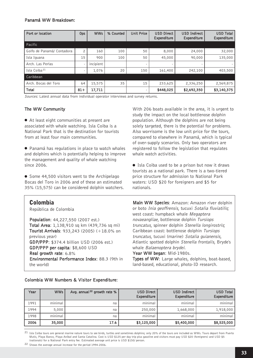#### Panamá WW Breakdown:

| Port or location           | <b>Ops</b> | <b>WWs</b> | % Counted | <b>Unit Price</b> | <b>USD Direct</b><br>Expenditure | <b>USD Indirect</b><br>Expenditure | <b>USD Total</b><br>Expenditure |
|----------------------------|------------|------------|-----------|-------------------|----------------------------------|------------------------------------|---------------------------------|
| Pacific                    |            |            |           |                   |                                  |                                    |                                 |
| Golfo de Panamá/ Contadora | 2          | 160        | 100       | 50                | 8,000                            | 24,000                             | 32,000                          |
| Isla Iguana                | 15         | 900        | 100       | 50                | 45,000                           | 90,000                             | 135,000                         |
| Arch. Las Perlas           | ۰          | incipient  |           |                   |                                  |                                    |                                 |
| Isla Coiba <sup>21</sup>   |            | 1,076      | 20        | 150               | 161,400                          | 242,100                            | 403,500                         |
| Caribbean                  |            |            |           |                   |                                  |                                    |                                 |
| Arch. Bocas del Toro       | 64         | 15,575     | 35        | 15                | 233,625                          | 2,336,250                          | 2,569,875                       |
| Total                      | $81 +$     | 17,711     |           |                   | \$448,025                        | \$2,692,350                        | \$3,140,375                     |

Sources: Latest annual data from individual operator interviews and survey returns.

#### The WW Community

● At least eight communities at present are associated with whale watching. Isla Coiba is a National Park that is the destination for tourists from at least four main communities.

● Panamá has regulations in place to watch whales and dolphins which is potentially helping to improve the management and quality of whale watching since 2006.

● Some 44,500 visitors went to the Archipelago Bocas del Toro in 2006 and of these an estimated 35% (15,575) can be considered dolphin watchers.

## Colombia

República de Colombia

Population: 44,227,550 (2007 est.) Total Area: 1,138,910 sq km (439,736 sq mi) Tourist Arrivals: 933,243 (2005) (+18.0% on previous year) GDP/PPP: \$374.4 billion USD (2006 est.) GDP/PPP per capita: \$8,600 USD Real growth rate: 6.8% Environmental Performance Index: 88.3 (9th in the world)

With 206 boats available in the area, it is urgent to study the impact on the local bottlenose dolphin population. Although the dolphins are not being solely targeted, there is the potential for problems. Also worrisome is the low unit price for the tours, compared to elsewhere in Panamá, which is typical of over-supply scenarios. Only two operators are registered to follow the legislation that regulates whale watch activities.

● Isla Coiba used to be a prison but now it draws tourists as a national park. There is a two-tiered price structure for admission to National Park waters: USD \$20 for foreigners and \$5 for nationals.

Main WW Species: Amazon: Amazon river dolphin or boto Inia geoffrensis, tucuxi Sotalia fluviatilis; west coast: humpback whale Megaptera novaeangliae, bottlenose dolphin Tursiops truncatus, spinner dolphin Stenella longirostris; Caribbean coast: bottlenose dolphin Tursiops truncatus, tucuxi (marine) Sotalia guianensis, Atlantic spotted dolphin Stenella frontalis, Bryde's whale Balaenoptera brydei.

Year WW began: Mid-1980s. Types of WW: Large whales, dolphins, boat-based, land-based, educational, photo-ID research.

#### Colombia WW Numbers & Visitor Expenditure:

| Year | <b>WWs</b> | Avg. annual <sup>22</sup> growth rate % | <b>USD Direct</b><br>Expenditure | <b>USD Indirect</b><br>Expenditure | <b>USD Total</b><br>Expenditure |
|------|------------|-----------------------------------------|----------------------------------|------------------------------------|---------------------------------|
| 1991 | minimal    | na                                      | minimal                          | minimal                            | minimal                         |
| 1994 | 5,000      | na                                      | 250,000                          | 1,668,000                          | 1,918,000                       |
| 1998 | minimal    | na                                      | minimal                          | minimal                            | minimal                         |
| 2006 | 35,000     | 17.6                                    | \$3,125,000                      | \$5,400,000                        | \$8,525,000                     |

21 Isla Coiba tours are general marine nature tours to see birds, turtles and sometimes dolphins; only 20% of the tours are included as WWs. Tours depart from Puerto Mutis, Playa Banco, Playa Aníbal and Santa Catalina. Cost is USD \$125 per day trip plus gasoline and visitors must pay USD \$20 (foreigners) and USD \$5 (nationals) for a National Park entry fee. Estimated average unit price is USD \$150/ person.

22 Shows the average annual increase for the period 1994-2006.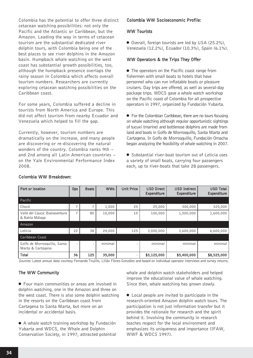Colombia has the potential to offer three distinct cetacean watching possibilities: not only the Pacific and the Atlantic or Caribbean, but the Amazon. Leading the way in terms of cetacean tourism are the substantial dedicated river dolphin tours, with Colombia being one of the best places to see river dolphins in the Amazon basin. Humpback whale watching on the west coast has substantial growth possibilities, too, although the humpback presence overlaps the rainy season in Colombia which affects overall tourism numbers. Researchers are currently exploring cetacean watching possibilities on the Caribbean coast.

For some years, Colombia suffered a decline in tourists from North America and Europe. This did not affect tourism from nearby Ecuador and Venezuela which helped to fill the gap.

Currently, however, tourism numbers are dramatically on the increase, and many people are discovering or re-discovering the natural wonders of the country. Colombia ranks 9th and 2nd among all Latin American countries on the Yale Environmental Performance Index 2008.

#### Colombia WW Socioeconomic Profile:

#### WW Tourists

● Overall, foreign tourists are led by USA (25.2%), Venezuela (12.2%), Ecuador (10.3%), Spain (6.1%).

#### WW Operators & the Trips They Offer

● The operators on the Pacific coast range from fishermen with small boats to hotels that have personnel who can run inflatable boats or pleasure cruisers. Day trips are offered, as well as several-day package trips. WDCS gave a whale watch workshop on the Pacific coast of Colombia for all prospective operators in 1997, organized by Fundación Yubarta.

● For the Colombian Caribbean, there are no tours focusing on whale watching although regular opportunistic sightings of tucuxi (marine) and bottlenose dolphins are made from land and boats in Golfo de Morrosquillo, Santa Marta and Cartagena. In Golfo de Morrosquillo, Fundación Omacha began analyzing the feasibility of whale watching in 2007.

● Substantial river-boat tourism out of Leticia uses a variety of small boats, carrying four passengers each, up to river-boats that take 28 passengers.

| Port or location                                  | <b>Ops</b> | <b>Boats</b>             | <b>WWs</b> | <b>Unit Price</b> | <b>USD Direct</b><br>Expenditure | <b>USD Indirect</b><br>Expenditure | <b>USD Total</b><br>Expenditure |
|---------------------------------------------------|------------|--------------------------|------------|-------------------|----------------------------------|------------------------------------|---------------------------------|
| Pacific                                           |            |                          |            |                   |                                  |                                    |                                 |
| Chocó                                             | 7          |                          | 1,000      | 25                | 25,000                           | 300,000                            | 325,000                         |
| Valle del Cauca: Buenaventura<br>& Bahía Málaga   |            | 80                       | 10,000     | 10                | 100,000                          | 1,500,000                          | 1,600,000                       |
| Amazon                                            |            |                          |            |                   |                                  |                                    |                                 |
| Leticia                                           | 22         | 38                       | 24,000     | 125               | 3,000,000                        | 3,600,000                          | 6,600,000                       |
| Caribbean Coast                                   |            |                          |            |                   |                                  |                                    |                                 |
| Golfo de Morrosquillo, Santa<br>Marta & Cartagena |            | $\overline{\phantom{a}}$ | minimal    |                   | minimal                          | minimal                            | minimal                         |
| Total                                             | 36         | 125                      | 35,000     |                   | \$3,125,000                      | \$5,400,000                        | \$8,525,000                     |

#### Colombia WW Breakdown:

Sources: Latest annual data courtesy Fernando Trujillo, Lilián Flórez-González and based on individual operator interviews and survey returns.

#### The WW Community

● Four main communities or areas are involved in dolphin watching, one in the Amazon and three on the west coast. There is also some dolphin watching in the resorts on the Caribbean coast from Cartagena to Santa Marta, but more on an incidental or accidental basis.

● A whale watch training workshop by Fundación Yubarta and WDCS, the Whale and Dolphin Conservation Society, in 1997, attracted potential whale and dolphin watch stakeholders and helped improve the educational value of whale watching. Since then, whale watching has grown slowly.

● Local people are invited to participate in the research-oriented Amazon dolphin watch tours. The participation is not just information transfer but it provides the rationale for research and the spirit behind it. Involving the community in research teaches respect for the local environment and emphasizes its uniqueness and importance (IFAW, WWF & WDCS 1997).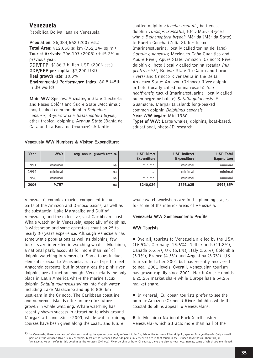# Venezuela

República Bolivariana de Venezuela

Population: 26,084,662 (2007 est.) Total Area: 912,050 sq km (352,144 sq mi) Tourist Arrivals: 706,103 (2005) (+45.2% on previous year) GDP/PPP: \$186.3 billion USD (2006 est.) GDP/PPP per capita: \$7,200 USD Real growth rate: 10.3% Environmental Performance Index: 80.8 (45th in the world)

Main WW Species: Anzoátegui State (Lechería and Paseo Colón) and Sucre State (Mochima): long-beaked common dolphin Delphinus capensis, Bryde's whale Balaenoptera brydei, other tropical dolphins; Aragua State (Bahía de Cata and La Boca de Ocumare): Atlantic

spotted dolphin Stenella frontalis, bottlenose dolphin Tursiops truncatus, (Oct.-Mar.) Bryde's whale Balaenoptera brydei; Mérida (Mérida State) to Puerto Concha (Zulia State): tucuxi (marine/estuarine, locally called tonina del lago) Sotalia guianensis; Mérida to Caño Guaritico and Apure River, Apure State: Amazon (Orinoco) River dolphin or boto (locally called tonina rosada) Inia geoffrensis23; Bolivar State (to Caura and Caroní rivers) and Orinoco River Delta in the Delta Amacuro State: Amazon (Orinoco) River dolphin or boto (locally called tonina rosada) Inia geoffrensis, tucuxi (marine/estuarine, locally called bufeo negro or bufete) Sotalia guianensis; El Guamache, Margarita Island: long-beaked common dolphin Delphinus capensis.

Year WW began: Mid-1980s.

Types of WW: Large whales, dolphins, boat-based, educational, photo-ID research.

| Year | <b>WWs</b> | Avg. annual growth rate % | USD Direct<br>Expenditure | USD Indirect<br>Expenditure | <b>USD Total</b><br>Expenditure |
|------|------------|---------------------------|---------------------------|-----------------------------|---------------------------------|
| 1991 | minimal    | na                        | minimal                   | minimal                     | minimal                         |
| 1994 | minimal    | na                        | minimal                   | minimal                     | minimal                         |
| 1998 | minimal    | na                        | minimal                   | minimal                     | minimal                         |
| 2006 | 9,757      | na                        | \$240,034                 | \$758,625                   | \$998,659                       |

Venezuela WW Numbers & Visitor Expenditure:

Venezuela's complex marine component includes parts of the Amazon and Orinoco basins, as well as the substantial Lake Maracaibo and Gulf of Venezuela, and the extensive, vast Caribbean coast. Whale watching in Venezuela, especially of dolphins, is widespread and some operators count on 25 to nearly 30 years experience. Although Venezuela has some whale populations as well as dolphins, few tourists are interested in watching whales. Mochima, a national park, accounts for more than half of dolphin watching in Venezuela. Some tours include elements special to Venezuela, such as trips to meet Anaconda serpents, but in other areas the pink river dolphins are attraction enough. Venezuela is the only place in Latin America where the marine tucuxi dolphin Sotalia guianensis swims into fresh water including Lake Maracaibo and up to 800 km upstream in the Orinoco. The Caribbean coastline and numerous islands offer an area for future growth in whale watching. Whale watching has recently shown success in attracting tourists around Margarita Island. Since 2003, whale watch training courses have been given along the coast, and future

whale watch workshops are in the planning stages for some of the interior areas of Venezuela.

#### Venezuela WW Socioeconomic Profile:

#### WW Tourists

● Overall, tourists to Venezuela are led by the USA (16.5%), Germany (13.6%), Netherlands (11.8%), Canada (6.6%), UK (6.1%), Italy (5.6%), Colombia (5.1%), France (4.3%) and Argentina (3.7%). US tourism fell after 2001 but has recently recovered to near 2001 levels. Overall, Venezuelan tourism has grown rapidly since 2001. North America holds a 25.2% market share while Europe has a 54.2% market share.

● In general, European tourists prefer to see the boto or Amazon (Orinoco) River dolphins while the coastal dolphins appeal to Venezuelans.

● In Mochima National Park (northeastern Venezuela) which attracts more than half of the

<sup>23</sup> In Venezuela, there is some confusion surrounding the species commonly referred to in English as the Amazon River dolphin, species *Inia geoffrensis*. Only a small portion of the Amazon River is in Venezuela. Most of the "Amazon River dolphins" in Venezuela are in fact found in the Orinoco River basin. Therefore, in Venezuela, we will refer to this dolphin as the Amazon (Orinoco) River dolphin or boto. Of course, there are also various local names, some of which are mentioned.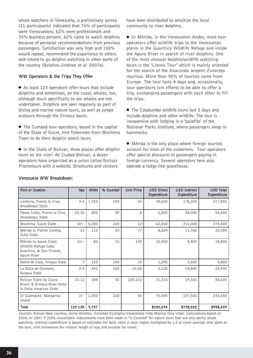whale watchers in Venezuela, a preliminary survey (21 participants) indicated that 76% of participants were Venezuelans; 62% were professionals and 30% business persons. 62% came to watch dolphins because of personal recommendations from previous passengers. Satisfaction was very high and 100% would repeat, recommend the experience to others and intend to go dolphin watching in other parts of the country (Bolaños-Jiménez et al. 2007a).

#### WW Operators & the Trips They Offer

● At least 123 operators offer tours that include dolphins and sometimes, on the coast, whales, too, although tours specifically to see whales are not undertaken. Dolphins are seen regularly as part of diving and marine nature tours, as well as jungle ecotours through the Orinoco basin.

● The Cumaná tour operators, based in the capital of the State of Sucre, hire fishermen from Mochima Town to do their dolphin watch tours.

● In the State of Bolivar, three places offer dolphin tours on the river. At Ciudad Bolivar, a dozen operators have organized as a union called Bolivar Promotours with a website. Brochures and stickers

have been distributed to sensitize the local community to river dolphins.

● In Mérida, in the Venezuelan Andes, most tour operators offer wildlife trips to the Venezuelan plains in the Guaritico Wildlife Refuge and inside the Apure River in search of river dolphins. One of the most unusual dolphin/wildlife watching tours is the "Llanos Tour" which is mainly oriented for the search of the Anaconda serpent Eunectes murinus. More than 90% of tourists come from Europe. The tour lasts 4 days and, occasionally, tour operators join efforts to be able to offer a trip, exchanging passengers with each other to fill the trips.

● The Catatumbo wildlife tours last 2 days and include dolphins and other wildlife. The tour is inexpensive with lodging in a "palafito" of the National Parks Institute, where passengers sleep in hammocks.

● Mérida is the only place where foreign tourists account for most of the customers. Tour operators offer special discounts to passengers paying in foreign currency. Several operators here also operate a lodge-like guesthouse.

| Port or location                                                                           | <b>Ops</b>     | <b>WWs</b> | % Counted | <b>Unit Price</b> | <b>USD Direct</b><br>Expenditure | <b>USD Indirect</b><br>Expenditure | <b>USD Total</b><br>Expenditure |
|--------------------------------------------------------------------------------------------|----------------|------------|-----------|-------------------|----------------------------------|------------------------------------|---------------------------------|
| Lechería, Puerto la Cruz,<br>Anzoátegui State                                              | $3 - 4$        | 1,320      | 100       | 30                | 39,600                           | 178,200                            | 217,800                         |
| Paseo Colón, Puerto la Cruz,<br>Anzoátegui State                                           | $20 - 30$      | 800        | 50        | 8                 | 6,400                            | 48,000                             | 54,400                          |
| Mochima, Sucre State                                                                       | $60 +$         | 5,200      | 100       | 12                | 62,400                           | 312,000                            | 374,400                         |
| Mérida to Puerto Concha,<br>Zulia State                                                    | 12             | 112        | 25        | 77                | 8,624                            | 11,760                             | 20,384                          |
| Mérida to Apure State:<br>Wildlife Refuge Caño<br>Guaritico, & San Vicente,<br>Apure River | $10 +$         | 80         | 10        | 130               | 10,400                           | 8,400                              | 18,800                          |
| Bahía de Cata, Aragua State                                                                | $\overline{3}$ | 120        | 100       | 10                | 1,200                            | 3,600                              | 4,800                           |
| La Boca de Ocumare,<br>Aragua State                                                        | $3 - 5$        | 441        | 100       | $10 - 20$         | 5,100                            | 19,845                             | 24,945                          |
| Bolivar State (to Caura<br>River) & Orinoco River Delta<br>in Delta Amacuro State          | $10 - 12$      | 184        | 50        | 130-210           | 31,310                           | 19,320                             | 50,630                          |
| El Guamache, Margarita<br>Island                                                           | $2+$           | 1,500      | 100       | 50                | 75,000                           | 157,500                            | 232,500                         |
| Total                                                                                      | 123-138        | 9,757      |           |                   | \$240,034                        | \$758,625                          | \$998,659                       |

#### Venezuela WW Breakdown:

Sources: Annual data courtesy Jaime Bolaños, Sociedad Ecológica Venezolana Vida Marina (Sea Vida). Calculations based on 2006, or 2007 if 2006 unavailable. Adjustments have been made in "% Counted" for nature tours that are only partly whale watching. Indirect expenditure is based on estimates for daily rates in each region multiplied by 1.5 to cover average time spent on the tour, with allowances for visitors' length of stay and purpose for travel.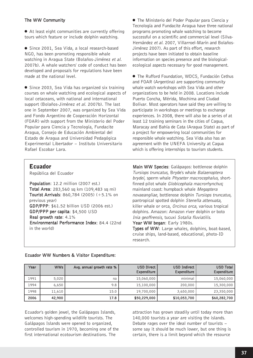#### The WW Community

● At least eight communities are currently offering tours which feature or include dolphin watching.

● Since 2001, Sea Vida, a local research-based NGO, has been promoting responsible whale watching in Aragua State (Bolaños-Jiménez et al. 2007b). A whale watchers' code of conduct has been developed and proposals for regulations have been made at the national level.

● Since 2003, Sea Vida has organized six training courses on whale watching and ecological aspects of local cetaceans, with national and international support (Bolaños-Jiménez et al. 2007b). The last one in September 2007, was organized by Sea Vida and Fondo Argentino de Cooperación Horizontal (FOAR) with support from the Ministerio del Poder Popular para Ciencia y Tecnología, Fundacite Aragua, Consejo de Educación Ambiental del Estado de Aragua and Universidad Pedagógica Experimental Libertador - Instituto Universitario Rafael Escobar Lara.

● The Ministerio del Poder Popular para Ciencia y Tecnología and Fundacite Aragua have three national programs promoting whale watching to become successful on a scientific and commercial level (Silva-Hernández et al. 2007, Villarroel-Marín and Bolaños-Jiménez 2007). As part of this effort, research projects have been initiated to obtain baseline information on species presence and the biologicalecological aspects necessary for good management.

● The Rufford Foundation, WDCS, Fundación Cethus and FOAR (Argentina) are supporting community whale watch workshops with Sea Vida and other organizations to be held in 2008. Locations include Puerto Concha, Mérida, Mochima and Ciudad Bolívar. Most operators have said they are willing to participate in workshops or meetings to exchange experiences. In 2008, there will also be a series of at least 12 training seminars in the cities of Cagua, Maracay and Bahía de Cata (Aragua State) as part of a project for empowering local communities for responsible whale watching. Sea Vida also has an agreement with the UNEFA University at Cagua which is offering internships to tourism students.

# Ecuador

República del Ecuador

Population: 12.2 million (2007 est.) Total Area: 283,560 sq km (109,483 sq mi) Tourist Arrivals: 860,784 (2005) (+5.1% on previous year) GDP/PPP: \$61.52 billion USD (2006 est.) GDP/PPP per capita: \$4,500 USD Real growth rate: 4.1% Environmental Performance Index: 84.4 (22nd in the world)

Main WW Species: Galápagos: bottlenose dolphin Tursiops truncatus, Bryde's whale Balaenoptera brydei, sperm whale Physeter macrocephalus, shortfinned pilot whale Globicephala macrorhynchus; mainland coast: humpback whale Megaptera novaeangliae, bottlenose dolphin Tursiops truncatus, pantropical spotted dolphin Stenella attenuata, killer whale or orca, Orcinus orca, various tropical dolphins. Amazon: Amazon river dolphin or boto Inia geoffrensis, tucuxi Sotalia fluviatilis. Year WW began: Early 1980s.

Types of WW: Large whales, dolphins, boat-based, cruise ships, land-based, educational, photo-ID research.

| Year | <b>WWs</b> | Avg. annual growth rate % | USD Direct<br>Expenditure | USD Indirect<br>Expenditure | <b>USD Total</b><br>Expenditure |
|------|------------|---------------------------|---------------------------|-----------------------------|---------------------------------|
| 1991 | 5,020      | na                        | 15,060,000                | minimal                     | 15,060,000                      |
| 1994 | 6,650      | 9.8                       | 15,100,000                | 200,000                     | 15,300,000                      |
| 1998 | 11,610     | 15.0                      | 19,700,000                | 3,650,000                   | 23,350,000                      |
| 2006 | 42,900     | 17.8                      | \$50,229,000              | \$10,053,700                | \$60,282,700                    |

#### Ecuador WW Numbers & Visitor Expenditure:

Ecuador's golden jewel, the Galápagos Islands, welcomes high-spending wildlife tourists. The Galápagos Islands were opened to organized, controlled tourism in 1970, becoming one of the first international ecotourism destinations. The

attraction has grown steadily until today more than 140,000 tourists a year are visiting the islands. Debate rages over the ideal number of tourists  $$ some say it should be much lower, but one thing is certain, there is a limit beyond which the resource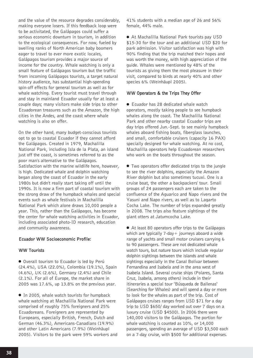and the value of the resource degrades considerably, making everyone losers. If this feedback loop were to be activitated, the Galápagos could suffer a serious economic downturn in tourism, in addition to the ecological consequences. For now, fueled by swelling ranks of North American baby boomers eager to travel to ever more exotic locales, Galápagos tourism provides a major source of income for the country. Whale watching is only a small feature of Galápagos tourism but the traffic from incoming Galápagos tourists, a target natural history audience, has substantial high-spending spin-off effects for general tourism as well as for whale watching. Every tourist must travel through and stay in mainland Ecuador usually for at least a couple days; many visitors make side trips to other Ecuadorean treasures such as the Amazon, the high cities in the Andes, and the coast where whale watching is also on offer.

On the other hand, many budget-conscious tourists opt to go to coastal Ecuador if they cannot afford the Galápagos. Created in 1979, Machalilla National Park, including Isla de la Plata, an island just off the coast, is sometimes referred to as the poor man's alternative to the Galápagos. Satisfaction with the marine wildlife here, however, is high. Dedicated whale and dolphin watching began along the coast of Ecuador in the early 1980s but didn't really start taking off until the 1990s. It is now a firm part of coastal tourism with the strong draw of the humpback whales and special events such as whale festivals in Machalilla National Park which alone draws 10,000 people a year. This, rather than the Galápagos, has become the center for whale watching activities in Ecuador, including associated photo-ID research, education and community awareness.

#### Ecuador WW Socioeconomic Profile:

#### WW Tourists

● Overall tourism to Ecuador is led by Perú (24.4%), USA (22.0%), Colombia (19.1%), Spain (4.6%), UK (2.6%), Germany (2.4%) and Chile (2.1%). For all of Europe, the market share in 2005 was 17.6%, up 13.8% on the previous year.

● In 2005, whale watch tourists for humpback whale watching at Machalilla National Park were comprised of roughly 75% foreigners and 25% Ecuadoreans. Foreigners are represented by Europeans, especially British, French, Dutch and German (46.3%), Americans-Canadians (19.9%) and other Latin Americans (7.9%) (Weinhäupl 2005). Visitors to the park were 59% workers and 41% students with a median age of 26 and 56% female, 44% male.

● At Machalilla National Park tourists pay USD \$15-30 for the tour and an additional USD \$20 for park admission. Visitor satisfaction was high with 90% finding that the trip matched their hopes and was worth the money, with high appreciation of the guide. Whales were mentioned by 48% of the tourists as giving them the most pleasure in their visit, compared to birds at nearly 40% and other species 6% (Weinhäupl 2005).

#### WW Operators & the Trips They Offer

● Ecuador has 28 dedicated whale watch operators, mostly taking people to see humpback whales along the coast. The Machalilla National Park and other nearby coastal Ecuador trips are day trips offered Jun.-Sept. to see mainly humpback whales aboard fishing boats, fiberglass launches, and small, comfortable cruisers (capacity 16 PAX) specially designed for whale watching. At no cost, Machalilla operators help Ecuadorean researchers who work on the boats throughout the season.

● Two operators offer dedicated trips to the jungle to see the river dolphins, especially the Amazon River dolphin but also sometimes tucuxi. One is a cruise boat, the other a backpackers' tour. Small groups of 24 passengers each are taken to the confluence of the Aguarico and Napo rivers and the Yasuni and Napo rivers, as well as to Lagarto Cocha Lake. The number of trips expanded greatly in 2008. The trips also feature sightings of the giant otters at Jatumcocha Lake.

● At least 80 operators offer trips to the Galápagos which are typically  $7$ -day  $+$  journeys aboard a wide range of yachts and small motor cruisers carrying 6 to 90 passengers. These are not dedicated whale watch tours, but nature tours which include regular dolphin sightings between the islands and whale sightings especially in the Canal Bolívar between Fernandina and Isabela and in the area west of Isabela Island. Several cruise ships (Polares, Santa Cruz, Isabela, among others) include in their itineraries a special tour "Búsqueda de Ballenas" (Searching for Whales) and will spend a day or more to look for the whales as part of the trip. Cost of Galápagos cruises ranges from USD \$71 for a day trip to USD \$650/ day worked out over 7 days on a luxury cruise (USD \$4500). In 2006 there were 140,000 visitors to the Galápagos. The portion for whale watching is counted as 10%, or 14,000 passengers, spending an average of USD \$3,500 each on a 7-day cruise, with \$500 for additional expenses.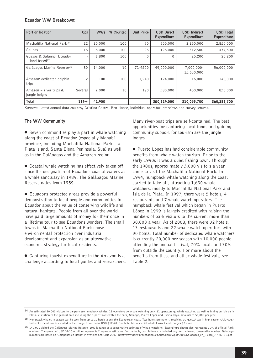#### Ecuador WW Breakdown:

| Port or location                                          | Ops            | <b>WWs</b> | % Counted | Unit Price | <b>USD Direct</b><br>Expenditure | <b>USD Indirect</b><br>Expenditure | <b>USD Total</b><br>Expenditure |
|-----------------------------------------------------------|----------------|------------|-----------|------------|----------------------------------|------------------------------------|---------------------------------|
| Machalilla National Park <sup>24</sup>                    | 22             | 20,000     | 100       | 30         | 600,000                          | 2,250,000                          | 2,850,000                       |
| Salinas                                                   | 15             | 5,000      | 100       | 25         | 125,000                          | 312,500                            | 437,500                         |
| Guayas & Salango, Ecuador<br>$-$ land-based <sup>25</sup> | ۰              | 1,800      | 100       | $\Omega$   |                                  | 25,200                             | 25,200                          |
| Galápagos Marine Reserve <sup>26</sup>                    | 80             | 14,000     | 10        | 71-4500    | 49,000,000                       | 7,000,000-<br>15,600,000           | 56,000,000                      |
| Amazon: dedicated dolphin<br>trips                        | $\overline{c}$ | 100        | 100       | 1,240      | 124,000                          | 16,000                             | 140,000                         |
| Amazon - river trips &<br>jungle lodges                   | Several        | 2,000      | 10        | 190        | 380,000                          | 450,000                            | 830,000                         |
| Total                                                     | $119+$         | 42,900     |           |            | \$50,229,000                     | \$10,053,700                       | \$60,282,700                    |

Sources: Latest annual data courtesy Cristina Castro, Ben Haase, individual operator interviews and survey returns.

#### The WW Community

● Seven communities play a part in whale watching along the coast of Ecuador (especially Manabí province, including Machalilla National Park, La Plata island, Santa Elena Peninsula, Sua) as well as in the Galápagos and the Amazon region.

● Coastal whale watching has effectively taken off since the designation of Ecuador's coastal waters as a whale sanctuary in 1989. The Galápagos Marine Reserve dates from 1959.

● Ecuador's protected areas provide a powerful demonstration to local people and communities in Ecuador about the value of conserving wildlife and natural habitats. People from all over the world have paid large amounts of money for their once in a lifetime tour to see Ecuador's wonders. The small towns in Machalilla National Park chose environmental protection over industrial development and expansion as an alternative economic strategy for local residents.

● Capturing tourist expenditure in the Amazon is a challenge according to local guides and researchers. Many river-boat trips are self-contained. The best opportunities for capturing local funds and gaining community support for tourism are the jungle lodges.

● Puerto López has had considerable community benefits from whale watch tourism. Prior to the early 1990s it was a quiet fishing town. Through the 1980s, approximately 3,000 visitors a year came to visit the Machalilla National Park. In 1994, humpback whale watching along the coast started to take off, attracting 1,630 whale watchers, mostly to Machalilla National Park and Isla de la Plata. In 1997, there were 5 hotels, 4 restaurants and 7 whale watch operators. The humpback whale festival which began in Puerto López in 1999 is largely credited with raising the numbers of park visitors to the current more than 30,000 a year. As of 2008, there were 32 hotels, 13 restaurants and 22 whale watch operators with 30 boats. Total number of dedicated whale watchers is currently 20,000 per season with 10,000 people attending the annual festival, 70% locals and 30% from outside the country. For more about the benefits from these and other whale festivals, see Table 2.

<sup>&</sup>lt;sup>24</sup> An estimated 20,000 visitors to the park see humpback whales. 11 operators go whale watching only; 11 operators go whale watching as well as hiking on Isla de la Plata. Visitation to the general area including the 3 port towns within the park, Salango, Puerto López and Puerto Cayo, amounts to 50,000 per year.

<sup>25</sup> Humpback whales in season can be seen from up to 10 hotels along the Ecuadorean coast. Two hotels promote it, receiving 30 guests/ day in high season (Jul.-Aug.). Indirect expenditure is counted in the charge from rooms USD \$12-20. One hotel has a special whale lookout and charges \$2 more.

<sup>26</sup> 140,000 visited the Galápagos Marine Reserve. 10% is taken as a conservative estimate of whale watching. Expenditure shown also represents 10% of official Park numbers. The spread of USD \$7-15.6 million represents 2 separate estimates. For the table, calculations are included only for the lower, conservative number. Galapagos numbers are based on "Galápagos en riesgo" in Watkins and Cruz 2007. http://www.darwinfoundation.org/files/library/pdf/2007/Galapagos\_en\_Riesgo\_7-4-07-ES.pdf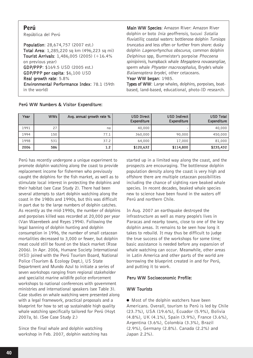| Perú<br>República del Perú                  | Main WW Species: Amazon River: Amazon River<br>dolphin or boto Inia geoffrensis, tucuxi Sotalia<br>fluviatilis; coastal waters: bottlenose dolphin Tursiops |
|---------------------------------------------|-------------------------------------------------------------------------------------------------------------------------------------------------------------|
| Population: 28,674,757 (2007 est.)          | truncatus and less often or further from shore: dusky                                                                                                       |
| Total Area: 1,285,220 sq km (496,223 sq mi) | dolphin Lagenorhynchus obscurus, common dolphin                                                                                                             |
| Tourist Arrivals: 1,486,005 (2005) (+16.4%  | Delphinus spp, Burmeister's porpoise Phocoena                                                                                                               |
| on previous year)                           | spinipinnis, humpback whale Megaptera novaeangliae,                                                                                                         |
| GDP/PPP: \$169.5 USD (2005 est.)            | sperm whale Physeter macrocephalus, Bryde's whale                                                                                                           |
| GDP/PPP per capita: \$6,100 USD             | Balaenoptera brydei, other cetaceans.                                                                                                                       |
| Real growth rate: 5.8%                      | Year WW began: 1985.                                                                                                                                        |
| Environmental Performance Index: 78.1 (59th | Types of WW: Large whales, dolphins, porpoises, boat-                                                                                                       |
| in the world)                               | based, land-based, educational, photo-ID research.                                                                                                          |

| Year | <b>WWs</b> | Avg. annual growth rate % | <b>USD Direct</b><br>Expenditure | <b>USD Indirect</b><br>Expenditure | <b>USD Total</b><br>Expenditure |
|------|------------|---------------------------|----------------------------------|------------------------------------|---------------------------------|
| 1991 | 27         | na                        | 40,000                           |                                    | 40,000                          |
| 1994 | 150        | 77.1                      | 360,000                          | 90,000                             | 450,000                         |
| 1998 | 531        | 37.2                      | 64,000                           | 17,000                             | 81,000                          |
| 2006 | 586        | 1.2                       | \$120,632                        | \$114,800                          | \$235,432                       |

Perú WW Numbers & Visitor Expenditure:

Perú has recently undergone a unique experiment to promote dolphin watching along the coast to provide replacement income for fishermen who previously caught the dolphins for the fish market, as well as to stimulate local interest in protecting the dolphins and their habitat (see Case Study 2). There had been several attempts to start dolphin watching along the coast in the 1980s and 1990s, but this was difficult in part due to the large numbers of dolphin catches. As recently as the mid-1990s, the number of dolphins and porpoises killed was recorded at 20,000 per year (Van Waerebeek and Reyes 1994). Following the legal banning of dolphin hunting and dolphin consumption in 1996, the number of small cetacean mortalities decreased to 3,000 or fewer, but dolphin meat could still be found on the black market (Rose 2006). In Apr. 2006, Humane Society International (HSI) joined with the Perú Tourism Board, National Police (Tourism & Ecology Dept.), US State Department and Mundo Azul to initiate a series of seven workshops ranging from regional stakeholder and specialist marine wildlife police enforcement workshops to national conferences with government ministries and international speakers (see Table 3). Case studies on whale watching were presented along with a legal framework, practical proposals and a blueprint for how to set up sustainable high quality whale watching specifically tailored for Perú (Hoyt 2007a, b). (See Case Study 2.)

Since the final whale and dolphin watching workshop in Feb. 2007, dolphin watching has started up in a limited way along the coast, and the prospects are encouraging. The bottlenose dolphin population density along the coast is very high and offshore there are multiple cetacean possibilities including the chance of sighting rare beaked whale species. In recent decades, beaked whale species new to science have been found in the waters off Perú and northern Chile.

In Aug. 2007 an earthquake destroyed the infrastructure as well as many people's lives in Paracas and nearby towns, close to one of the key dolphin areas. It remains to be seen how long it takes to rebuild. It may thus be difficult to judge the true success of the workshops for some time; basic assistance is needed before any expansion of whale watching can occur. Meanwhile, other areas in Latin America and other parts of the world are borrowing the blueprint created in and for Perú, and putting it to work.

#### Peru WW Socioeconomic Profile:

#### WW Tourists

● Most of the dolphin watchers have been Americans. Overall, tourism to Perú is led by Chile (23.7%), USA (19.6%), Ecuador (5.9%), Bolivia (4.8%), UK (4.1%), Spain (3.9%), France (3.6%), Argentina (3.6%), Colombia (3.3%), Brazil (2.9%), Germany (2.8%). Canada (2.2%) and Japan 2.2%).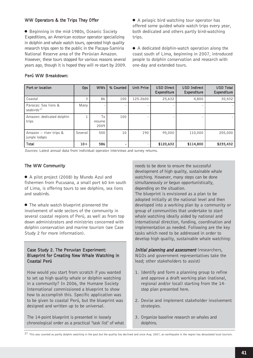#### WW Operators & the Trips They Offer

● Beginning in the mid-1980s, Oceanic Society Expeditions, an American ecotour operator specializing in dolphin and whale watch tours, operated high quality research trips open to the public in the Pacaya-Samiria National Reserve area of the Perúvian Amazon. However, these tours stopped for various reasons several

years ago, though it is hoped they will re-start by 2009.

● A pelagic bird watching tour operator has offered some guided whale watch trips every year, both dedicated and others partly bird-watching trips.

● A dedicated dolphin-watch operation along the coast south of Lima, beginning in 2007, introduced people to dolphin conservation and research with one-day and extended tours.

| Port or location                               | Ops     | <b>WWs</b>               | % Counted | Unit Price | USD Direct<br>Expenditure | <b>USD Indirect</b><br>Expenditure | <b>USD Total</b><br>Expenditure |
|------------------------------------------------|---------|--------------------------|-----------|------------|---------------------------|------------------------------------|---------------------------------|
| Coastal                                        | 3       | 86                       | 100       | 125-2600   | 25,632                    | 4,800                              | 30,432                          |
| Paracas: Sea lions &<br>seabirds <sup>27</sup> | Many    | $\overline{\phantom{a}}$ |           |            |                           |                                    |                                 |
| Amazon: dedicated dolphin<br>trips             |         | Τo<br>resume<br>2009     | 100       |            |                           |                                    |                                 |
| Amazon - river trips &<br>jungle lodges        | Several | 500                      | 10        | 190        | 95,000                    | 110,000                            | 205,000                         |
| <b>Total</b>                                   | $10+$   | 586                      |           |            | \$120,632                 | \$114,800                          | \$235,432                       |

Perú WW Breakdown:

Sources: Latest annual data from individual operator interviews and survey returns.

#### The WW Community

● A pilot project (2008) by Mundo Azul and fishermen from Pucusana, a small port 60 km south of Lima, is offering tours to see dolphins, sea lions and seabirds.

● The whale watch blueprint pioneered the involvement of wide sectors of the community in several coastal regions of Perú, as well as from top down administrators and ministries concerned with dolphin conservation and marine tourism (see Case Study 2 for more information).

#### Case Study 2. The Peruvian Experiment: Blueprint for Creating New Whale Watching in Coastal Perú

How would you start from scratch if you wanted to set up high quality whale or dolphin watching in a community? In 2006, the Humane Society International commissioned a blueprint to show how to accomplish this. Specific application was to be given to coastal Perú, but the blueprint was designed and written up to be universal.

The 14-point blueprint is presented in loosely chronological order as a practical "task list" of what needs to be done to ensure the successful development of high quality, sustainable whale watching. However, many steps can be done simultaneously or begun opportunistically, depending on the situation.

The blueprint is envisioned as a plan to be adopted initially at the national level and then developed into a working plan by a community or group of communities that undertake to start whale watching ideally aided by national and international direction, funding, coordination and implementation as needed. Following are the key tasks which need to be addressed in order to develop high quality, sustainable whale watching:

Initial planning and assessment (researchers, NGOs and government representatives take the lead; other stakeholders to assist)

- 1. Identify and form a planning group to refine and approve a draft working plan (national, regional and/or local) starting from the 14 step plan presented here.
- 2. Devise and implement stakeholder involvement strategies.
- 3. Organize baseline research on whales and dolphins.

 $^{27}$  This was counted as partly dolphin watching in the past but the quality has declined and since Aug. 2007, an earthquake in the region has devastated local tourism.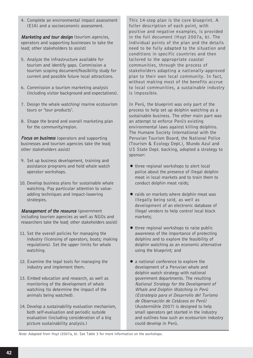4. Complete an environmental impact assessment (EIA) and a socioeconomic assessment.

**Marketing and tour design** (tourism agencies, operators and supporting businesses to take the lead; other stakeholders to assist)

- 5. Analyze the infrastructure available for tourism and identify gaps. Commission a tourism scoping document/feasibility study for current and possible future local attractions.
- 6. Commission a tourism marketing analysis (including visitor background and expectations).
- 7. Design the whale watching/ marine ecotourism tours or "tour products".
- 8. Shape the brand and overall marketing plan for the community/region.

**Focus on business** (operators and supporting businesses and tourism agencies take the lead; other stakeholders assist)

- 9. Set up business development, training and assistance programs and hold whale watch operator workshops.
- 10. Develop business plans for sustainable whale watching. Pay particular attention to valueadding techniques and impact-lowering strategies.

**Management of the resource** (government including tourism agencies as well as NGOs and researchers take the lead; other stakeholders assist)

- 11. Set the overall policies for managing the industry (licensing of operators, boats; making regulations). Set the upper limits for whale watching.
- 12. Examine the legal tools for managing the industry and implement them.
- 13. Embed education and research, as well as monitoring of the development of whale watching (to determine the impact of the animals being watched).
- 14. Develop a sustainability evaluation mechanism, both self-evaluation and periodic outside evaluation (including consideration of a big picture sustainability analysis.)

This 14-step plan is the core blueprint. A fuller description of each point, with positive and negative examples, is provided in the full document (Hoyt 2007a, b). The individual points of the plan and the details need to be fully adapted to the situation and conditions in specific countries and then tailored to the appropriate coastal communities, through the process of stakeholders adapting a nationally-approved plan to their own local community. In fact, without making most of the benefits accrue to local communities, a sustainable industry is impossible.

In Perú, the blueprint was only part of the process to help set up dolphin watching as a sustainable business. The other main part was an attempt to enforce Perú's existing environmental laws against killing dolphins. The Humane Society International with the Peruvian Tourism Board, the National Police (Tourism & Ecology Dept.), Mundo Azul and US State Dept. backing, adopted a strategy to sponsor:

- three regional workshops to alert local police about the presence of illegal dolphin meat in local markets and to train them to conduct dolphin meat raids;
- raids on markets where dolphin meat was illegally being sold, as well as development of an electronic database of illegal vendors to help control local black markets;
- three regional workshops to raise public awareness of the importance of protecting dolphins and to explore the feasibility of dolphin watching as an economic alternative using the blueprint; and
- a national conference to explore the development of a Peruvian whale and dolphin watch strategy with national government departments. The resulting National Strategy for the Development of Whale and Dolphin Watching in Perú (Estrategia para el Desarrollo del Turismo de Observación de Cetáceos en Perú) (Austermühle 2007) is designed to help small operators get started in the industry and outlines how such an ecotourism industry could develop in Perú.

Note: Adapted from Hoyt (2007a, b). See Table 3 for more information on the workshops.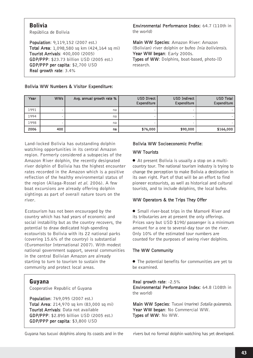# Bolivia

República de Bolivia

Population: 9,119,152 (2007 est.) Total Area: 1,098,580 sq km (424,164 sq mi) Tourist Arrivals: 400,000 (2005) GDP/PPP: \$23.73 billion USD (2005 est.) GDP/PPP per capita: \$2,700 USD Real growth rate: 3.4%

#### Environmental Performance Index: 64.7 (110th in the world)

Main WW Species: Amazon River: Amazon (Bolivian) river dolphin or bufeo Inia boliviensis. Year WW began: Early 2000s. Types of WW: Dolphins, boat-based, photo-ID research.

| Year | <b>WWs</b> | Avg. annual growth rate % | <b>USD Direct</b><br>Expenditure | USD Indirect<br>Expenditure | <b>USD Total</b><br>Expenditure |
|------|------------|---------------------------|----------------------------------|-----------------------------|---------------------------------|
| 1991 |            | na                        |                                  |                             |                                 |
| 1994 |            | na                        |                                  |                             |                                 |
| 1998 |            | na                        |                                  |                             |                                 |
| 2006 | 400        | na                        | \$76,000                         | \$90,000                    | \$166,000                       |

#### Bolivia WW Numbers & Visitor Expenditure:

Land-locked Bolivia has outstanding dolphin watching opportunities in its central Amazon region. Formerly considered a subspecies of the Amazon River dolphin, the recently designated river dolphin of Bolivia has the highest encounter rates recorded in the Amazon which is a positive reflection of the healthy environmental status of the region (Aliaga-Rossel et al. 2006). A few boat excursions are already offering dolphin sightings as part of overall nature tours on the river.

Ecotourism has not been encouraged by the country which has had years of economic and social instability but as the country recovers, the potential to draw dedicated high-spending ecotourists to Bolivia with its 22 national parks (covering 15.6% of the country) is substantial (Euromonitor International 2007). With modest national government support, several communities in the central Bolivian Amazon are already starting to turn to tourism to sustain the community and protect local areas.

# Guyana

Cooperative Republic of Guyana

Population: 769,095 (2007 est.) Total Area: 214,970 sq km (83,000 sq mi) Tourist Arrivals: Data not available GDP/PPP: \$2.895 billion USD (2005 est.) GDP/PPP per capita: \$3,800 USD

#### Bolivia WW Socioeconomic Profile:

#### WW Tourists

● At present Bolivia is usually a stop on a multicountry tour. The national tourism industry is trying to change the perception to make Bolivia a destination in its own right. Part of that will be an effort to find pioneer ecotourists, as well as historical and cultural tourists, and to include dolphins, the local bufeo.

#### WW Operators & the Trips They Offer

● Small river-boat trips in the Mamoré River and its tributaries are at present the only offerings. Prices vary but USD \$190/ passenger is a minimum amount for a one to several-day tour on the river. Only 10% of the estimated tour numbers are counted for the purposes of seeing river dolphins.

#### The WW Community

● The potential benefits for communities are yet to be examined.

Real growth rate: -2.5% Environmental Performance Index: 64.8 (108th in the world)

Main WW Species: Tucuxi (marine) Sotalia guianensis. Year WW began: No Commercial WW. Types of WW: No WW.

Guyana has tucuxi dolphins along its coasts and in the rivers but no formal dolphin watching has yet developed.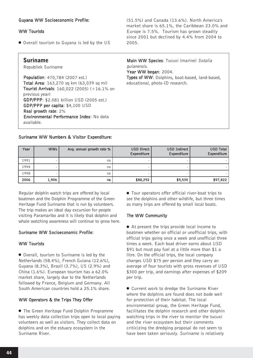#### Guyana WW Socioeconomic Profile:

#### WW Tourists

● Overall tourism to Guyana is led by the US

### Suriname

Republiek Suriname

Population: 470,784 (2007 est.) Total Area: 163,270 sq km (63,039 sq mi) Tourist Arrivals: 160,022 (2005) (+16.1% on previous year) GDP/PPP: \$2.081 billion USD (2005 est.) GDP/PPP per capita: \$4,100 USD Real growth rate: 2% Environmental Performance Index: No data available.

(51.5%) and Canada (13.6%). North America's market share is 65.1%, the Caribbean 23.0% and Europe is 7.5%. Tourism has grown steadily since 2001 but declined by 4.4% from 2004 to 2005.

Main WW Species: Tucuxi (marine) Sotalia guianensis. Year WW began: 2004. Types of WW: Dolphins, boat-based, land-based, educational, photo-ID research.

#### Suriname WW Numbers & Visitor Expenditure:

| Year | <b>WWs</b> | Avg. annual growth rate % | USD Direct<br>Expenditure | USD Indirect<br>Expenditure | USD Total<br>Expenditure |
|------|------------|---------------------------|---------------------------|-----------------------------|--------------------------|
| 1991 |            | na                        |                           |                             |                          |
| 1994 |            | na                        | -                         |                             |                          |
| 1998 |            | na                        |                           |                             |                          |
| 2006 | 1,906      | na                        | \$88,292                  | \$9,530                     | \$97,822                 |

Regular dolphin watch trips are offered by local boatmen and the Dolphin Programme of the Green Heritage Fund Suriname that is run by volunteers. The trip makes an ideal day excursion for people visiting Paramaribo and it is likely that dolphin and whale watching awareness will continue to grow here.

#### Suriname WW Socioeconomic Profile:

#### WW Tourists

● Overall, tourism to Suriname is led by the Netherlands (58.4%), French Guiana (12.6%), Guyana (8.3%), Brazil (3.7%), US (2.9%) and China (1.6%). European tourism has a 62.0% market share, largely due to the Netherlands followed by France, Belgium and Germany. All South American countries hold a 25.1% share.

#### WW Operators & the Trips They Offer

● The Green Heritage Fund Dolphin Programme has weekly data collection trips open to local paying volunteers as well as visitors. They collect data on dolphins and on the estuary ecosystem in the Suriname River.

● Tour operators offer official river-boat trips to see the dolphins and other wildlife, but three times as many trips are offered by small local boats.

#### The WW Community

● At present the trips provide local income to boatmen whether on official or unofficial trips, with official trips going once a week and unofficial three times a week. Each boat driver earns about USD \$91 but must pay fuel at a little more than \$1 a litre. On the official trips, the local company charges USD \$75 per person and they carry an average of four tourists with gross revenues of USD \$300 per trip, and earnings after expenses of \$209 per trip.

● Current work to dredge the Suriname River where the dolphins are found does not bode well for protection of their habitat. The local environmental group, the Green Heritage Fund, facilitates the dolphin research and other dolphin watching trips in the river to monitor the tucuxi and the river ecosystem but their comments criticizing the dredging proposal do not seem to have been taken seriously. Suriname is relatively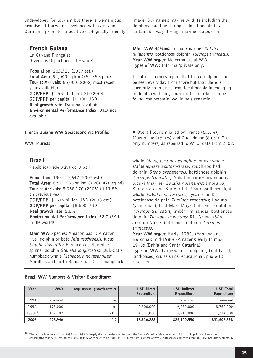undeveloped for tourism but there is tremendous promise. If tours are developed with care and Suriname promotes a positive ecologically friendly image, Suriname's marine wildlife including the dolphins could help support local people in a sustainable way through marine ecotourism.

| <b>French Guiana</b>                                           | Main WW Species: Tucuxi (marine) Sotalia                                                              |
|----------------------------------------------------------------|-------------------------------------------------------------------------------------------------------|
| La Guyane Française                                            | guianensis, bottlenose dolphin Tursiops truncatus.                                                    |
| (Overseas Department of France)                                | Year WW began: No commercial WW.<br>Types of WW: Informal/private only.                               |
| Population: 203,321 (2007 est.)                                |                                                                                                       |
| Total Area: 91,000 sq km (35,135 sq mi)                        | Local researchers report that tucuxi dolphins can                                                     |
| Tourist Arrivals: 65,000 (2002, most recent<br>year available) | be seen every day from shore but that there is<br>currently no interest from local people in engaging |
| GDP/PPP: \$1.551 billion USD (2003 est.)                       | in dolphin watching tourism. If a market can be                                                       |
| GDP/PPP per capita: \$8,300 USD                                | found, the potential would be substantial.                                                            |
| Real growth rate: Data not available.                          |                                                                                                       |
| Environmental Performance Index: Data not<br>available.        |                                                                                                       |
| French Guiana WW Socioeconomic Profile:                        | • Overall tourism is led by France (63.0%),                                                           |

WW Tourists

Martinique (15.0%) and Guadeloupe (8.0%). The only numbers, as reported to WTO, date from 2002.

#### Brazil

República Federativa do Brasil

Population: 190,010,647 (2007 est.) Total Area: 8,511,965 sq km (3,286,470 sq mi) Tourist Arrivals: 5,358,170 (2005) (+11.8% on previous year) GDP/PPP: \$1616 billion USD (2006 est.) GDP/PPP per capita: \$8,600 USD Real growth rate: 2.8% Environmental Performance Index: 82.7 (34th in the world)

Main WW Species: Amazon basin: Amazon river dolphin or boto Inia geoffrensis, tucuxi Sotalia fluviatilis; Fernando de Noronha: spinner dolphin Stenella longirostris, (Jul.-Oct.) humpback whale Megaptera novaeangliae; Abrolhos and north Bahia (Jul.-Oct.): humpback whale *Megaptera novaeangliae*, minke whale Balaenoptera acutorostrata, rough-toothed dolphin Steno bredanensis, bottlenose dolphin Tursiops truncatus; Anhatomirim/Florianópolis: tucuxi (marine) Sotalia guianensis; Imbituba, Santa Catarina State: (Jul.-Nov.) southern right whale Eubalaena australis, (year-round) bottlenose dolphin Tursiops truncatus; Laguna (year-round, best Mar.-May): bottlenose dolphin Tursiops truncatus; Imbé/ Tramandaí: bottlenose dolphin Tursiops truncatus; Rio Grande/São José do Norte: bottlenose dolphin Tursiops truncatus.

Year WW began: Early 1980s (Fernando de Noronha); mid-1980s (Amazon); early to mid-1990s (Bahia and Santa Catarina).

Types of WW: Large whales, dolphins, boat-based, land-based, cruise ships, educational, photo-ID research.

| Year   | <b>WWs</b> | Avg. annual growth rate % | USD Direct<br>Expenditure | USD Indirect<br>Expenditure | <b>USD Total</b><br>Expenditure |
|--------|------------|---------------------------|---------------------------|-----------------------------|---------------------------------|
| 1991   | minimal    | na                        | minimal                   | minimal                     | minimal                         |
| 1994   | 175,000    | na                        | 2,500,000                 | 6,250,000                   | 8,750,000                       |
| 199828 | 167,107    | $-1.1$                    | 4,071,000                 | 7,243,000                   | 11,314,000                      |
| 2006   | 228,946    | 4.0                       | \$6,316,288               | \$25,190,550                | \$31,506,838                    |

#### Brazil WW Numbers & Visitor Expenditure:

<sup>28</sup> The decline in numbers from 1994 and 1998 is largely due to the decision to count the Santa Catarina Island numbers of tucuxi dolphin watchers more

conservatively as 50% instead of 100%. If they were counted as 100% in 1998, the total number of whale watchers would have been 287,107. See also footnote 47.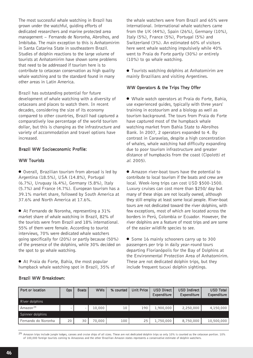The most successful whale watching in Brazil has grown under the watchful, guiding efforts of dedicated researchers and marine protected area management - Fernando de Noronha, Abrolhos, and Imbituba. The main exception to this is Anhatomirim in Santa Catarina State in southeastern Brazil. Studies of dolphin reactions to the large volume of tourists at Anhatomirim have shown some problems that need to be addressed if tourism here is to contribute to cetacean conservation as high quality whale watching and to the standard found in many other areas in Latin America.

Brazil has outstanding potential for future development of whale watching with a diversity of cetaceans and places to watch them. In recent decades, considering the size of its economy compared to other countries, Brazil had captured a comparatively low percentage of the world tourism dollar, but this is changing as the infrastructure and variety of accommodation and travel options have increased.

#### Brazil WW Socioeconomic Profile:

#### WW Tourists

● Overall, Brazilian tourism from abroad is led by Argentina (18.5%), USA (14.8%), Portugal (6.7%), Uruguay (6.4%), Germany (5.8%), Italy (5.7%) and France (4.7%). European tourism has a 39.1% market share, followed by South America at 37.6% and North America at 17.6%.

● At Fernando de Noronha, representing a 31% market share of whale watching in Brazil, 82% of the tourists were from Brazil and 18% international. 55% of them were female. According to tourist interviews, 70% were dedicated whale watchers going specifically for (20%) or partly because (50%) of the presence of the dolphins, while 30% decided on the spot to go whale watching.

● At Praia do Forte, Bahia, the most popular humpback whale watching spot in Brazil, 35% of the whale watchers were from Brazil and 65% were international. International whale watchers came from the UK (44%), Spain (26%), Germany (10%), Italy (5%), France (5%), Portugal (5%) and Switzerland (3%). An estimated 60% of visitors here went whale watching impulsively while 40% went to Praia do Forte partly (30%) or entirely (10%) to go whale watching.

● Tourists watching dolphins at Anhatomirim are mainly Brazilians and visiting Argentines.

#### WW Operators & the Trips They Offer

● Whale watch operators at Praia do Forte, Bahia, use experienced guides, typically with three years' training in ecotourism and a biology as well as tourism background. The tours from Praia do Forte have captured most of the humpback whale watching market from Bahia State to Abrolhos Bank. In 2007, 2 operators expanded to 4. By contrast in Caravelas, despite a high concentration of whales, whale watching had difficulty expanding due to poor tourism infrastructure and greater distance of humpbacks from the coast (Cipolotti et al. 2005).

● Amazon river-boat tours have the potential to contribute to local tourism if the boats and crew are local. Week-long trips can cost USD \$500-1500. Luxury cruises can cost more than \$250/ day but many of these ships are not locally owned, although they still employ at least some local people. River-boat tours are not dedicated toward the river dolphins, with few exceptions, most of which are located across the borders in Perú, Colombia or Ecuador. However, the river dolphins are a feature of most trips and are some of the easier wildlife species to see.

● Some 16 mainly schooners carry up to 300 passengers per trip in daily year-round tours departing Florianópolis for the Bay of Dolphins at the Environmental Protection Area of Anhatomirim. These are not dedicated dolphin trips, but they include frequent tucuxi dolphin sightings.

| Port or location     | Ops                      | <b>Boats</b> | <b>WWs</b> | % counted | <b>Unit Price</b> | <b>USD Direct</b><br>Expenditure | USD Indirect<br>Expenditure | <b>USD Total</b><br>Expenditure |
|----------------------|--------------------------|--------------|------------|-----------|-------------------|----------------------------------|-----------------------------|---------------------------------|
| River dolphins       |                          |              |            |           |                   |                                  |                             |                                 |
| Amazon <sup>29</sup> | $\overline{\phantom{0}}$ |              | 10,000     | 10        | 190               | 1,900,000                        | 2,250,000                   | 4,150,000                       |
| Spinner dolphins     |                          |              |            |           |                   |                                  |                             |                                 |
| Fernando do Noronha  | 20                       | 30           | 70,000     | 100       | 25                | 1,750,000                        | 8,750,000                   | 10,500,000                      |

#### Brazil WW Breakdown:

29 Amazon trips include jungle lodges, canoes and cruise ships of all sizes. These are not dedicated dolphin trips so only 10% is counted as the cetacean portion. 10% of 100,000 foreign tourists coming to Amazonas and the other Brazilian Amazon states represents a conservative estimate of dolphin watchers.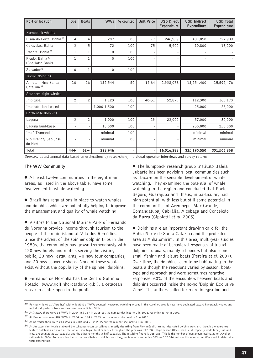| Port or location                               | Ops                      | <b>Boats</b>   | <b>WWs</b>  | % counted | <b>Unit Price</b> | <b>USD Direct</b><br>Expenditure | <b>USD Indirect</b><br>Expenditure | <b>USD Total</b><br>Expenditure |
|------------------------------------------------|--------------------------|----------------|-------------|-----------|-------------------|----------------------------------|------------------------------------|---------------------------------|
| Humpback whales                                |                          |                |             |           |                   |                                  |                                    |                                 |
| Praia do Forte, Bahia <sup>30</sup>            | 4                        | 4              | 3,207       | 100       | 77                | 246,939                          | 481,050                            | 727,989                         |
| Caravelas, Bahia                               | 3                        | 5              | 72          | 100       | 75                | 5,400                            | 10,800                             | 16,200                          |
| Itacare, Bahia <sup>31</sup>                   | 1                        | 1              | $\Omega$    | 100       |                   |                                  |                                    |                                 |
| Prado, Bahia <sup>32</sup><br>(Charlotte Bank) | 1                        | 1              | $\Omega$    | 100       | $\overline{a}$    |                                  |                                    |                                 |
| Salvador <sup>33</sup>                         | $\mathbf 0$              | 1              | $\Omega$    | 100       | $\overline{a}$    | $\overline{\phantom{0}}$         |                                    |                                 |
| Tucuxi dolphins                                |                          |                |             |           |                   |                                  |                                    |                                 |
| Anhatomirim/ Santa<br>Catarina <sup>34</sup>   | 10                       | 16             | 132,544     | 50        | 17.64             | 2,338,076                        | 13,254,400                         | 15,592,476                      |
| Southern right whales                          |                          |                |             |           |                   |                                  |                                    |                                 |
| Imbituba                                       | 2                        | $\overline{c}$ | 1,123       | 100       | 40-51             | 52,873                           | 112,300                            | 165,173                         |
| Imbituba land-based                            | $\overline{\phantom{0}}$ |                | 1,000-1,500 | 100       |                   |                                  | 25,000                             | 25,000                          |
| Bottlenose dolphins                            |                          |                |             |           |                   |                                  |                                    |                                 |
| Laguna                                         | 3                        | $\overline{c}$ | 1,000       | 100       | 23                | 23,000                           | 57,000                             | 80,000                          |
| Laguna land-based                              | $\overline{\phantom{0}}$ |                | 10,000      | 100       | $\overline{a}$    |                                  | 250,000                            | 250,000                         |
| Imbé-Tramandai                                 | $\overline{\phantom{0}}$ |                | minimal     | 100       | $\overline{a}$    |                                  | minimal                            | minimal                         |
| Rio Grande/ Sao José<br>do Norte               | $\overline{\phantom{0}}$ |                | minimal     | 100       | $\overline{a}$    |                                  | minimal                            | minimal                         |
| Total                                          | $44+$                    | $62+$          | 228,946     |           |                   | \$6,316,288                      | \$25,190,550                       | \$31,506,838                    |

Sources: Latest annual data based on estimations by researchers, individual operator interviews and survey returns.

#### The WW Community

● At least twelve communities in the eight main areas, as listed in the above table, have some involvement in whale watching.

● Brazil has regulations in place to watch whales and dolphins which are potentially helping to improve the management and quality of whale watching.

● Visitors to the National Marine Park of Fernando de Noronha provide income through tourism to the people of the main island at Vila dos Remédios. Since the advent of the spinner dolphin trips in the 1980s, the community has grown tremendously with 120 new hotels and motels serving the visiting public, 20 new restaurants, 40 new tour companies, and 20 new souvenir shops. None of these would exist without the popularity of the spinner dolphins.

● Fernando de Noronha has the Centro Golfinho Rotador (www.golfinhorotador.org.br), a cetacean research center open to the public.

● The humpback research group Instituto Baleia Jubarte has been advising local communities such as Itacaré on the sensible development of whale watching. They examined the potential of whale watching in the region and concluded that Porto Seguro, Guarajuba and Ilhéus, in particular, had high potential, with less but still some potential in the communities of Arembepe, Mar Grande, Comandatuba, Cabrália, Alcobaça and Conceicão da Barra (Cipolotti et al. 2005).

● Dolphins are an important drawing card for the Bahia Norte de Santa Catarina and the protected area at Anhatomirim. In this area, multi-year studies have been made of behavioral responses of tucuxi dolphins to boats, mainly schooners but also some small fishing and leisure boats (Pereira et al. 2007). Over time, the dolphins seem to be habituating to the boats although the reactions varied by season, boattype and approach and were sometimes negative responses. 60% of the encounters between boats and dolphins occurred inside the no-go "Dolphin Exclusive Zone". The authors called for more integration and

<sup>30</sup> Formerly listed as "Abrolhos" with only 50% of WWs counted. However, watching whales in the Abrolhos area is now more dedicated toward humpback whales and includes departures from various locations in Bahía State.

<sup>31</sup> At Itacare there were 36 WWs in 2004 and 187 in 2005 but the number declined to 0 in 2006, resuming to 70 in 2007.

<sup>32</sup> At Prado there were 487 WWs in 2004 and 194 in 2005 but the number declined to 0 in 2006.

<sup>33</sup> At Salvador there were 214 WWs in 2004 and 76 in 2005 but the number declined to 0 in 2006.

<sup>34</sup> At Anhatomirim, tourists aboard the schooner (scunha) sailboats, mostly departing from Florianópolis, are not dedicated dolphin watchers, though the operators feature dolphins as a main attraction of their trips. Total capacity throughout the year was 397,632. High season (Dec.-Feb.) is full capacity while Mar., Jul. and Nov. are counted at 2/3 capacity and the other 6 months at half capacity. The resulting figure is 265,088. This is the number of passengers estimated to travel on sailboats in 2006. To determine the portion ascribable to dolphin watching, we take a conservative 50% or 132,544 and use this number for WWs and to determine their expenditure.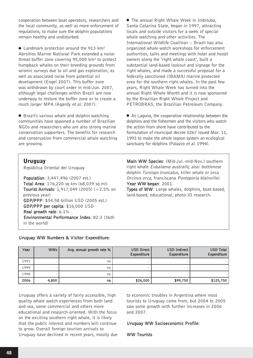cooperation between boat operators, researchers and the local community, as well as more enforcement of regulations, to make sure the dolphin populations remain healthy and undisturbed.

● Landmark protection around the 913 km² Abrolhos Marine National Park extended a noisethreat buffer zone covering 95,000 km² to protect humpback whales on their breeding grounds from seismic surveys due to oil and gas exploration, as well as associated noise from potential oil development (Engel 2007). This buffer zone was withdrawn by court order in mid-Jun. 2007, although legal challenges within Brazil are now underway to restore the buffer zone or to create a much larger MPA (Agardy et al. 2007).

● Brazil's various whale and dolphin watching communities have spawned a number of Brazilian NGOs and researchers who are also strong marine conservation supporters. The benefits for research and conservation from commercial whale watching are growing.

Uruguay

República Oriental del Uruguay

Population: 3,447,496 (2007 est.) Total Area: 176,220 sq km (68,039 sq mi) Tourist Arrivals: 1,917,049 (2005) (+2.5% on previous year) GDP/PPP: \$54.58 billion USD (2005 est.) GDP/PPP per capita: \$16,000 USD Real growth rate: 6.1% Environmental Performance Index: 82.3 (36th in the world)

● The annual Right Whale Week in Imbituba, Santa Catarina State, began in 1997, attracting locals and outside visitors for a week of special whale watching and other activities. The International Wildlife Coalition - Brazil has also organized whale watch workshops for enforcement authorities, talks and meetings with hotel and hostel owners along the "right whale coast", built a substantial land-based lookout and signage for the right whales, and made a successful proposal for a federally sanctioned (IBAMA) marine protected area for the southern right whales. In the past few years, Right Whale Week has turned into the annual Right Whale Month and it is now sponsored by the Brazilian Right Whale Project and PETROBRAS, the Brazilian Petroleum Company.

● At Laguna, the cooperative relationship between the dolphins and the fishermen and the visitors who watch the action from shore have contributed to the formulation of municipal decree 0267 issued Mar. 11, 1993 to make the whole lagoon system an ecological sanctuary for dolphins (Palazzo et al. 1994).

Main WW Species: (Mid-Jul.-mid-Nov.) southern right whale Eubalaena australis; also: bottlenose dolphin Tursiops truncatus, killer whale or orca Orcinus orca, franciscana Pontoporia blainvillei. Year WW began: 2001.

Types of WW: Large whales, dolphins, boat-based, land-based, educational, photo-ID research.

#### Uruguay WW Numbers & Visitor Expenditure:

| Year | <b>WWs</b> | Avg. annual growth rate % | USD Direct<br>Expenditure | <b>USD Indirect</b><br>Expenditure | USD Total<br>Expenditure |
|------|------------|---------------------------|---------------------------|------------------------------------|--------------------------|
| 1991 |            | na                        |                           |                                    |                          |
| 1994 |            | na                        |                           |                                    |                          |
| 1998 |            | na                        |                           |                                    |                          |
| 2006 | 4,800      | na                        | \$26,000                  | \$99,750                           | \$125,750                |

Uruguay offers a variety of fairly accessible, high quality whale watch experiences from both land and sea, some commercial and others more educational and research-oriented. With the focus on the exciting southern right whale, it is likely that the public interest and numbers will continue to grow. Overall foreign tourism arrivals to Uruguay have declined in recent years, mostly due

to economic troubles in Argentina where most tourists to Uruguay come from, but 2004 to 2005 saw some growth with further increases in 2006 and 2007.

#### Uruguay WW Socioeconomic Profile:

WW Tourists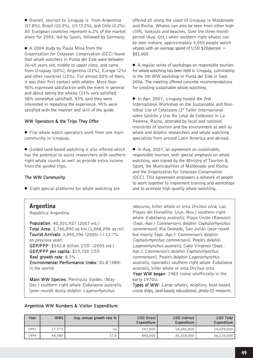● Overall, tourism to Uruguay is from Argentina (57.8%), Brazil (10.3%), US (3.2%), and Chile (2.2%). All European countries represent 6.2% of the market share for 2005, led by Spain, followed by Germany.

● A 2004 study by Paula Mina from the Organization for Cetacean Conservation (OCC) found that whale watchers in Punta del Este were between 26-65 years old, middle to upper class, and came from Uruguay (60%), Argentina (22%), Europe (2%) and other countries (15%). For almost 80% of them, it was their first contact with whales. More than 90% expressed satisfaction with the event in general and about seeing the whales (33% very satisfied; 58% somewhat satisfied). 93% said they were interested in repeating the experience. 95% were satisfied with the manner and skill of the guide.

#### WW Operators & the Trips They Offer

● Five whale watch operators work from one main community in Uruguay.

● Guided land-based watching is also offered which has the potential to assist researchers with southern right whale counts as well as provide extra income from the guided trips.

#### The WW Community

● Eight special platforms for whale watching are

offered all along the coast of Uruguay in Maldonado and Rocha. Whales can also be seen from other high cliffs, lookouts and beaches. Over the three-month period (Aug.-Oct.) when southern right whales can be seen inshore, approximately 4,050 people watch whales with an average spend of USD  $$20/person =$ \$81,000.

● A regular series of workshops on responsible tourism for whale watching has been held in Uruguay, culminating in the 5th WW workshop in Punta del Este in Sept. 2006. The meeting offered concrete recommendations for creating sustainable whale watching.

● In Apr. 2007, Uruguay hosted the 2nd International Workshop on the Sustainable and Nonlethal Use of Cetaceans (2º Taller Internacional sobre Gestión y Uso No Letal de Cetáceos) in La Pedrera, Rocha, attended by local and national ministries of tourism and the environment as well as whale and dolphin researchers and whale watching specialists from around Latin America and abroad.

● In Aug. 2007, an agreement on sustainable, responsible tourism, with special emphasis on whale watching, was signed by the Ministry of Tourism & Sport, the Municipalities of Maldonado and Rocha and the Organization for Cetacean Conservation (OCC). This agreement empowers a network of people to work together to implement training and workshops and to promote high quality whale watching.

# Argentina

República Argentina

Population: 40,301,927 (2007 est.) Total Area: 2,766,890 sq km (1,068,296 sq mi) Tourist Arrivals: 3,895,396 (2005) (+12.7% on previous year) GDP/PPP: \$542.8 billion USD (2005 est.) GDP/PPP per capita: \$13,700 USD Real growth rate: 8.7% Environmental Performance Index: 81.8 (38th in the world)

Main WW Species: Península Valdés: (May-Dec.) southern right whale Eubalaena australis, (year-round) dusky dolphin Lagenorhynchus

obscurus, killer whale or orca Orcinus orca; Las Playas del Doradillo: (Jun.-Nov.) southern right whale Eubalaena australis; Playa Unión (Rawson): (Sept.-Apr.) Commerson's dolphin Cephalorhynchus commersonii; Ría Deseado, San Julián (year round but mainly Sept.-Apr.): Commerson's dolphin Cephalorhynchus commersonii, Peale's dolphin Lagenorhynchus australis; Cabo Virgenes (Sept.- Apr.): Commerson's dolphin Cephalorhynchus commersonii, Peale's dolphin Lagenorhynchus australis, (sporadic) southern right whale Eubalaena australis, killer whale or orca Orcinus orca. Year WW began: 1983 (some unofficially in the

early 1970s). Types of WW: Large whales, dolphins, boat-based, cruise ships, land-based, educational, photo-ID research.

#### Argentina WW Numbers & Visitor Expenditure:

| Year | <b>WWs</b> | Avg. annual growth rate % | USD Direct !<br>Expenditure | USD Indirect<br>Expenditure | USD Total<br>Expenditure |
|------|------------|---------------------------|-----------------------------|-----------------------------|--------------------------|
| 1991 | 17,371     | na                        | 347,000                     | 14,245,000                  | 14,529,000               |
| 1994 | 44,580     | 37.0                      | 892,000                     | 35,218,000                  | 36,110,000               |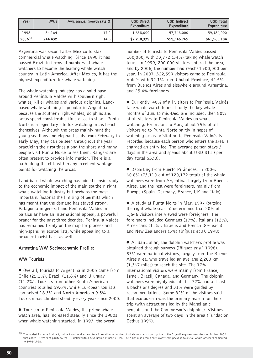| Year        | WWs     | Avg. annual growth rate % | USD Direct<br>Expenditure | USD Indirect<br>Expenditure | <b>USD Total</b><br>Expenditure |
|-------------|---------|---------------------------|---------------------------|-----------------------------|---------------------------------|
| 1998        | 84,164  | 17.2                      | 1,638,000                 | 57,746,000                  | 59,384,000                      |
| $2006^{35}$ | 244,432 | 14.3                      | \$2,218,339               | \$59,346,765                | \$61,565,104                    |

Argentina was second after México to start commercial whale watching. Since 1998 it has passed Brazil in terms of numbers of whale watchers to become the leading whale watch country in Latin America. After México, it has the highest expenditure for whale watching.

The whale watching industry has a solid base around Península Valdés with southern right whales, killer whales and various dolphins. Landbased whale watching is popular in Argentina because the southern right whales, dolphins and orcas spend considerable time close to shore. Punta Norte is a legendary site for watching orcas beach themselves. Although the orcas mainly hunt the young sea lions and elephant seals from February to early May, they can be seen throughout the year practicing their routines along the shore and many people visit Punta Norte to see them. Rangers are often present to provide information. There is a path along the cliff with many excellent vantage points for watching the orcas.

Land-based whale watching has added considerably to the economic impact of the main southern right whale watching industry but perhaps the most important factor is the limiting of permits which has meant that the demand has stayed strong. Patagonia in general and Península Valdés in particular have an international appeal, a powerful brand; for the past three decades, Península Valdés has remained firmly on the map for pioneer and high-spending ecotourists, while appealing to a broader tourist base as well.

#### Argentina WW Socioeconomic Profile:

#### WW Tourists

● Overall, tourists to Argentina in 2005 came from Chile (25.1%), Brazil (11.6%) and Uruguay (11.2%). Tourists from other South American countries totalled 59.6%, while European tourists comprised 16.3% and North American 9.5%. Tourism has climbed steadily every year since 2000.

● Tourism to Península Valdés, the prime whale watch area, has increased steadily since the 1980s when whale watching started. In 1993, the overall

number of tourists to Península Valdés passed 100,000, with 33,772 (34%) taking whale watch tours. In 1999, 200,000 visitors entered the area, and by 2006, the number had reached 300,000 per year. In 2007, 322,599 visitors came to Península Valdés with 32.1% from Chubut Province, 42.5% from Buenos Aires and elsewhere around Argentina, and 25.4% foreigners.

● Currently, 40% of all visitors to Península Valdés take whale watch tours. If only the key whale months of Jun. to mid-Dec. are included, then 80% of all visitors to Península Valdés go whale watching. From Jan. to Apr., about 35% of all visitors go to Punta Norte partly in hopes of watching orcas. Visitation to Península Valdés is recorded because each person who enters the area is charged an entry fee. The average person stays 3 days in the area and spends about USD \$110 per day (total \$330).

● Departing from Puerto Pirámides, in 2006, 60.8% (73,110 out of 120,172 total) of the whale watchers were from Argentina, largely from Buenos Aires, and the rest were foreigners, mainly from Europe (Spain, Germany, France, UK and Italy).

● A study at Punta Norte in Mar. 1997 (outside the right whale season) determined that 20% of 1,646 visitors interviewed were foreigners. The foreigners included Germans (17%), Italians (12%), Americans (11%), Israelis and French (8% each) and New Zealanders (5%) (Iñíguez et al. 1998).

● At San Julián, the dolphin watcher's profile was obtained through surveys (Iñíguez et al. 1998). 83% were national visitors, largely from the Buenos Aires area, who travelled an average 2,200 km (1,367 miles) to reach the site. The 17% international visitors were mainly from France, Israel, Brazil, Canada, and Germany. The dolphin watchers were highly educated  $-72%$  had at least a bachelor's degree and 31% were guided by recommendations. Some 82% of the visitors said that ecotourism was the primary reason for their trip (with attractions led by the Magellanic penguins and the Commerson's dolphins). Visitors spent an average of two days in the area (Fundación Cethus 1999).

 $35$  The modest increase in direct, indirect and total expenditure in relation to number of whale watchers is partly due to the Argentine government decision in Jan. 2002 that ended 10 years of parity to the US dollar with a devaluation of nearly 30%. There has also been a shift away from package tours for whale watchers compared to 1991-1998.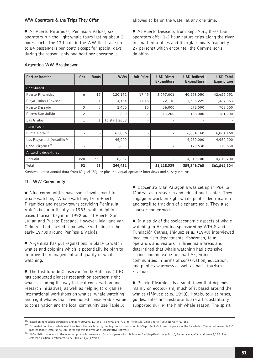#### WW Operators & the Trips They Offer

● At Puerto Pirámides, Península Valdés, six operators run the right whale tours lasting about 2 hours each. The 17 boats in the WW fleet take up to 84 passengers per boat; except for special days during the season, only one boat per operator is

allowed to be on the water at any one time.

● At Puerto Deseado, from Sep.-Apr., three tour operators offer 1-2 hour nature trips along the river in small inflatables and fiberglass boats (capacity 27 persons) which encounter the Commerson's dolphins.

| Port or location                       | <b>Ops</b>        | <b>Boats</b> | <b>WWs</b>    | <b>Unit Price</b> | <b>USD Direct</b><br>Expenditure | <b>USD Indirect</b><br>Expenditure | <b>USD Total</b><br><b>Expenditure</b> |
|----------------------------------------|-------------------|--------------|---------------|-------------------|----------------------------------|------------------------------------|----------------------------------------|
| Boat-based                             |                   |              |               |                   |                                  |                                    |                                        |
| Puerto Pirámides                       | 6                 | 17           | 120,172       | 17.45             | 2,097,001                        | 40,558,050                         | 42,655,051                             |
| Playa Unión (Rawson)                   | ı                 |              | 4,134         | 17.45             | 72,138                           | 1,395,225                          | 1,467,363                              |
| Puerto Deseado                         | 3                 | 3            | 2,400         | 15                | 36,000                           | 672,000                            | 708,000                                |
| Puerto San Julián                      | 2                 | 2            | 600           | 22                | 13,200                           | 168,000                            | 181,200                                |
| Las Grutas                             | ı                 | 1            | To start 2008 |                   |                                  |                                    |                                        |
| Land-based                             |                   |              |               |                   |                                  |                                    |                                        |
| Punta Norte <sup>36</sup>              | $\qquad \qquad -$ | ۰            | 61,856        |                   |                                  | 6,804,160                          | 6,804,160                              |
| Las Playas del Doradillo <sup>37</sup> |                   |              | 45,000        |                   |                                  | 4,950,000                          | 4,950,000                              |
| Cabo Vírgenes <sup>38</sup>            | ۰                 |              | 1,633         |                   |                                  | 179,630                            | 179,630                                |
| Antarctic departures                   |                   |              |               |                   |                                  |                                    |                                        |
| Ushuaia                                | c20               | c30          | 8,637         |                   |                                  | 4,619,700                          | 4,619,700                              |
| Total                                  | 32                | 53           | 244,432       |                   | \$2,218,339                      | \$59,346,765                       | \$61,565,104                           |

#### Argentina WW Breakdown:

Sources: Latest annual data from Miquel Iñíquez plus individual operator interviews and survey returns.

#### The WW Community

● Nine communities have some involvement in whale watching. Whale watching from Puerto Pirámides and nearby towns servicing Península Valdés began officially in 1983, while dolphinbased tourism began in 1992 out of Puerto San Julián and Puerto Deseado. However, Mariano van Gelderen had started some whale watching in the early 1970s around Península Valdés.

● Argentina has put regulations in place to watch whales and dolphins which is potentially helping to improve the management and quality of whale watching.

● The Instituto de Conservación de Ballenas (ICB) has conducted pioneer research on southern right whales, leading the way in local conservation and research initiatives, as well as helping to organize international workshops on whales, whale watching and right whales that have added considerable value to conservation and the local community (see Table 3).

● Ecocentro Mar Patagonia was set up in Puerto Madryn as a research and educational center. They engage in work on right whale photo-identification and satellite tracking of elephant seals. They also sponsor conferences.

● In a study of the socioeconomic aspects of whale watching in Argentina sponsored by WDCS and Fundación Cethus, Iñíguez et al. (1998) interviewed local tourism departments, fishermen, tour operators and visitors in three main areas and determined that whale watching had extensive socioeconomic value to small Argentine communities in terms of conservation, education, and public awareness as well as basic tourism revenues.

● Puerto Pirámides is a small town that depends mainly on ecotourism, much of it based around the whales (Iñíguez et al. 1998). Hotels, tourist buses, guides, cafés and restaurants are all substantially supported during the high whale season. The spirit

 $36$  Based on admissions purchased and park surveys, 1/3 of all visitors, 176,731, to Península Valdés go to Punta Norte = 61,856.

 $37$  Estimated number of whale watchers from the beach during the high tourist season of Jun-Sept. Sept.-Oct. are the peak months for whales. The actual season is 2-3 months longer (total up to 200 days) but this is given as a conservative estimate.

<sup>38 2006</sup> visitor numbers to the seasonal provincial reserve at Cabo Virgenes which is famous for Magellanic penguins (Spheniscus magellanicus) were 8,165. The cetacean portion is estimated to be 20% or 1,633 WWs.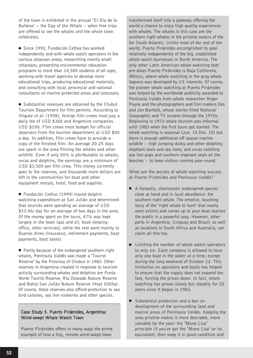of the town is exhibited in the annual "El Dia de la Ballena"  $-$  the Day of the Whale  $-$  when free trips are offered to see the whales and the whole town celebrates.

● Since 1992, Fundación Cethus has worked independently and with whale watch operators in the various cetacean areas, researching mainly small cetaceans, presenting environmental education programs to more than 14,500 students of all ages, working with travel agencies to develop more educational trips, producing educational materials, and consulting with local, provincial and national consultants on marine protected areas and cetaceans.

● Substantial revenues are obtained by the Chubut Tourism Department for film permits. According to Iñíguez et al. (1998), foreign film crews must pay a daily fee of USD \$300 and Argentine companies USD \$100. Film crews must budget for official observers from the tourism department at USD \$50 a day. In addition, film crews have to provide a copy of the finished film. An average 20-25 days are spent in the area filming the whales and other wildlife. Even if only 50% is attributable to whales, orcas and dolphins, the earnings are a minimum of USD \$3,500 per film crew. This money currently goes to the reserves, and thousands more dollars are left in the communities for boat and other equipment rentals, hotel, food and supplies.

● Fundación Cethus (1999) traced dolphin watching expenditure at San Julián and determined that tourists were spending an average of USD \$33.96/ day for an average of two days in the area. Of the money spent on the tours, 47% was kept largely in the town (gas and oil, book-keeping office, other services), while the rest went mainly to Buenos Aires (insurance, retirement payments, boat payments, boat taxes).

● Partly because of the endangered southern right whales, Península Valdés was made a "Tourist Reserve" by the Province of Chubut in 1983. Other reserves in Argentina created in response to tourism activity surrounding whales and dolphins are Punta Norte Tourist Reserve, Ría Deseado Nature Reserve and Bahía San Julián Nature Reserve (Hoyt 2005a). Of course, these reserves also afford protection to sea bird colonies, sea lion rookeries and other species.

#### Case Study 3. Puerto Pirámides, Argentina: Wind-swept Whale Watch Town

Puerto Pirámides offers in many ways the prime example of how a tiny, remote wind-swept town

transformed itself into a gateway offering the world a chance to enjoy high quality experiences with whales. The whales in this case are the southern right whales in the pristine waters of the far South Atlantic. Unlike most of the rest of the world, Puerto Pirámides accomplished its goal relatively independently of the big, established whale watch businesses in North America. The only other Latin American whale watching that pre-dates Puerto Pirámides is Baja California, México, where whale watching in the gray whale lagoons was developed by US interests. Of course, the pioneer whale watching at Puerto Pirámides was helped by the worldwide publicity awarded to Península Valdés from whale researcher Roger Payne and the photographers and film makers Des and Jen Bartlett, whose stories filled National Geographic and TV screens through the 1970s. Beginning in 1973 whale tourism was informal until 1983 when the first tours got started. The whale watching is seasonal (Jun. 15-Dec. 15) but there is enough additional off season marine wildlife – high jumping dusky and other dolphins; elephant seals and sea lions; and orcas catching sea lion pups and southern elephant seals on the beaches - to keep visitors coming year-round.

What are the secrets of whale watching success at Puerto Pirámides and Península Valdés?

- A fantastic, charismatic endangered species close at hand and in local abundance: the southern right whale. The emotive, touching story of the "right whale to hunt" that nearly went extinct and comes up to your boat reaches the public in a powerful way. However, other ports in Argentina, Uruguay and Brazil, as well as locations in South Africa and Australia, can claim all this too.
- Limiting the number of whale watch operators to only six. Each company is allowed to have only one boat in the water at a time, except during the long weekend of October 12. This limitation on operators and boats has helped to ensure that the supply does not expand too fast, forcing the prices down. In fact, whale watching has grown slowly but steadily for 25 years since it began in 1983.
- Substantial protection and a ban on development of the surrounding land and marine areas of Península Valdés. Keeping the area pristine makes it more desirable, more valuable by the year: the "Mona Lisa" principle (if you've got the "Mona Lisa" or its equivalent, then keep it in good condition and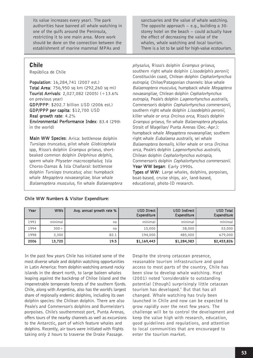its value increases every year). The park authorities have banned all whale watching in one of the gulfs around the Peninsula, restricting it to one main area. More work should be done on the connection between the establishment of marine mammal MPAs and

# Chile

República de Chile

Population: 16,284,741 (2007 est.) Total Area: 756,950 sq km (292,260 sq mi) Tourist Arrivals: 2,027,082 (2005) (+13.6% on previous year) GDP/PPP: \$202.7 billion USD (2006 est.) GDP/PPP per capita: \$12,700 USD Real growth rate: 4.2% Environmental Performance Index: 83.4 (29th in the world)

Main WW Species: Arica: bottlenose dolphin Tursiops truncatus, pilot whale Globicephala spp, Risso's dolphin Grampus griseus, shortbeaked common dolphin Delphinus delphis, sperm whale Physeter macrocephalus; Isla Choros-Damas & Isla Chañaral: bottlenose dolphin Tursiops truncatus; also: humpback whale Megaptera novaeangliae, blue whale Balaenoptera musculus, fin whale Balaenoptera sanctuaries and the value of whale watching. The opposite approach  $-$  e.g., building a 30storey hotel on the beach  $-$  could actually have the effect of decreasing the value of the whales, whale watching and local tourism. There is a lot to be said for high-value ecotourism.

physalus, Risso's dolphin Grampus griseus, southern right whale dolphin Lissodelphis peronii; Constitución coast, Chilean dolphin Cephalorhynchus eutropia; Chiloe/Patagonian channels: blue whale Balaenoptera musculus, humpback whale Megaptera novaeangliae, Chilean dolphin Cephalorhynchus eutropia, Peale's dolphin Lagenorhynchus australis, Commerson's dolphin Cephalorhynchus commersonii, southern right whale dolphin Lissodelphis peronii, killer whale or orca Orcinus orca, Risso's dolphin Grampus griseus, fin whale Balaenoptera physalus. Strait of Magellan/ Punta Arenas (Dec.-Apr.): humpback whale Megaptera novaeangliae, southern right whale Eubalaena australis, sei whale Balaenoptera borealis, killer whale or orca Orcinus orca, Peale's dolphin Lagenorhynchus australis, Chilean dolphin Cephalorhynchus eutropia, Commerson's dolphin Cephalorhynchus commersonii. Year WW began: Early 1990s. Types of WW: Large whales, dolphins, porpoises, boat-based, cruise ships, air, land-based, educational, photo-ID research.

| Year | <b>WWs</b> | Avg. annual growth rate % | USD Direct<br>Expenditure | USD Indirect<br>Expenditure | <b>USD Total</b><br>Expenditure |
|------|------------|---------------------------|---------------------------|-----------------------------|---------------------------------|
| 1991 | minimal    | na                        | minimal                   | minimal                     | minimal                         |
| 1994 | $300+$     | na                        | 15,000                    | 38,000                      | 53,000                          |
| 1998 | 3,300      | 82.1                      | 194,000                   | 485,000                     | 679,000                         |
| 2006 | 13,720     | 19.5                      | \$1,169,443               | \$1,284,383                 | \$2,453,826                     |

#### Chile WW Numbers & Visitor Expenditure:

In the past few years Chile has initiated some of the most diverse whale and dolphin watching opportunities in Latin America: from dolphin watching around rocky islands in the desert north, to large baleen whales leaping against the backdrop of Chiloe Island and the impenetrable temperate forests of the southern fjords. Chile, along with Argentina, also has the world's largest share of regionally endemic dolphins, including its own dolphin species: the Chilean dolphin. There are also Peale's and Commerson's dolphins and Burmeister's porpoises. Chile's southernmost port, Punta Arenas, offers tours of the nearby channels as well as excursions to the Antarctic, part of which feature whales and dolphins. Recently, air tours were initiated with flights taking only 2 hours to traverse the Drake Passage.

Despite the strong cetacean presence, reasonable tourism infrastructure and good access to most parts of the country, Chile has been slow to develop whale watching. Hoyt (2001) noted "considerable to outstanding potential [though] surprisingly little cetacean tourism has developed." But that has all changed. Whale watching has truly been launched in Chile and now can be expected to grow rapidly over the next few years. The challenge will be to control the development and keep the value high with research, education, good guidelines and regulations, and attention to local communities that are encouraged to enter the tourism market.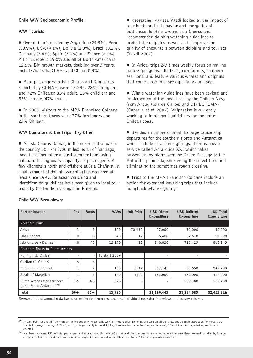#### Chile WW Socioeconomic Profile:

#### WW Tourists

● Overall tourism is led by Argentina (29.9%), Perú (10.9%), USA (9.1%), Bolivia (8.8%), Brazil (8.2%), Germany (3.4%), Spain (3.0%) and France (2.6%). All of Europe is 19.0% and all of North America is 12.5%. Big growth markets, doubling over 3 years, include Australia (1.5%) and China (0.3%).

● Boat passengers to Isla Choros and Damas (as reported by CONAF) were 12,235, 28% foreigners and 72% Chileans; 85% adult, 15% children; and 53% female, 47% male.

● In 2005, visitors to the MPA Francisco Coloane in the southern fjords were 77% foreigners and 23% Chilean.

#### WW Operators & the Trips They Offer

● At Isla Choros-Damas, in the north central part of the country 500 km (300 miles) north of Santiago, local fishermen offer austral summer tours using outboard fishing boats (capacity 12 passengers). A few kilometers north and offshore at Isla Chañaral, a small amount of dolphin watching has occurred at least since 1993. Cetacean watching and identification guidelines have been given to local tour boats by Centro de Investigación Eutropia.

● Researcher Parissa Yazdi looked at the impact of tour boats on the behavior and energetics of bottlenose dolphins around Isla Choros and recommended dolphin-watching guidelines to protect the dolphins as well as to improve the quality of encounters between dolphins and tourists (Yazdi 2007).

● In Arica, trips 2-3 times weekly focus on marine nature (penguins, albatross, cormorants, southern sea lions) and feature various whales and dolphins that come close to shore especially Jun.-Sept.

● Whale watching guidelines have been devised and implemented at the local level by the Chilean Navy from Ancud (Isla de Chiloe) and DIRECTEMAR (Cabrera et al. 2007). Valparaiso is currently working to implement guidelines for the entire Chilean coast.

● Besides a number of small to large cruise ship departures for the southern fjords and Antarctica which include cetacean sightings, there is now a service called Antarctica XXI which takes passengers by plane over the Drake Passage to the Antarctic peninsula, shortening the travel time and eliminating the sometimes rough crossing.

● Trips to the MPA Francisco Coloane include an option for extended kayaking trips that include humpback whale sightings.

| Port or location                                                    | Ops     | <b>Boats</b>   | <b>WWs</b>    | <b>Unit Price</b> | <b>USD Direct</b><br>Expenditure | <b>USD Indirect</b><br>Expenditure | <b>USD Total</b><br>Expenditure |
|---------------------------------------------------------------------|---------|----------------|---------------|-------------------|----------------------------------|------------------------------------|---------------------------------|
| Northern Chile                                                      |         |                |               |                   |                                  |                                    |                                 |
| Arica                                                               |         |                | 300           | 70-110            | 27,000                           | 12,000                             | 39,000                          |
| Isla Chañaral                                                       | 8       | 8              | 540           | 12                | 6,480                            | 92,610                             | 99,090                          |
| Isla Choros y Damas <sup>39</sup>                                   | 40      | 40             | 12,235        | 12                | 146,820                          | 713,423                            | 860,243                         |
| Southern fjords to Punta Arenas                                     |         |                |               |                   |                                  |                                    |                                 |
| Puñihuil (I. Chiloe)                                                |         |                | To start 2009 |                   |                                  |                                    |                                 |
| Quellon (I. Chiloe)                                                 | 5       | 5              |               |                   |                                  | -                                  |                                 |
| Patagonian Channels                                                 |         | $\overline{c}$ | 150           | 5714              | 857,143                          | 85,650                             | 942,793                         |
| Strait of Magellan                                                  | ٦       |                | 120           | 1100              | 132,000                          | 180,000                            | 312,000                         |
| Punta Arenas (for southern<br>fjords & the Antarctic) <sup>40</sup> | $3 - 5$ | $3 - 5$        | 375           |                   |                                  | 200,700                            | 200,700                         |
| Total                                                               | $59+$   | $60+$          | 13,720        |                   | \$1,169,443                      | \$1,284,383                        | \$2,453,826                     |

#### Chile WW Breakdown:

Sources: Latest annual data based on estimates from researchers, individual operator interviews and survey returns.

<sup>&</sup>lt;sup>39</sup> In Jan.-Feb., 150 total fishermen are active but only 40 typically work on nature trips. Dolphins are seen on all the trips, but the main attraction for most is the Humboldt penguin colony. 34% of participants go mainly to see dolphins; therefore for the indirect expenditure only 34% of the total reported expenditure is counted.

<sup>40</sup> Numbers represent 25% of total passengers and expenditure. Unit (ticket) prices and direct expenditure are not included because these are mainly taken by foreign companies. Instead, the data shown here detail expenditure incurred within Chile. See Table 7 for full explanation and data.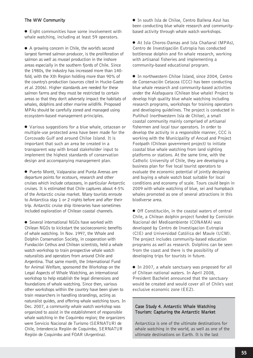#### The WW Community

● Eight communities have some involvement with whale watching, including at least 59 operators.

● A growing concern in Chile, the world's second largest farmed salmon producer, is the proliferation of salmon as well as mussel production in the inshore areas especially in the southern fjords of Chile. Since the 1980s, the industry has increased more than 140 fold, with the Xth Region holding more than 90% of the country's production (sources cited in Hucke-Gaete et al. 2006). Higher standards are needed for these salmon farms and they must be restricted to certain areas so that they don't adversely impact the habitats of whales, dolphins and other marine wildlife. Proposed MPAs should be carefully zoned and managed using ecosystem-based management principles.

● Various suggestions for a blue whale, cetacean or multiple-use protected area have been made for the Corcovado Gulf and around Chiloe Island. It is important that such an area be created in a transparent way with broad stakeholder input to implement the highest standards of conservation design and accompanying management plan.

● Puerto Montt, Valparaiso and Punta Arenas are departure points for ecotours, research and other cruises which include cetaceans, in particular Antarctic cruises. It is estimated that Chile captures about 4-5% of the Antarctic cruise market. Many tourists enroute to Antarctica stay 1 or 2 nights before and after their trip. Antarctic cruise ship itineraries have sometimes included exploration of Chilean coastal channels.

● Several international NGOs have worked with Chilean NGOs to kickstart the socioeconomic benefits of whale watching. In Nov. 1997, the Whale and Dolphin Conservation Society, in cooperation with Fundación Cethus and Chilean scientists, held a whale watch workshop to train prospective whale watch naturalists and operators from around Chile and Argentina. That same month, the International Fund for Animal Welfare, sponsored the Workshop on the Legal Aspects of Whale Watching, an international workshop to help establish the legal dimensions and foundations of whale watching. Since then, various other workshops within the country have been given to train researchers in handling strandings, acting as naturalist guides, and offering whale watching tours. In Dec. 2007, a community whale watch workshop was organized to assist in the establishment of responsible whale watching in the Coquimbo region; the organizers were Servicio Nacional de Turismo (SERNATUR) de Chile, Intendencia Región de Coquimbo, SERNATUR Región de Coquimbo and FOAR (Argentina).

● In south Isla de Chiloe, Centro Ballena Azul has been conducting blue whale research and communitybased activity through whale watch workshops.

● At Isla Choros-Damas and Isla Chañaral (MPAs), Centro de Investigación Eutropia has conducted bottlenose dolphin and fin whale research, working with artisanal fisheries and implementing a community-based educational program.

● In northwestern Chiloe Island, since 2004, Centro de Conservación Cetacea (CCC) has been conducting blue whale research and community-based activities under the Alafaguara (Chilean blue whale) Project to develop high quality blue whale watching including research programs, workshops for training operators and developing guidelines. The project is conducted in Puñihuil (northwestern Isla de Chiloe), a small coastal community mainly comprised of artisanal fishermen and local tour operators. In order to develop the activity in a responsible manner, CCC is working with the Municipality of Ancud and Project Footpath (Chilean government project) to initiate coastal blue whale watching from land sighting platforms or stations. At the same time, with the Catholic University of Chile, they are developing a business plan for five local tourist operators to evaluate the economic potential of jointly designing and buying a whale watch boat suitable for local conditions and economy of scale. Tours could begin in 2009 with whale watching of blue, sei and humpback whales promoted as one of several attractions in this biodiverse area.

● Off Constitución, in the coastal waters of central Chile, a Chilean dolphin project funded by Comisión Nacional del Medioambiente (CONAMA) was developed by Centro de Investigacion Eutropia (CIE) and Universidad Católica del Maule (UCM). The project includes community-based education programs as well as research. Dolphins can be seen from the coast and there is the possibility of developing trips for tourists in future.

● In 2007, a whale sanctuary was proposed for all of Chilean national waters. In April 2008, President Bachelet announced that the sanctuary would be created and would cover all of Chile's vast exclusive economic zone (EEZ).

#### Case Study 4. Antarctic Whale Watching Tourism: Capturing the Antarctic Market

Antarctica is one of the ultimate destinations for whale watching in the world, as well as one of the ultimate destinations on Earth. It is the last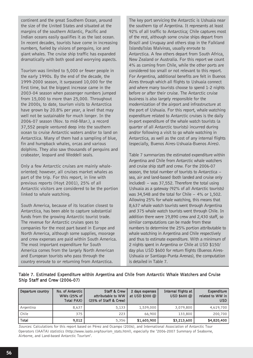continent and the great Southern Ocean, around the size of the United States and situated at the margins of the southern Atlantic, Pacific and Indian oceans easily qualifies it as the last ocean. In recent decades, tourists have come in increasing numbers, fueled by visions of penguins, ice and giant whales. The cruise ship traffic has expanded dramatically with both good and worrying aspects.

Tourism was limited to 5,000 or fewer people in the early 1990s. By the end of the decade, the 1999-2000 season, it surpassed 10,000 for the first time, but the biggest increase came in the 2003-04 season when passenger numbers jumped from 15,000 to more than 25,000. Throughout the 2000s, to date, tourism visits to Antarctica have grown by 20.8% per year, a level that may well not be sustainable for much longer. In the 2006-07 season (Nov. to mid-Mar.), a record 37,552 people ventured deep into the southern ocean to cruise Antarctic waters and/or to land on Antarctica. Many of them had a sampling of blue, fin and humpback whales, orcas and various dolphins. They also saw thousands of penguins and crabeater, leopard and Weddell seals.

Only a few Antarctic cruises are mainly whaleoriented; however, all cruises market whales as part of the trip. For this report, in line with previous reports (Hoyt 2001), 25% of all Antarctic visitors are considered to be the portion linked to whale watching.

South America, because of its location closest to Antarctica, has been able to capture substantial funds from the growing Antarctic tourist trade. The revenue for Antarctic cruises goes to companies for the most part based in Europe and North America, although some supplies, moorage and crew expenses are paid within South America. The most important expenditure for South America comes from the largely North American and European tourists who pass through the country enroute to or returning from Antarctica.

The key port servicing the Antarctic is Ushuaia near the southern tip of Argentina. It represents at least 92% of all traffic to Antarctica; Chile captures most of the rest, although some cruise ships depart from Brazil and Uruguay and others stop in the Falkland Islands/Islas Malvinas, usually enroute to Antarctica. A few others depart from South Africa, New Zealand or Australia. For this report we count 4% as coming from Chile, while the other ports are considered too small or not relevant to this report. For Argentina, additional benefits are felt in Buenos Aires through which all flights to Ushuaia connect and where many tourists choose to spend 1-2 nights before or after their cruise. The Antarctic cruise business is also largely responsible for the modernization of the airport and infrastructure at the port of Ushuaia. For this report, whale watching expenditure related to Antarctic cruises is the daily in-port expenditure of the whale watch tourists (a quarter of all Antarctic tourists) incurred during and/or following a visit to go whale watching in Antarctica, as well as the cost of any internal flights (especially, Buenos Aires-Ushuaia-Buenos Aires).

Table 7 summarizes the estimated expenditure within Argentina and Chile from Antarctic whale watchers and cruise ship staff and crew. For the 2006-07 season, the total number of tourists to Antarctica sea, air and land-based (both landed and cruise only  $include$ ) – was 37,552. Therefore the total using Ushuaia as a gateway (92% of all Antarctic tourists) was 34,548 and the total for Chile  $-$  4% or 1,502. Allowing 25% for whale watching, this means that 8,637 whale watch tourists went through Argentina and 375 whale watch tourists went through Chile. In addition there were 19,890 crew and 2,430 staff, so similar computations can be made from these numbers to determine the 25% portion attributable to whale watching in Argentina and Chile respectively and thus to estimate expenditure. With a minimum of 2 nights spent in Argentina or Chile at USD \$150/ day plus USD \$600 for return flights (Buenos Aires-Ushuaia or Santiago-Punta Arenas), the computation is detailed in Table 7.

#### Table 7. Estimated Expenditure within Argentina and Chile from Antarctic Whale Watchers and Cruise Ship Staff and Crew (2006-07)

| Departure country | No. of Antarctic<br>WWs (25% of<br>Total PAX) | Staff & Crew<br>attributable to WW<br>(25% of Staff & Crew) | 2 days expenses<br>at USD \$300 $@$ | Internal flights at<br>USD \$600 $@$ | Expenditure<br>related to WW in<br>USD. |
|-------------------|-----------------------------------------------|-------------------------------------------------------------|-------------------------------------|--------------------------------------|-----------------------------------------|
| Argentina         | 8,637                                         | 5,133                                                       | 1,539,000                           | 3,079,800                            | 4,619,700                               |
| Chile             | 375                                           | 223                                                         | 66,900                              | 133,800                              | 200,700                                 |
| Total             | 9,012                                         | 5,356                                                       | \$1,605,900                         | \$3,213,600                          | \$4,820,400                             |

Sources: Calculations for this report based on Pérez and Ocampo (2006), and International Association of Antarctic Tour Operators (IAATA) statistics (http://www.iaato.org/tourism\_stats.html), especially the "2006-2007 Summary of Seaborne, Airborne, and Land-based Antarctic Tourism".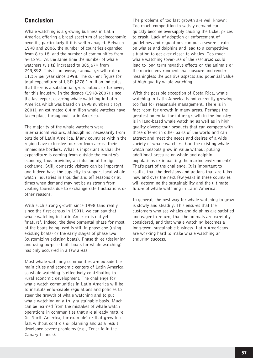# Conclusion

Whale watching is a growing business in Latin America offering a broad spectrum of socioeconomic benefits, particularly if it is well-managed. Between 1998 and 2006, the number of countries expanded from 8 to 18, and the number of communities from 56 to 91. At the same time the number of whale watchers (visits) increased to 885,679 from 243,892. This is an average annual growth rate of 11.3% per year since 1998. The current figure for total expenditure of USD \$278.1 million indicates that there is a substantial gross output, or turnover, for this industry. In the decade (1998-2007) since the last report covering whale watching in Latin America which was based on 1998 numbers (Hoyt 2001), an estimated 6.4 million whale watches have taken place throughout Latin America.

The majority of the whale watchers were international visitors, although not necessarily from outside of Latin America. Many countries within the region have extensive tourism from across their immediate borders. What is important is that the expenditure is coming from outside the country's economy, thus providing an infusion of foreign exchange. Still, domestic visitors can be important and indeed have the capacity to support local whale watch industries in shoulder and off seasons or at times when demand may not be as strong from visiting tourists due to exchange rate fluctuations or other reasons.

With such strong growth since 1998 (and really since the first census in 1991), we can say that whale watching in Latin America is not yet "mature". Indeed, the developmental phase for most of the boats being used is still in phase one (using existing boats) or the early stages of phase two (customizing existing boats). Phase three (designing and using purpose-built boats for whale watching) has only occurred in a few areas.

Most whale watching communities are outside the main cities and economic centers of Latin America, so whale watching is effectively contributing to rural economic development. The challenge for whale watch communities in Latin America will be to institute enforceable regulations and policies to steer the growth of whale watching and to put whale watching on a truly sustainable basis. Much can be learned from the mistakes of whale watch operations in communities that are already mature (in North America, for example) or that grew too fast without controls or planning and as a result developed severe problems (e.g., Tenerife in the Canary Islands).

The problems of too fast growth are well known: Too much competition to satisfy demand can quickly become oversupply causing the ticket prices to crash. Lack of adoption or enforcement of guidelines and regulations can put a severe strain on whales and dolphins and lead to a competitive situation to get ever closer to whales. Too much whale watching (over-use of the resource) could lead to long term negative effects on the animals or the marine environment that obscure and render meaningless the positive aspects and potential value of high quality whale watching.

With the possible exception of Costa Rica, whale watching in Latin America is not currently growing too fast for reasonable management. There is in fact room for growth in many areas. Perhaps the greatest potential for future growth in the industry is in land-based whale watching as well as in high quality diverse tour products that can compete with those offered in other parts of the world and can attract and meet the needs and desires of a wide variety of whale watchers. Can the existing whale watch hotspots grow in value without putting additional pressure on whale and dolphin populations or impacting the marine environment? That's part of the challenge. It is important to realize that the decisions and actions that are taken now and over the next few years in these countries will determine the sustainability and the ultimate future of whale watching in Latin America.

In general, the best way for whale watching to grow is slowly and steadily. This ensures that the customers who see whales and dolphins are satisfied and eager to return, that the animals are carefully considered, and that whale watching becomes a long-term, sustainable business. Latin Americans are working hard to make whale watching an enduring success.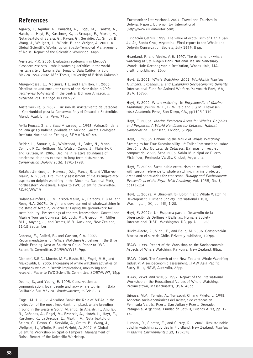# References

Agardy, T., Aguilar, N., Cañadas, A., Engel, M., Frantzis, A., Hatch, L., Hoyt, E., Kaschner, K., LaBrecque, E., Martin, V., Notarbartolo di Sciara, G., Pavan, G., Servidio, A., Smith, B., Wang, J., Weilgart, L., Wintle, B. and Wright, A. 2007. A Global Scientific Workshop on Spatio-Temporal Management of Noise. Report of the Scientific Workshop. 44pp.

Agersted, P.R. 2006. Evaluating ecotourism in México's biosphere reserves - whale watching activities in the world heritage site of Laguna San Ignacio, Baja California Sur, México 1994-2002. MSc Thesis, University of British Columbia.

Aliaga-Rossel, E., McGuire, T.L. and Hamilton, H. 2006. Distribution and encounter rates of the river dolphin (Inia geoffrensis boliviensis) in the central Bolivian Amazon. J. Cetacean Res. Manage. 8(1):87-92.

Austermühule, S. 2007. Turismo de Avistamiento de Cetáceos - Oportunidad para la Conservación y el Desarollo Sostenible. Mundo Azul, Lima, Perú, 77pp.

Avila Foucat, S. and Saad Alvarado, L. 1998. Valuación de la ballena gris y ballena jorobada en México. Gaceta Ecológica. Instituto Nacional de Ecología, SEMARNAP 49.

Bejder, L., Samuels, A., Whitehead, H., Gales, N., Mann, J., Connor, R.C., Heithaus, M., Watson-Capps, J., Flaherty, C., and Krützen, M. 2006. Decline in relative abundance of bottlenose dolphins exposed to long-term disturbance. Conservation Biology 20(6), 1791-1798.

Bolaños-Jiménez, J., Herreral, O.L., Panza, R. and Villarroel-Marin, A. 2007a. Preliminary assessment of marketing-related aspects on dolphin-watching in the Mochima National Park, northeastern Venezuela. Paper to IWC Scientific Committee. SC/59/WW19

Bolaños-Jiménez, J., Villarroel-Marin, A., Parsons, E.C.M. and Rose, N.A. 2007b. Origin and development of whalewatching in the state of Aragua, Venezuela: Laying the groundwork for sustainability. Proceedings of the 5th International Coastal and Marine Tourism Congress. Ed. Lück, M., Graeupl, A., Miller, M.L., Auyong, J., and Orams, M.B. Auckland, New Zealand, 11-15 September.

Cabrera, E., Galleti, B., and Carlson, C.A. 2007. Recommendations for Whale Watching Guidelines in the Blue Whale Feeding Area of Southern Chile. Paper to IWC Scientific Committee. SC/59/WW15, 9pp.

Cipolotti, S.R.C., Morete, M.E., Basto, B.l., Engel, M.H., and Marcovaldi, E. 2005. Increasing of whale watching activities on humpback whales in Brazil: Implications, monitoring and research. Paper to IWC Scientific Committee. SC/57/WW7, 15pp

Dedina, S., and Young, E. 1995. Conservation as communication: local people and gray whale tourism in Baja California Sur México. Whalewatcher, 29(2): 8-13.

Engel, M.H. 2007. Abrolhos Bank: the Role of MPAs in the protection of the most important humpback whale breeding ground in the western South Atlantic. In Agardy, T., Aguilar, N., Cañadas, A., Engel, M., Frantzis, A., Hatch, L., Hoyt, E., Kaschner, K., LaBrecque, E., Martin, V., Notarbartolo di Sciara, G., Pavan, G., Servidio, A., Smith, B., Wang, J., Weilgart, L., Wintle, B. and Wright, A. 2007. A Global Scientific Workshop on Spatio-Temporal Management of Noise. Report of the Scientific Workshop.

Euromonitor International. 2007. Travel and Tourism in Bolivia. Report. Euromonitor International (http://www.euromonitor.com)

Fundación Cethus. 1999. The value of ecotourism of Bahía San Julián, Santa Cruz, Argentina. Final report to the Whale and Dolphin Conservation Society, July 1999, 8 pp.

Hoagland, P. and Meeks, A.E. 1997. The demand for whale watching at Stellwagen Bank National Marine Sanctuary. Woods Hole Oceanographic Institution, Woods Hole, MA, draft, unpublished, 25pp.

Hoyt, E. 2001. Whale Watching 2001: Worldwide Tourism Numbers, Expenditure, and Expanding Socioeconomic Benefits. International Fund for Animal Welfare, Yarmouth Port, MA, USA, 157pp.

Hoyt, E. 2002. Whale watching. In Encyclopedia of Marine Mammals (Perrin, W.F., B. Würsig and J.G.M. Thewissen, eds.) Academic Press, San Diego, CA., pp1305-1310.

Hoyt, E. 2005a. Marine Protected Areas for Whales, Dolphins and Porpoises: A World Handbook for Cetacean Habitat Conservation. Earthscan, London, 512pp.

Hoyt, E. 2005b. Enhancing the Value of Whale Watching: Strategies for True Sustainability. 1º Taller Internacional sobre Gestión y Uso No Letal de Cetáceos: Ballenas, un recurso compartido. 27-29 Sept. 2005, Salón Municipal de Puerto Pirámides, Península Valdés, Chubut, Argentina.

Hoyt, E. 2005c. Sustainable ecotourism on Atlantic islands, with special reference to whale watching, marine protected areas and sanctuaries for cetaceans. Biology and Environment: Proceedings of the Royal Irish Academy, Vol. 105B, No. 3, pp141-154.

Hoyt, E. 2007a. A Blueprint for Dolphin and Whale Watching Development. Humane Society International (HSI), Washington, DC, pp. i-iii, 1-28.

Hoyt, E. 2007b. Un Esquema para el Desarrollo de la Observación de Delfines y Ballenas. Humane Society International (HSI), Washington, DC, pp. i-iii, 1-28.

Hucke-Gaete, R., Viddi, F., and Bello, M. 2006. Conservación Marina en el sure de Chile. Privately published, 109pp.

IFAW. 1999. Report of the Workshop on the Socioeconomic Aspects of Whale Watching. Kaikoura, New Zealand, 88pp.

IFAW. 2005. The Growth of the New Zealand Whale Watching Industry: A socioeconomic assessment. IFAW Asia Pacific, Surry Hills, NSW, Australia, 26pp.

IFAW, WWF and WDCS. 1997. Report of the International Workshop on the Educational Values of Whale Watching, Provincetown, Massachusetts, USA. 40pp.

Iñíguez, M.A., Tomsin, A., Torlaschi, Ch and Prieto, L. 1998. Aspectos socio-económicos del avistaje de cetáceos en Península Valdés, Puerto San Julián y Puerto Deseado, Patagonia, Argentina. Fundación Cethus, Buenos Aires, pp. 1- 14.

Lusseau, D., Slooten, E., and Currey, R.J. 2006. Unsustainable dolphin watching activities in Fiordland, New Zealand. Tourism in Marine Environments 3(2), 173-178.